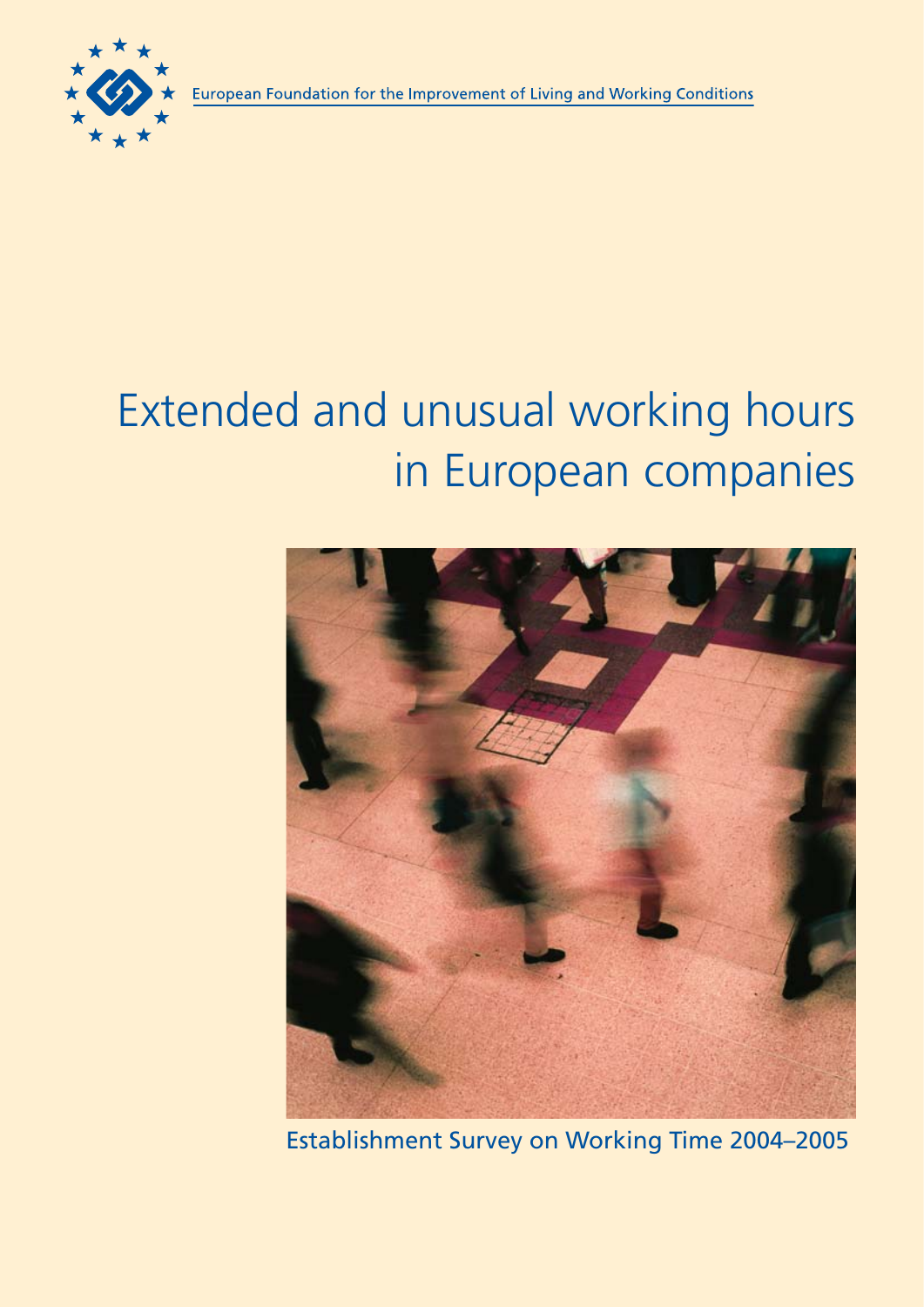

# Extended and unusual working hours in European companies



Establishment Survey on Working Time 2004–2005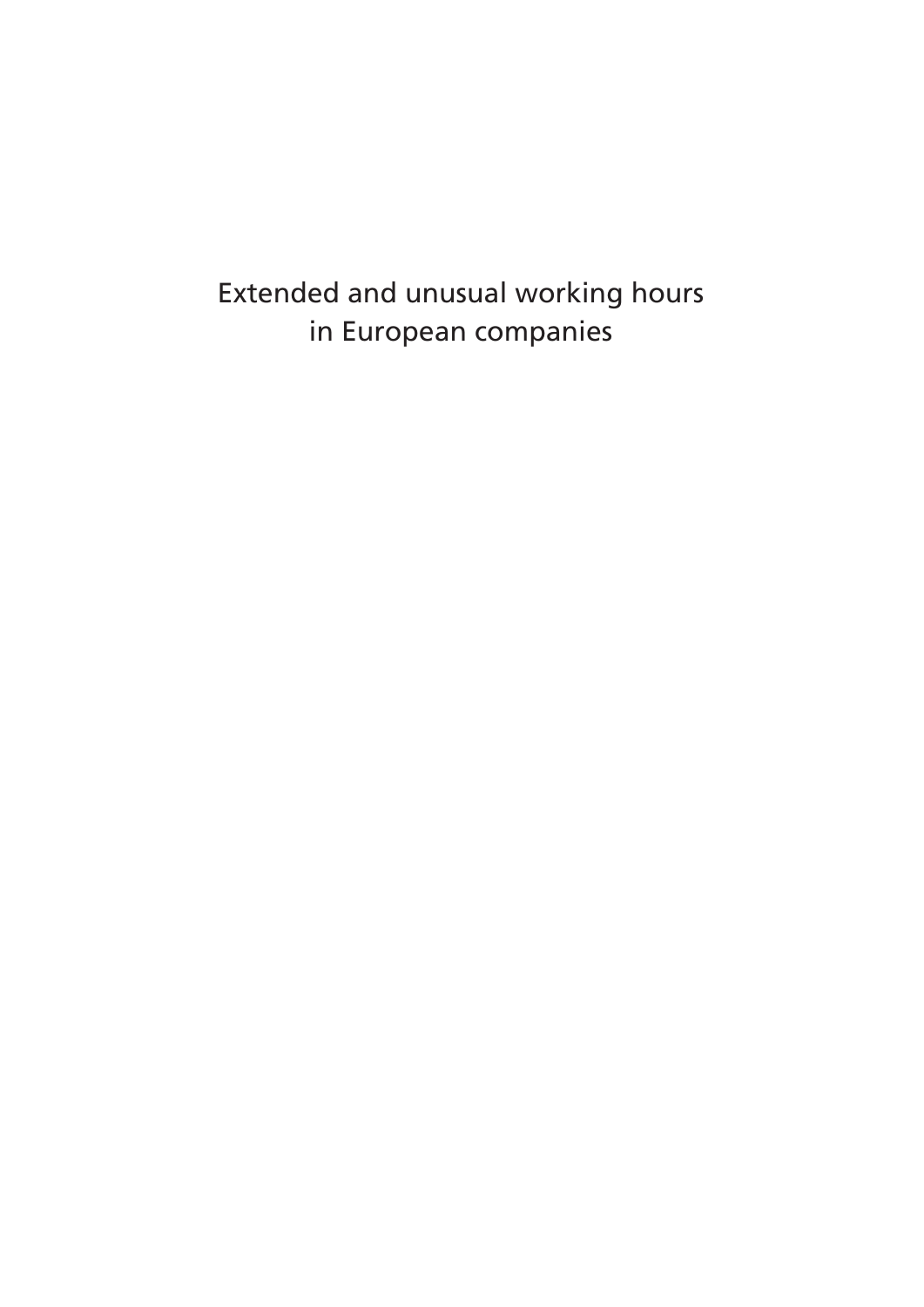Extended and unusual working hours in European companies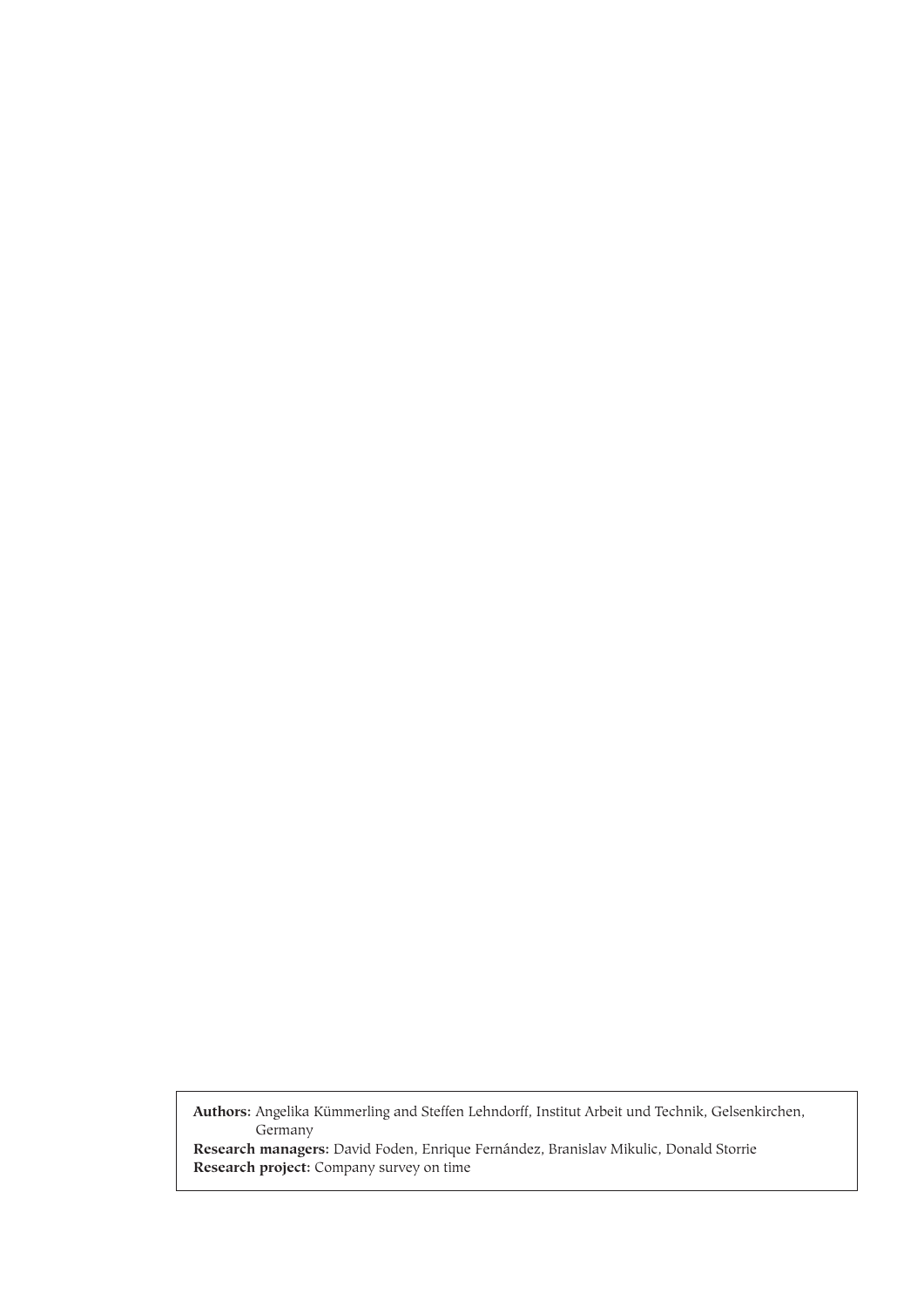**Authors:** Angelika Kümmerling and Steffen Lehndorff, Institut Arbeit und Technik, Gelsenkirchen, Germany **Research managers:** David Foden, Enrique Fernández, Branislav Mikulic, Donald Storrie

**Research project:** Company survey on time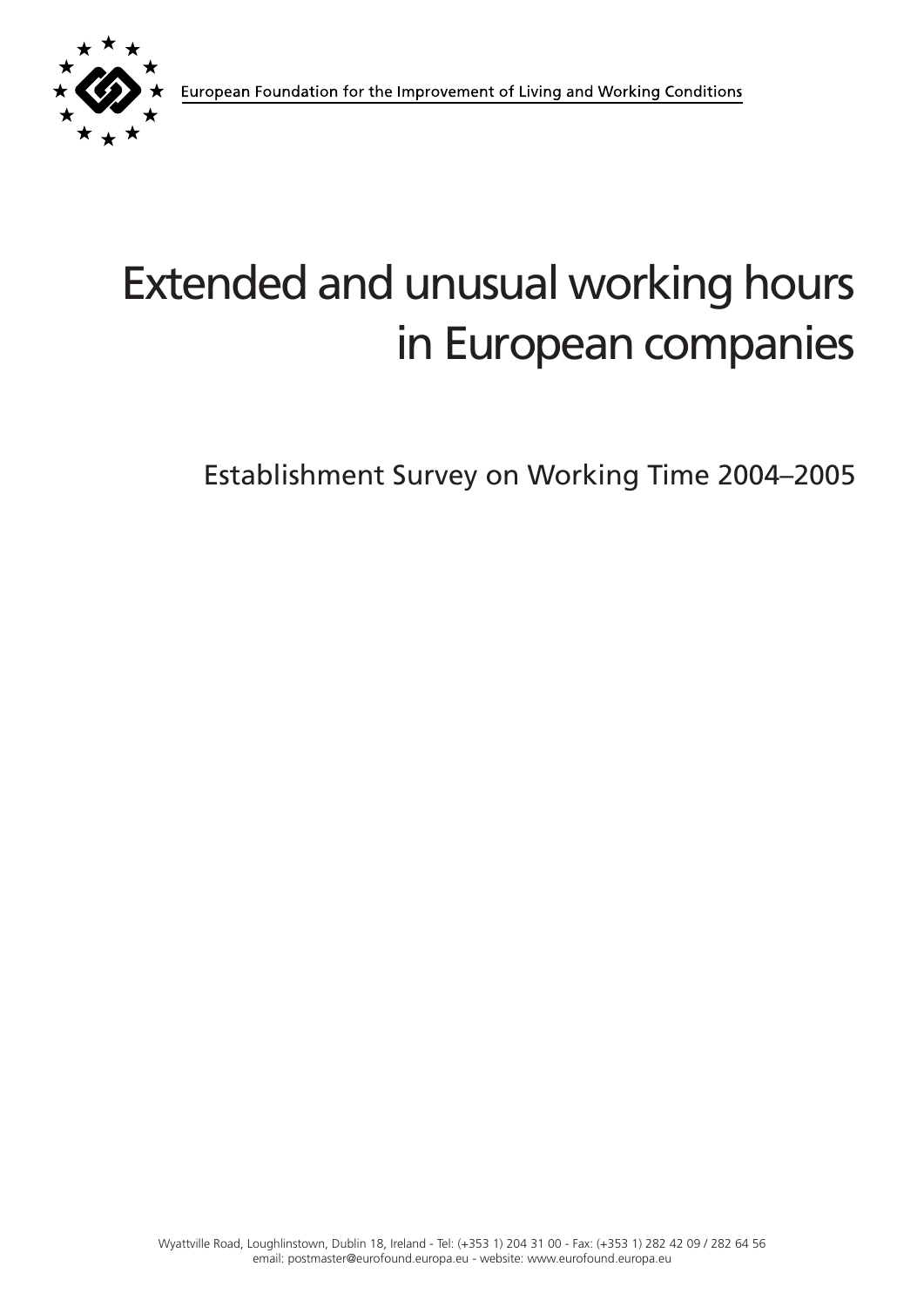

# Extended and unusual working hours in European companies

Establishment Survey on Working Time 2004–2005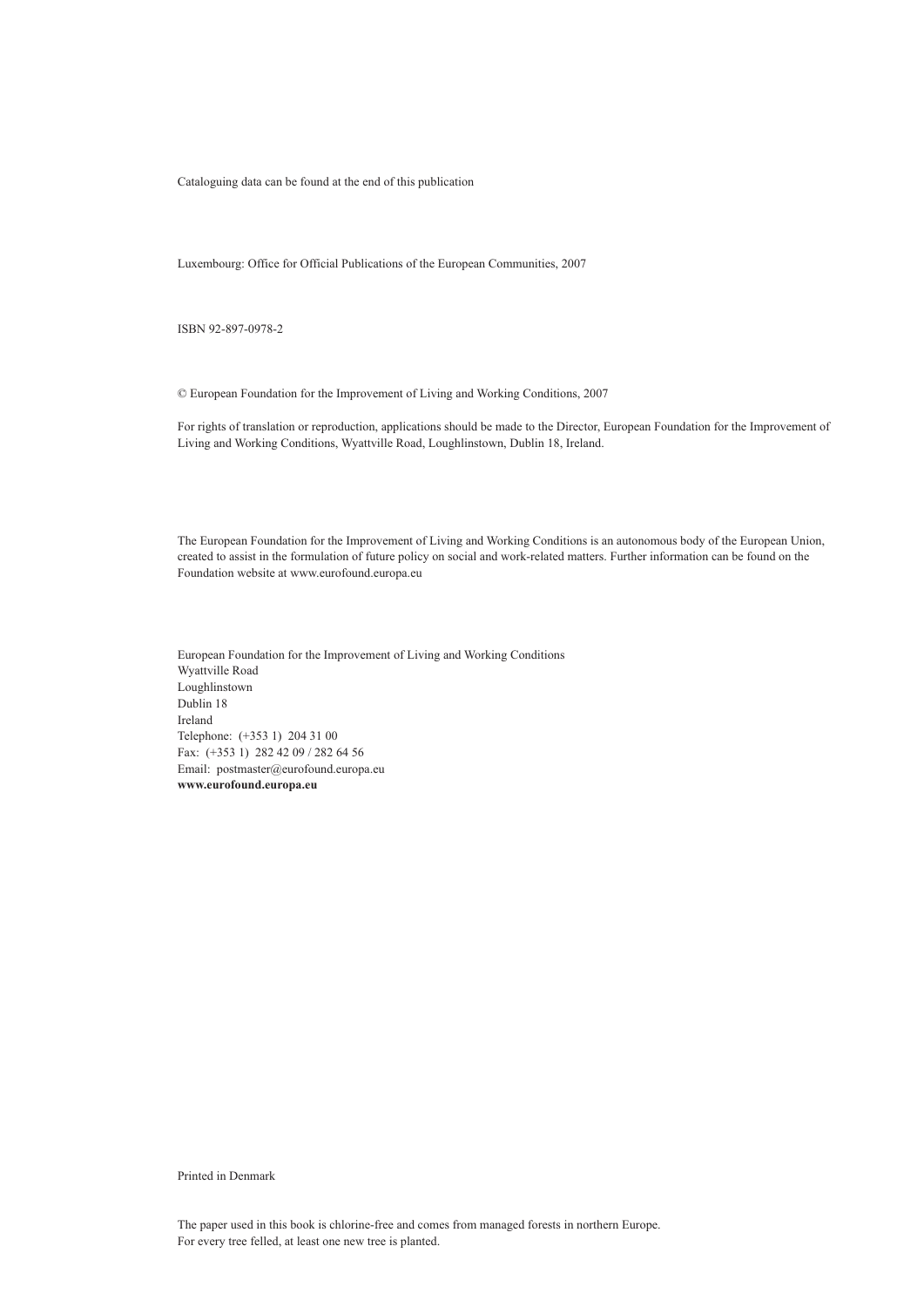Cataloguing data can be found at the end of this publication

Luxembourg: Office for Official Publications of the European Communities, 2007

ISBN 92-897-0978-2

© European Foundation for the Improvement of Living and Working Conditions, 2007

For rights of translation or reproduction, applications should be made to the Director, European Foundation for the Improvement of Living and Working Conditions, Wyattville Road, Loughlinstown, Dublin 18, Ireland.

The European Foundation for the Improvement of Living and Working Conditions is an autonomous body of the European Union, created to assist in the formulation of future policy on social and work-related matters. Further information can be found on the Foundation website at www.eurofound.europa.eu

European Foundation for the Improvement of Living and Working Conditions Wyattville Road Loughlinstown Dublin 18 Ireland Telephone: (+353 1) 204 31 00 Fax: (+353 1) 282 42 09 / 282 64 56 Email: postmaster@eurofound.europa.eu **www.eurofound.europa.eu**

Printed in Denmark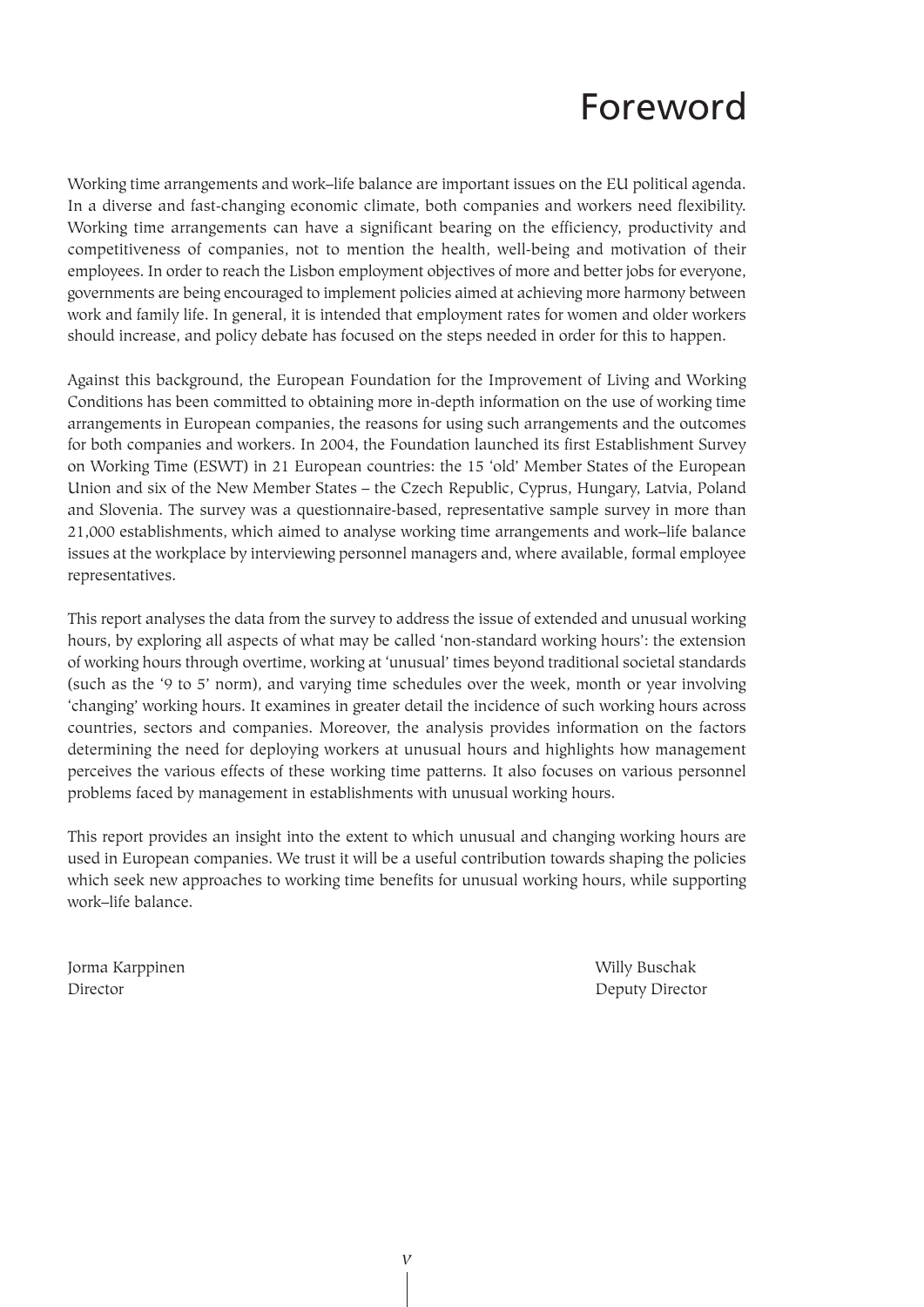# Foreword

Working time arrangements and work–life balance are important issues on the EU political agenda. In a diverse and fast-changing economic climate, both companies and workers need flexibility. Working time arrangements can have a significant bearing on the efficiency, productivity and competitiveness of companies, not to mention the health, well-being and motivation of their employees. In order to reach the Lisbon employment objectives of more and better jobs for everyone, governments are being encouraged to implement policies aimed at achieving more harmony between work and family life. In general, it is intended that employment rates for women and older workers should increase, and policy debate has focused on the steps needed in order for this to happen.

Against this background, the European Foundation for the Improvement of Living and Working Conditions has been committed to obtaining more in-depth information on the use of working time arrangements in European companies, the reasons for using such arrangements and the outcomes for both companies and workers. In 2004, the Foundation launched its first Establishment Survey on Working Time (ESWT) in 21 European countries: the 15 'old' Member States of the European Union and six of the New Member States – the Czech Republic, Cyprus, Hungary, Latvia, Poland and Slovenia. The survey was a questionnaire-based, representative sample survey in more than 21,000 establishments, which aimed to analyse working time arrangements and work–life balance issues at the workplace by interviewing personnel managers and, where available, formal employee representatives.

This report analyses the data from the survey to address the issue of extended and unusual working hours, by exploring all aspects of what may be called 'non-standard working hours': the extension of working hours through overtime, working at 'unusual' times beyond traditional societal standards (such as the '9 to 5' norm), and varying time schedules over the week, month or year involving 'changing' working hours. It examines in greater detail the incidence of such working hours across countries, sectors and companies. Moreover, the analysis provides information on the factors determining the need for deploying workers at unusual hours and highlights how management perceives the various effects of these working time patterns. It also focuses on various personnel problems faced by management in establishments with unusual working hours.

This report provides an insight into the extent to which unusual and changing working hours are used in European companies. We trust it will be a useful contribution towards shaping the policies which seek new approaches to working time benefits for unusual working hours, while supporting work–life balance.

Jorma Karppinen Willy Buschak Director Director Deputy Director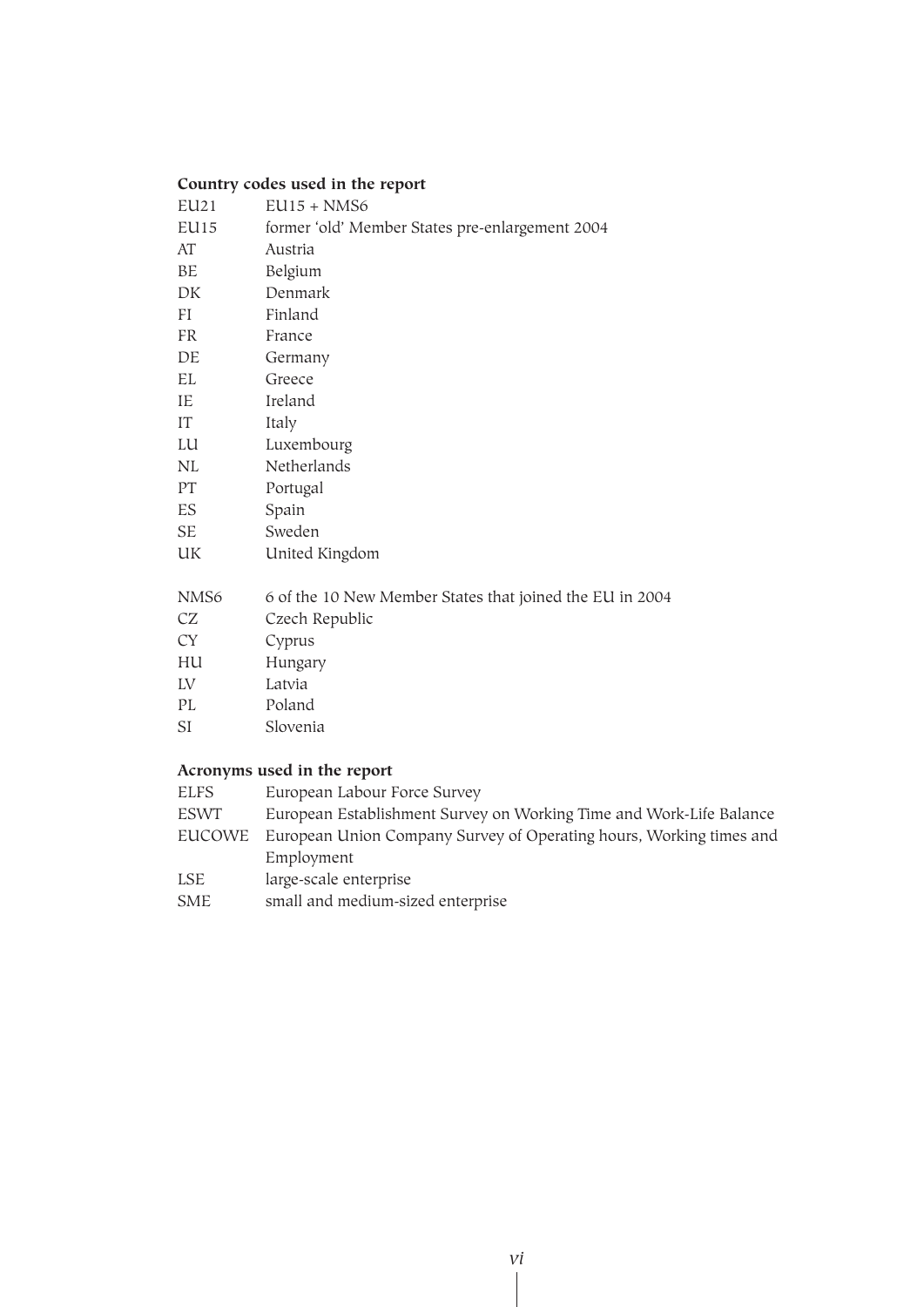# **Country codes used in the report**

| EU <sub>21</sub> | $EUI5 + NMS6$                                            |
|------------------|----------------------------------------------------------|
| EUI5             | former 'old' Member States pre-enlargement 2004          |
| AT               | Austria                                                  |
| BE               | Belgium                                                  |
| DK               | Denmark                                                  |
| FI               | Finland                                                  |
| FR               | France                                                   |
| DE               | Germany                                                  |
| EL               | Greece                                                   |
| IE               | Ireland                                                  |
| IT               | Italy                                                    |
| LU               | Luxembourg                                               |
| NL               | Netherlands                                              |
| PT               | Portugal                                                 |
| ES               | Spain                                                    |
| SE               | Sweden                                                   |
| UK               | United Kingdom                                           |
| NMS <sub>6</sub> | 6 of the 10 New Member States that joined the EU in 2004 |
| CZ               | Czech Republic                                           |
| CY               | Cyprus                                                   |
| HU               | Hungary                                                  |
| LV               | Latvia                                                   |
| PL               | Poland                                                   |
| SI               | Slovenia                                                 |

# **Acronyms used in the report**

| European Labour Force Survey                                        |
|---------------------------------------------------------------------|
| European Establishment Survey on Working Time and Work-Life Balance |
| European Union Company Survey of Operating hours, Working times and |
| Employment                                                          |
| large-scale enterprise                                              |
| small and medium-sized enterprise                                   |
|                                                                     |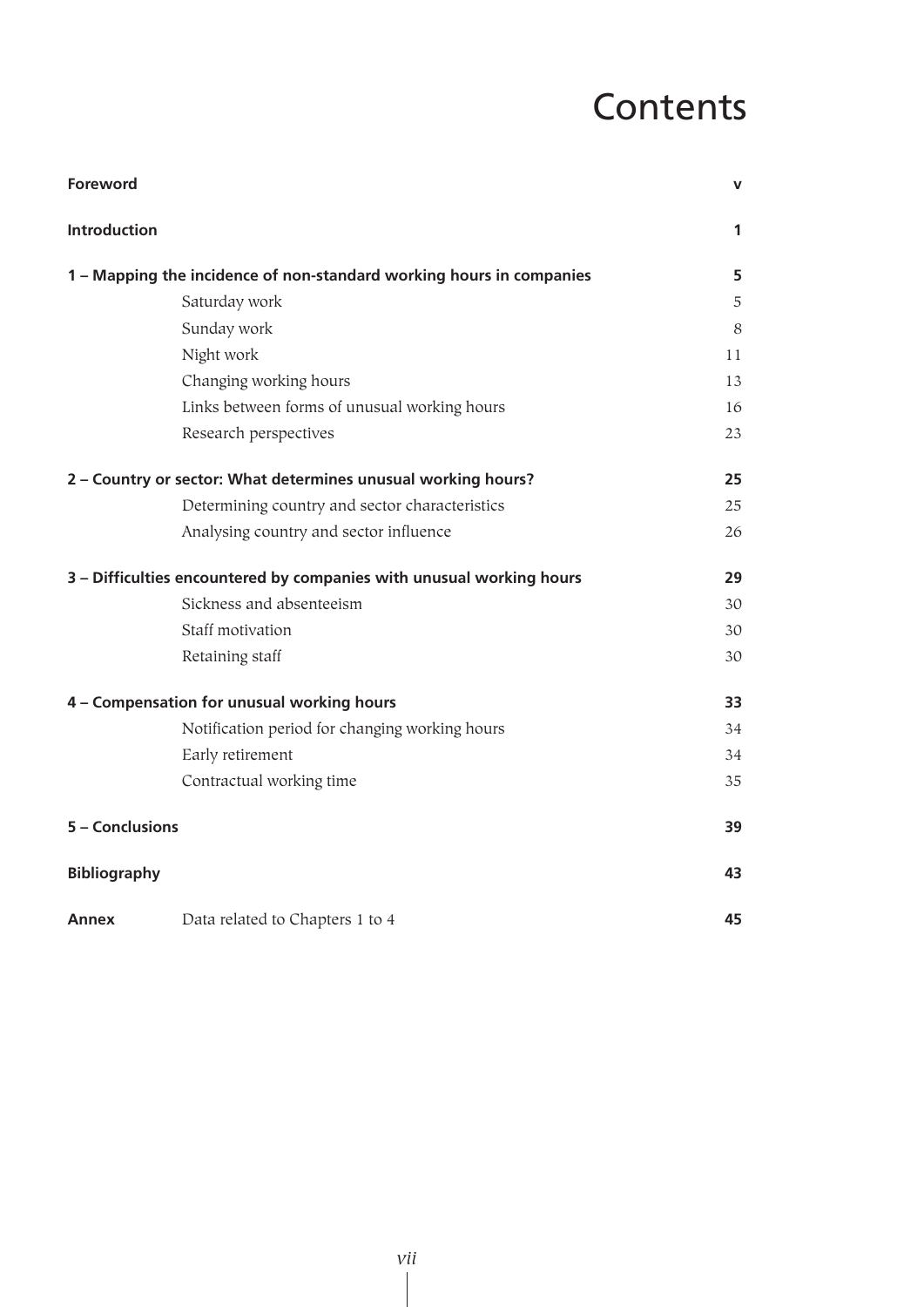# **Contents**

| <b>Foreword</b>                                                      | $\mathbf v$ |
|----------------------------------------------------------------------|-------------|
| <b>Introduction</b>                                                  | $\mathbf 1$ |
| 1 - Mapping the incidence of non-standard working hours in companies | 5           |
| Saturday work                                                        | 5           |
| Sunday work                                                          | 8           |
| Night work                                                           | 11          |
| Changing working hours                                               | 13          |
| Links between forms of unusual working hours                         | 16          |
| Research perspectives                                                | 23          |
| 2 - Country or sector: What determines unusual working hours?        | 25          |
| Determining country and sector characteristics                       | 25          |
| Analysing country and sector influence                               | 26          |
| 3 - Difficulties encountered by companies with unusual working hours | 29          |
| Sickness and absenteeism                                             | 30          |
| Staff motivation                                                     | 30          |
| Retaining staff                                                      | 30          |
| 4 - Compensation for unusual working hours                           | 33          |
| Notification period for changing working hours                       | 34          |
| Early retirement                                                     | 34          |
| Contractual working time                                             | 35          |
| 5 - Conclusions                                                      | 39          |
| <b>Bibliography</b>                                                  | 43          |
| Data related to Chapters 1 to 4<br>Annex                             | 45          |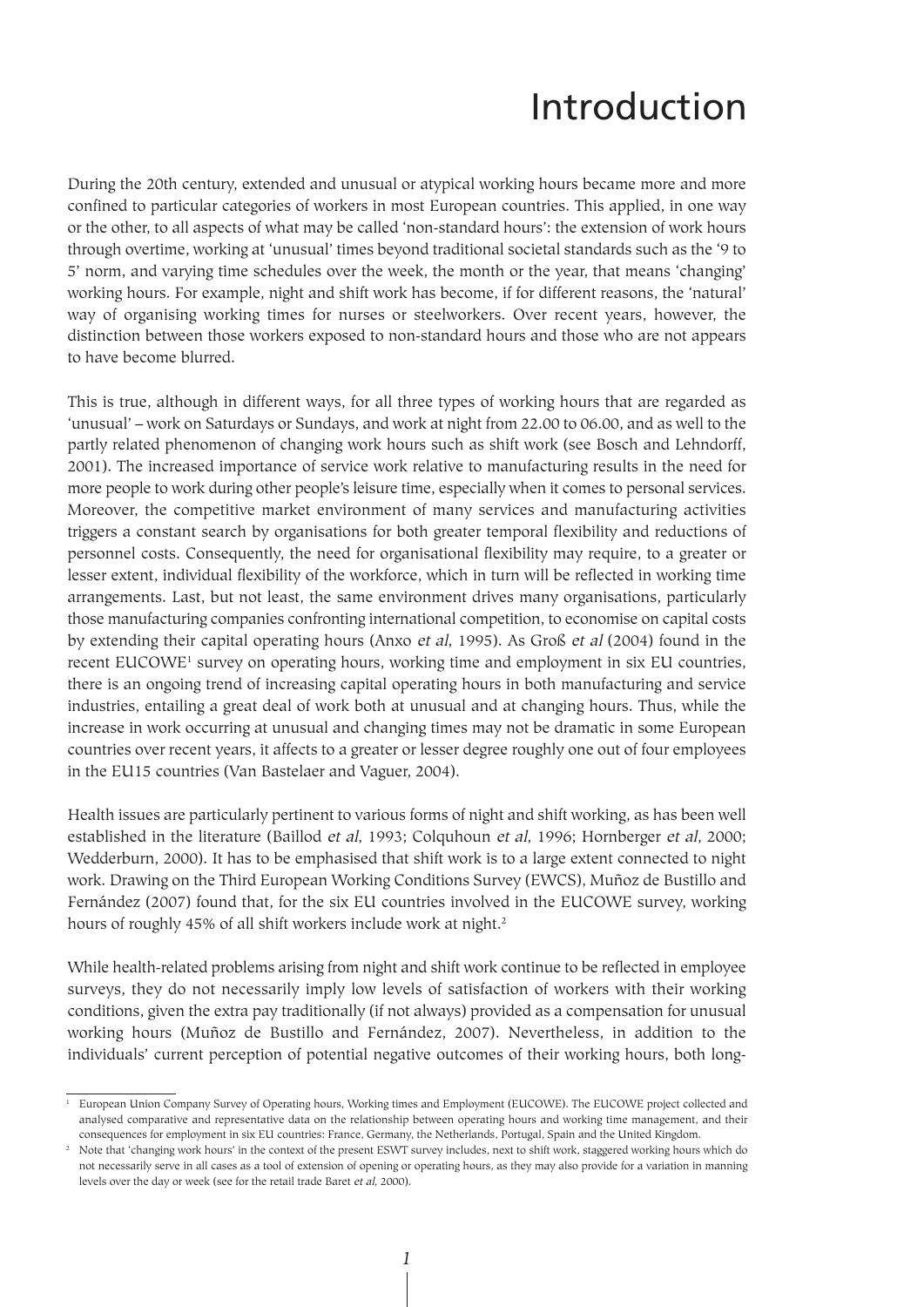# Introduction

During the 20th century, extended and unusual or atypical working hours became more and more confined to particular categories of workers in most European countries. This applied, in one way or the other, to all aspects of what may be called 'non-standard hours': the extension of work hours through overtime, working at 'unusual' times beyond traditional societal standards such as the '9 to 5' norm, and varying time schedules over the week, the month or the year, that means 'changing' working hours. For example, night and shift work has become, if for different reasons, the 'natural' way of organising working times for nurses or steelworkers. Over recent years, however, the distinction between those workers exposed to non-standard hours and those who are not appears to have become blurred.

This is true, although in different ways, for all three types of working hours that are regarded as 'unusual' – work on Saturdays or Sundays, and work at night from 22.00 to 06.00, and as well to the partly related phenomenon of changing work hours such as shift work (see Bosch and Lehndorff, 2001). The increased importance of service work relative to manufacturing results in the need for more people to work during other people's leisure time, especially when it comes to personal services. Moreover, the competitive market environment of many services and manufacturing activities triggers a constant search by organisations for both greater temporal flexibility and reductions of personnel costs. Consequently, the need for organisational flexibility may require, to a greater or lesser extent, individual flexibility of the workforce, which in turn will be reflected in working time arrangements. Last, but not least, the same environment drives many organisations, particularly those manufacturing companies confronting international competition, to economise on capital costs by extending their capital operating hours (Anxo et al, 1995). As Groß et al (2004) found in the recent EUCOWE<sup>1</sup> survey on operating hours, working time and employment in six EU countries, there is an ongoing trend of increasing capital operating hours in both manufacturing and service industries, entailing a great deal of work both at unusual and at changing hours. Thus, while the increase in work occurring at unusual and changing times may not be dramatic in some European countries over recent years, it affects to a greater or lesser degree roughly one out of four employees in the EU15 countries (Van Bastelaer and Vaguer, 2004).

Health issues are particularly pertinent to various forms of night and shift working, as has been well established in the literature (Baillod et al, 1993; Colquhoun et al, 1996; Hornberger et al, 2000; Wedderburn, 2000). It has to be emphasised that shift work is to a large extent connected to night work. Drawing on the Third European Working Conditions Survey (EWCS), Muñoz de Bustillo and Fernández (2007) found that, for the six EU countries involved in the EUCOWE survey, working hours of roughly 45% of all shift workers include work at night.<sup>2</sup>

While health-related problems arising from night and shift work continue to be reflected in employee surveys, they do not necessarily imply low levels of satisfaction of workers with their working conditions, given the extra pay traditionally (if not always) provided as a compensation for unusual working hours (Muñoz de Bustillo and Fernández, 2007). Nevertheless, in addition to the individuals' current perception of potential negative outcomes of their working hours, both long-

*1*

<sup>&</sup>lt;sup>1</sup> European Union Company Survey of Operating hours, Working times and Employment (EUCOWE). The EUCOWE project collected and analysed comparative and representative data on the relationship between operating hours and working time management, and their consequences for employment in six EU countries: France, Germany, the Netherlands, Portugal, Spain and the United Kingdom.

<sup>&</sup>lt;sup>2</sup> Note that 'changing work hours' in the context of the present ESWT survey includes, next to shift work, staggered working hours which do not necessarily serve in all cases as a tool of extension of opening or operating hours, as they may also provide for a variation in manning levels over the day or week (see for the retail trade Baret et al, 2000).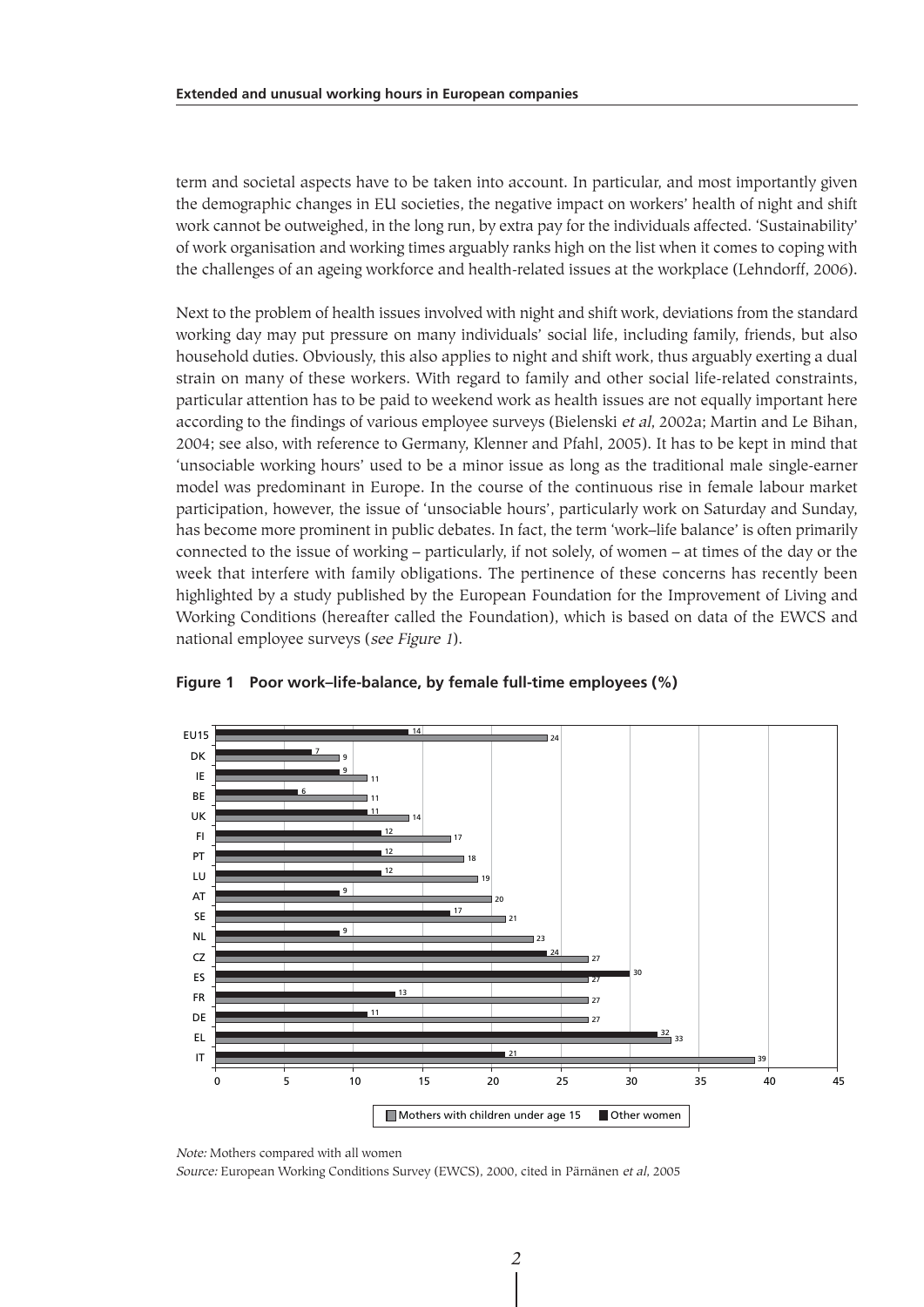term and societal aspects have to be taken into account. In particular, and most importantly given the demographic changes in EU societies, the negative impact on workers' health of night and shift work cannot be outweighed, in the long run, by extra pay for the individuals affected. 'Sustainability' of work organisation and working times arguably ranks high on the list when it comes to coping with the challenges of an ageing workforce and health-related issues at the workplace (Lehndorff, 2006).

Next to the problem of health issues involved with night and shift work, deviations from the standard working day may put pressure on many individuals' social life, including family, friends, but also household duties. Obviously, this also applies to night and shift work, thus arguably exerting a dual strain on many of these workers. With regard to family and other social life-related constraints, particular attention has to be paid to weekend work as health issues are not equally important here according to the findings of various employee surveys (Bielenski et al, 2002a; Martin and Le Bihan, 2004; see also, with reference to Germany, Klenner and Pfahl, 2005). It has to be kept in mind that 'unsociable working hours' used to be a minor issue as long as the traditional male single-earner model was predominant in Europe. In the course of the continuous rise in female labour market participation, however, the issue of 'unsociable hours', particularly work on Saturday and Sunday, has become more prominent in public debates. In fact, the term 'work–life balance' is often primarily connected to the issue of working – particularly, if not solely, of women – at times of the day or the week that interfere with family obligations. The pertinence of these concerns has recently been highlighted by a study published by the European Foundation for the Improvement of Living and Working Conditions (hereafter called the Foundation), which is based on data of the EWCS and national employee surveys (see Figure 1).



**Figure 1 Poor work–life-balance, by female full-time employees (%)**

Note: Mothers compared with all women

Source: European Working Conditions Survey (EWCS), 2000, cited in Pärnänen et al, 2005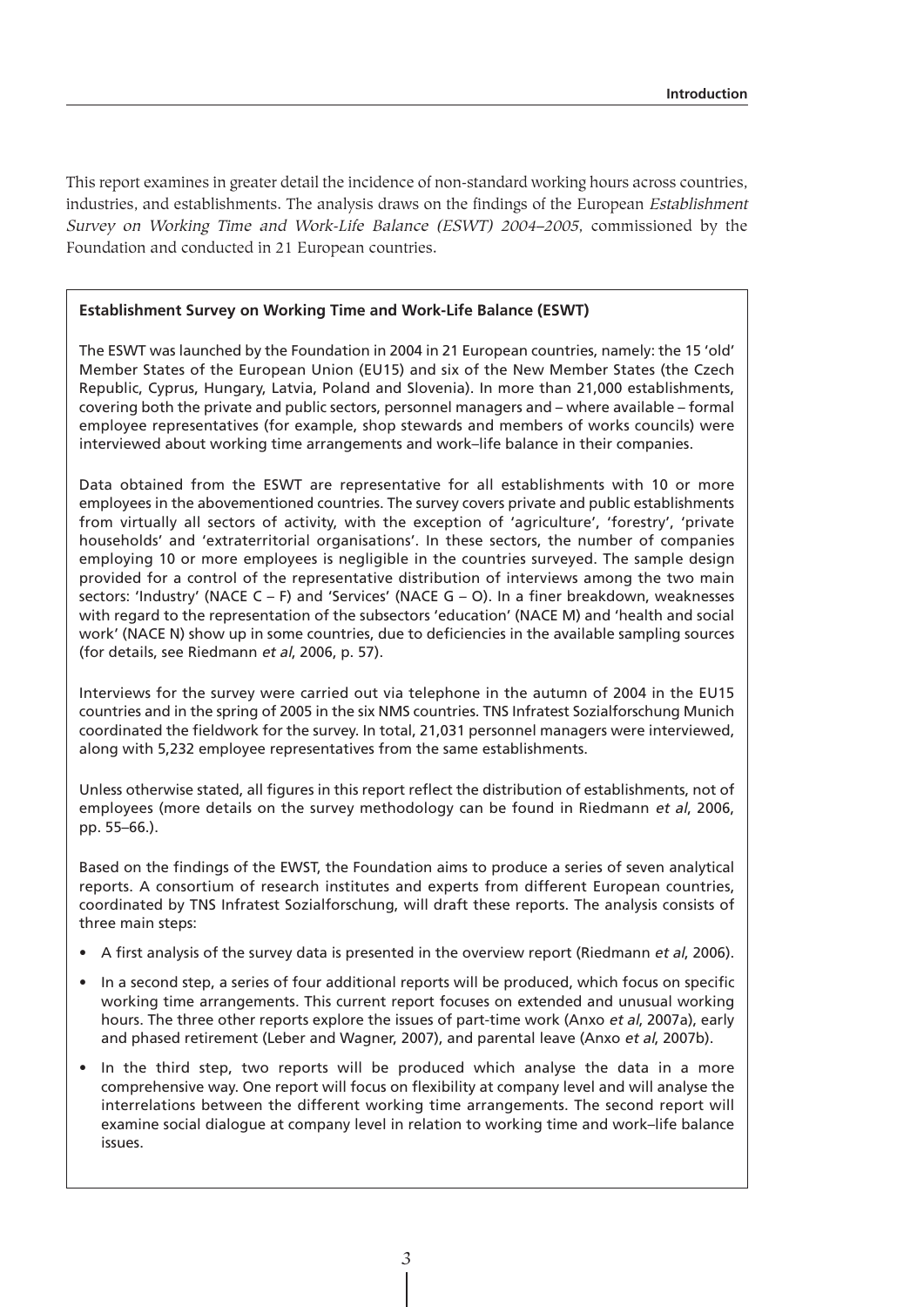This report examines in greater detail the incidence of non-standard working hours across countries, industries, and establishments. The analysis draws on the findings of the European Establishment Survey on Working Time and Work-Life Balance (ESWT) 2004–2005, commissioned by the Foundation and conducted in 21 European countries.

#### **Establishment Survey on Working Time and Work-Life Balance (ESWT)**

The ESWT was launched by the Foundation in 2004 in 21 European countries, namely: the 15 'old' Member States of the European Union (EU15) and six of the New Member States (the Czech Republic, Cyprus, Hungary, Latvia, Poland and Slovenia). In more than 21,000 establishments, covering both the private and public sectors, personnel managers and – where available – formal employee representatives (for example, shop stewards and members of works councils) were interviewed about working time arrangements and work–life balance in their companies.

Data obtained from the ESWT are representative for all establishments with 10 or more employees in the abovementioned countries. The survey covers private and public establishments from virtually all sectors of activity, with the exception of 'agriculture', 'forestry', 'private households' and 'extraterritorial organisations'. In these sectors, the number of companies employing 10 or more employees is negligible in the countries surveyed. The sample design provided for a control of the representative distribution of interviews among the two main sectors: 'Industry' (NACE C – F) and 'Services' (NACE G – O). In a finer breakdown, weaknesses with regard to the representation of the subsectors 'education' (NACE M) and 'health and social work' (NACE N) show up in some countries, due to deficiencies in the available sampling sources (for details, see Riedmann et al, 2006, p. 57).

Interviews for the survey were carried out via telephone in the autumn of 2004 in the EU15 countries and in the spring of 2005 in the six NMS countries. TNS Infratest Sozialforschung Munich coordinated the fieldwork for the survey. In total, 21,031 personnel managers were interviewed, along with 5,232 employee representatives from the same establishments.

Unless otherwise stated, all figures in this report reflect the distribution of establishments, not of employees (more details on the survey methodology can be found in Riedmann et al, 2006, pp. 55–66.).

Based on the findings of the EWST, the Foundation aims to produce a series of seven analytical reports. A consortium of research institutes and experts from different European countries, coordinated by TNS Infratest Sozialforschung, will draft these reports. The analysis consists of three main steps:

- A first analysis of the survey data is presented in the overview report (Riedmann et al, 2006).
- In a second step, a series of four additional reports will be produced, which focus on specific working time arrangements. This current report focuses on extended and unusual working hours. The three other reports explore the issues of part-time work (Anxo et al, 2007a), early and phased retirement (Leber and Wagner, 2007), and parental leave (Anxo et al, 2007b).
- In the third step, two reports will be produced which analyse the data in a more comprehensive way. One report will focus on flexibility at company level and will analyse the interrelations between the different working time arrangements. The second report will examine social dialogue at company level in relation to working time and work–life balance issues.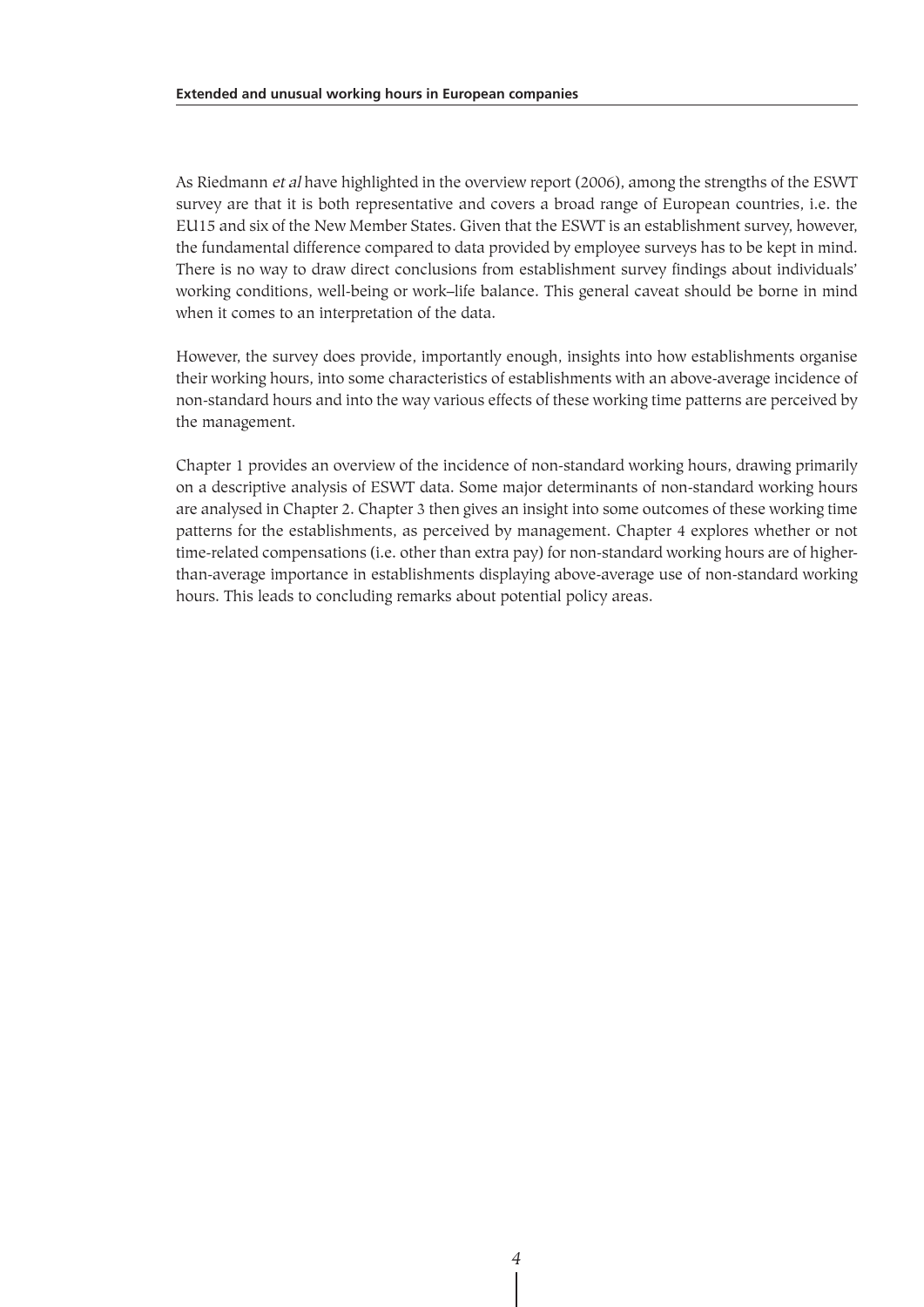As Riedmann et al have highlighted in the overview report (2006), among the strengths of the ESWT survey are that it is both representative and covers a broad range of European countries, i.e. the EU15 and six of the New Member States. Given that the ESWT is an establishment survey, however, the fundamental difference compared to data provided by employee surveys has to be kept in mind. There is no way to draw direct conclusions from establishment survey findings about individuals' working conditions, well-being or work–life balance. This general caveat should be borne in mind when it comes to an interpretation of the data.

However, the survey does provide, importantly enough, insights into how establishments organise their working hours, into some characteristics of establishments with an above-average incidence of non-standard hours and into the way various effects of these working time patterns are perceived by the management.

Chapter 1 provides an overview of the incidence of non-standard working hours, drawing primarily on a descriptive analysis of ESWT data. Some major determinants of non-standard working hours are analysed in Chapter 2. Chapter 3 then gives an insight into some outcomes of these working time patterns for the establishments, as perceived by management. Chapter 4 explores whether or not time-related compensations (i.e. other than extra pay) for non-standard working hours are of higherthan-average importance in establishments displaying above-average use of non-standard working hours. This leads to concluding remarks about potential policy areas.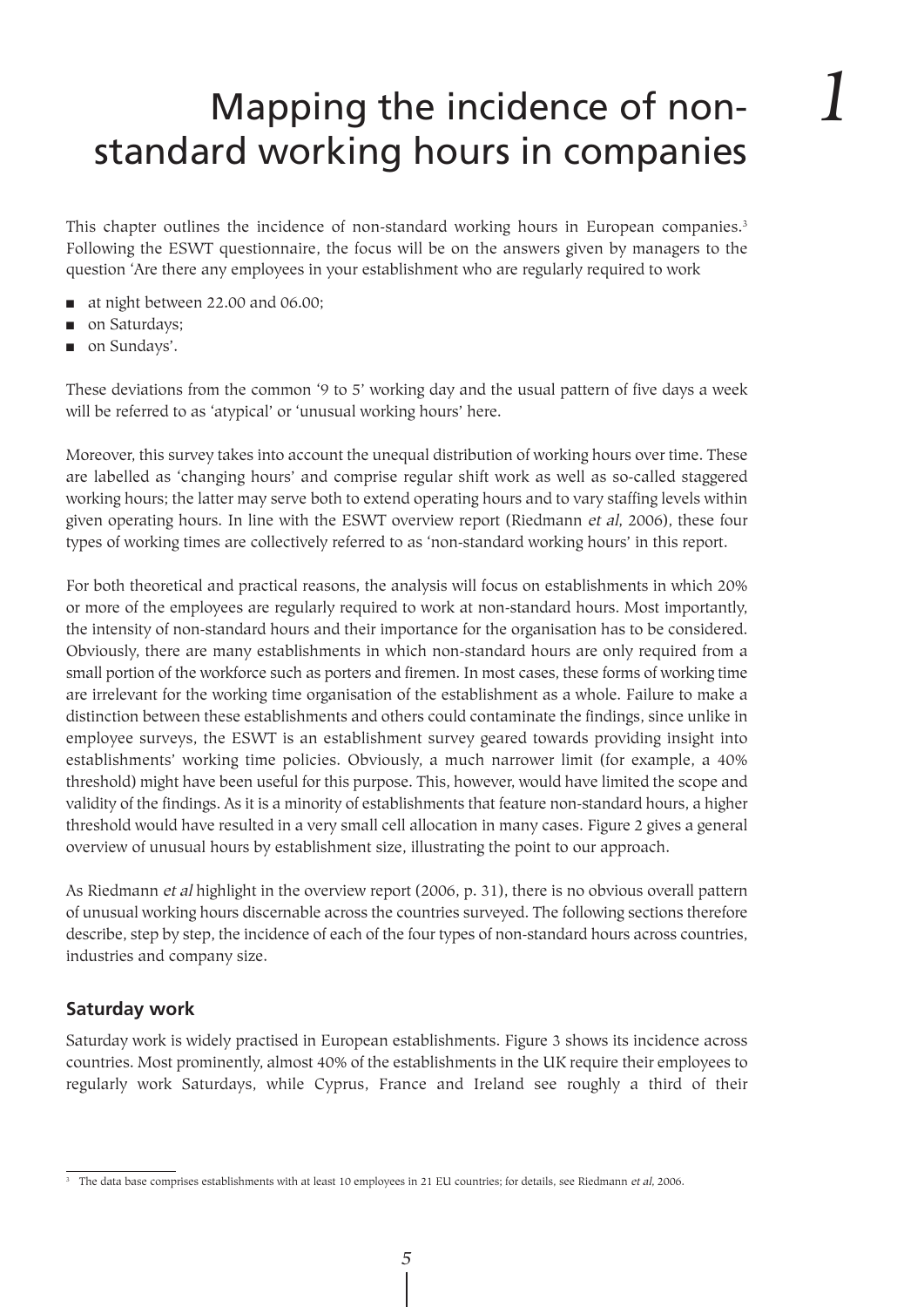*1*

This chapter outlines the incidence of non-standard working hours in European companies.3 Following the ESWT questionnaire, the focus will be on the answers given by managers to the question 'Are there any employees in your establishment who are regularly required to work

- at night between 22.00 and 06.00;
- on Saturdays;
- on Sundays'.

These deviations from the common '9 to 5' working day and the usual pattern of five days a week will be referred to as 'atypical' or 'unusual working hours' here.

Moreover, this survey takes into account the unequal distribution of working hours over time. These are labelled as 'changing hours' and comprise regular shift work as well as so-called staggered working hours; the latter may serve both to extend operating hours and to vary staffing levels within given operating hours. In line with the ESWT overview report (Riedmann et al, 2006), these four types of working times are collectively referred to as 'non-standard working hours' in this report.

For both theoretical and practical reasons, the analysis will focus on establishments in which 20% or more of the employees are regularly required to work at non-standard hours. Most importantly, the intensity of non-standard hours and their importance for the organisation has to be considered. Obviously, there are many establishments in which non-standard hours are only required from a small portion of the workforce such as porters and firemen. In most cases, these forms of working time are irrelevant for the working time organisation of the establishment as a whole. Failure to make a distinction between these establishments and others could contaminate the findings, since unlike in employee surveys, the ESWT is an establishment survey geared towards providing insight into establishments' working time policies. Obviously, a much narrower limit (for example, a 40% threshold) might have been useful for this purpose. This, however, would have limited the scope and validity of the findings. As it is a minority of establishments that feature non-standard hours, a higher threshold would have resulted in a very small cell allocation in many cases. Figure 2 gives a general overview of unusual hours by establishment size, illustrating the point to our approach.

As Riedmann et al highlight in the overview report (2006, p. 31), there is no obvious overall pattern of unusual working hours discernable across the countries surveyed. The following sections therefore describe, step by step, the incidence of each of the four types of non-standard hours across countries, industries and company size.

# **Saturday work**

Saturday work is widely practised in European establishments. Figure 3 shows its incidence across countries. Most prominently, almost 40% of the establishments in the UK require their employees to regularly work Saturdays, while Cyprus, France and Ireland see roughly a third of their

 $\frac{3}{10}$  The data base comprises establishments with at least 10 employees in 21 EU countries; for details, see Riedmann et al, 2006.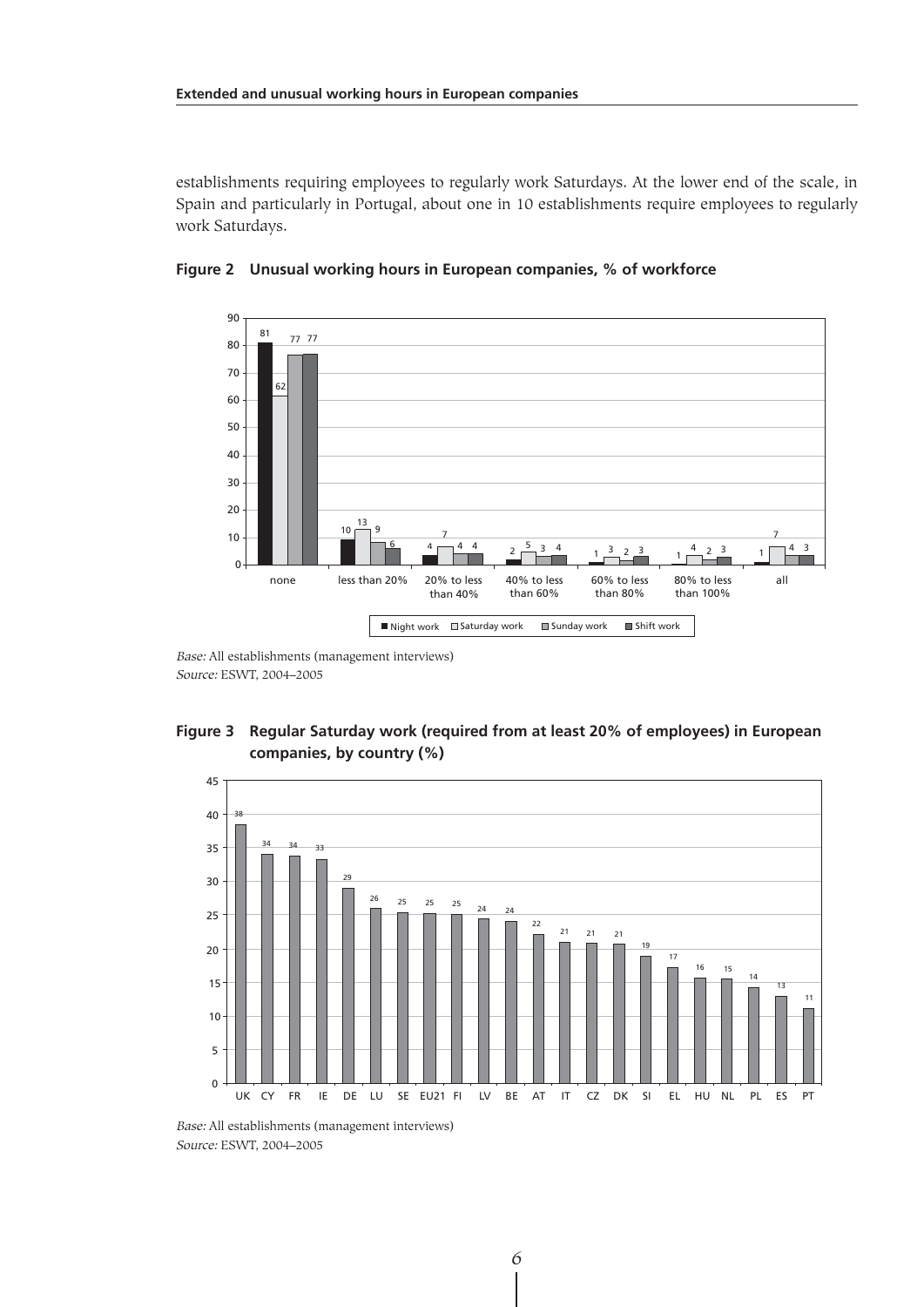establishments requiring employees to regularly work Saturdays. At the lower end of the scale, in Spain and particularly in Portugal, about one in 10 establishments require employees to regularly work Saturdays.



**Figure 2 Unusual working hours in European companies, % of workforce**

Base: All establishments (management interviews) Source: ESWT, 2004–2005





Base: All establishments (management interviews) Source: ESWT, 2004–2005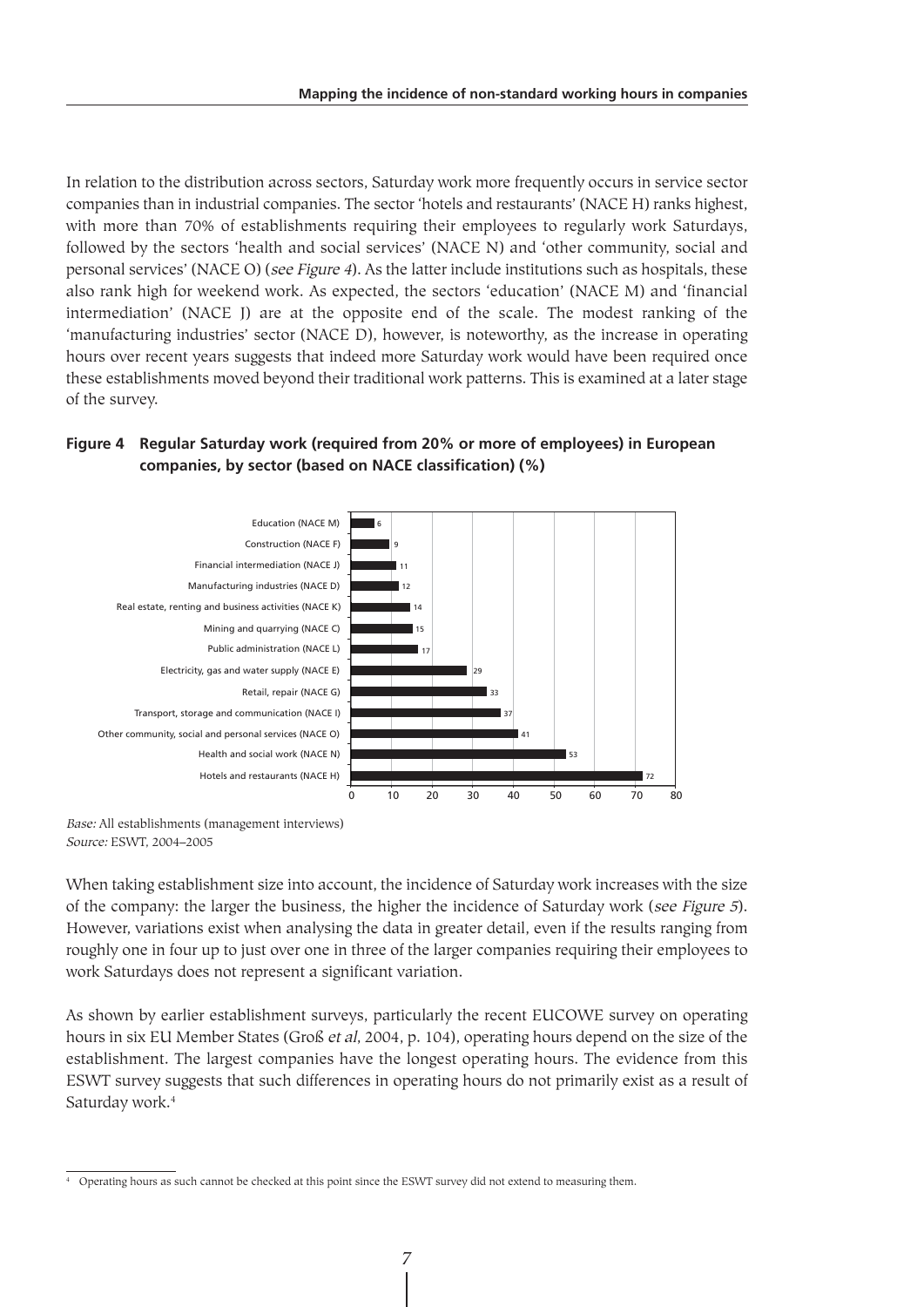In relation to the distribution across sectors, Saturday work more frequently occurs in service sector companies than in industrial companies. The sector 'hotels and restaurants' (NACE H) ranks highest, with more than 70% of establishments requiring their employees to regularly work Saturdays, followed by the sectors 'health and social services' (NACE N) and 'other community, social and personal services' (NACE O) (see Figure 4). As the latter include institutions such as hospitals, these also rank high for weekend work. As expected, the sectors 'education' (NACE M) and 'financial intermediation' (NACE J) are at the opposite end of the scale. The modest ranking of the 'manufacturing industries' sector (NACE D), however, is noteworthy, as the increase in operating hours over recent years suggests that indeed more Saturday work would have been required once these establishments moved beyond their traditional work patterns. This is examined at a later stage of the survey.

#### **Figure 4 Regular Saturday work (required from 20% or more of employees) in European companies, by sector (based on NACE classification) (%)**



Base: All establishments (management interviews) Source: ESWT, 2004–2005

When taking establishment size into account, the incidence of Saturday work increases with the size of the company: the larger the business, the higher the incidence of Saturday work (see Figure 5). However, variations exist when analysing the data in greater detail, even if the results ranging from roughly one in four up to just over one in three of the larger companies requiring their employees to work Saturdays does not represent a significant variation.

As shown by earlier establishment surveys, particularly the recent EUCOWE survey on operating hours in six EU Member States (Groß et al, 2004, p. 104), operating hours depend on the size of the establishment. The largest companies have the longest operating hours. The evidence from this ESWT survey suggests that such differences in operating hours do not primarily exist as a result of Saturday work.<sup>4</sup>

<sup>&</sup>lt;sup>4</sup> Operating hours as such cannot be checked at this point since the ESWT survey did not extend to measuring them.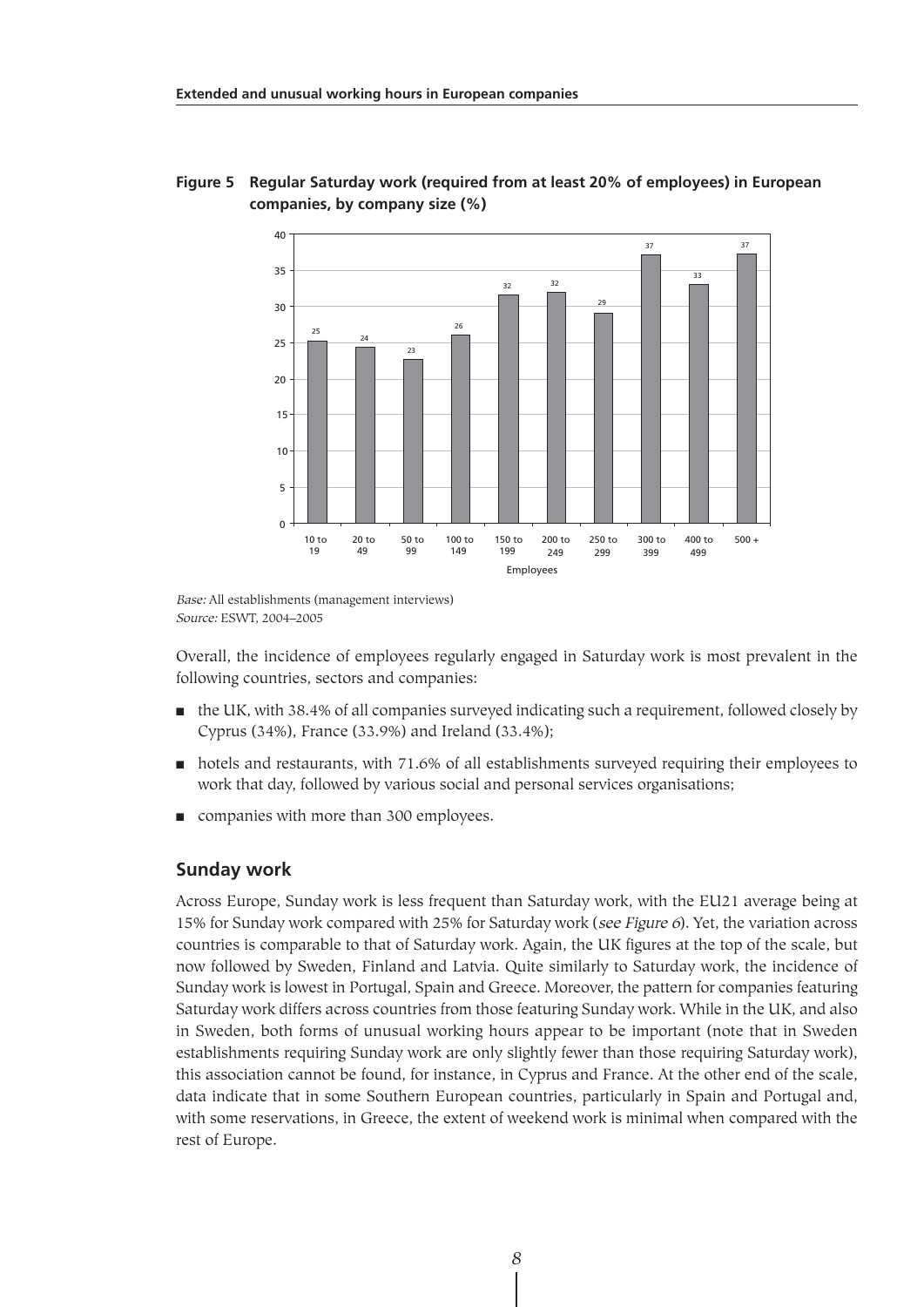

## **Figure 5 Regular Saturday work (required from at least 20% of employees) in European companies, by company size (%)**

Base: All establishments (management interviews) Source: ESWT, 2004–2005

Overall, the incidence of employees regularly engaged in Saturday work is most prevalent in the following countries, sectors and companies:

- the UK, with 38.4% of all companies surveyed indicating such a requirement, followed closely by Cyprus (34%), France (33.9%) and Ireland (33.4%);
- hotels and restaurants, with 71.6% of all establishments surveyed requiring their employees to work that day, followed by various social and personal services organisations;
- companies with more than 300 employees.

# **Sunday work**

Across Europe, Sunday work is less frequent than Saturday work, with the EU21 average being at 15% for Sunday work compared with 25% for Saturday work (see Figure 6). Yet, the variation across countries is comparable to that of Saturday work. Again, the UK figures at the top of the scale, but now followed by Sweden, Finland and Latvia. Quite similarly to Saturday work, the incidence of Sunday work is lowest in Portugal, Spain and Greece. Moreover, the pattern for companies featuring Saturday work differs across countries from those featuring Sunday work. While in the UK, and also in Sweden, both forms of unusual working hours appear to be important (note that in Sweden establishments requiring Sunday work are only slightly fewer than those requiring Saturday work), this association cannot be found, for instance, in Cyprus and France. At the other end of the scale, data indicate that in some Southern European countries, particularly in Spain and Portugal and, with some reservations, in Greece, the extent of weekend work is minimal when compared with the rest of Europe.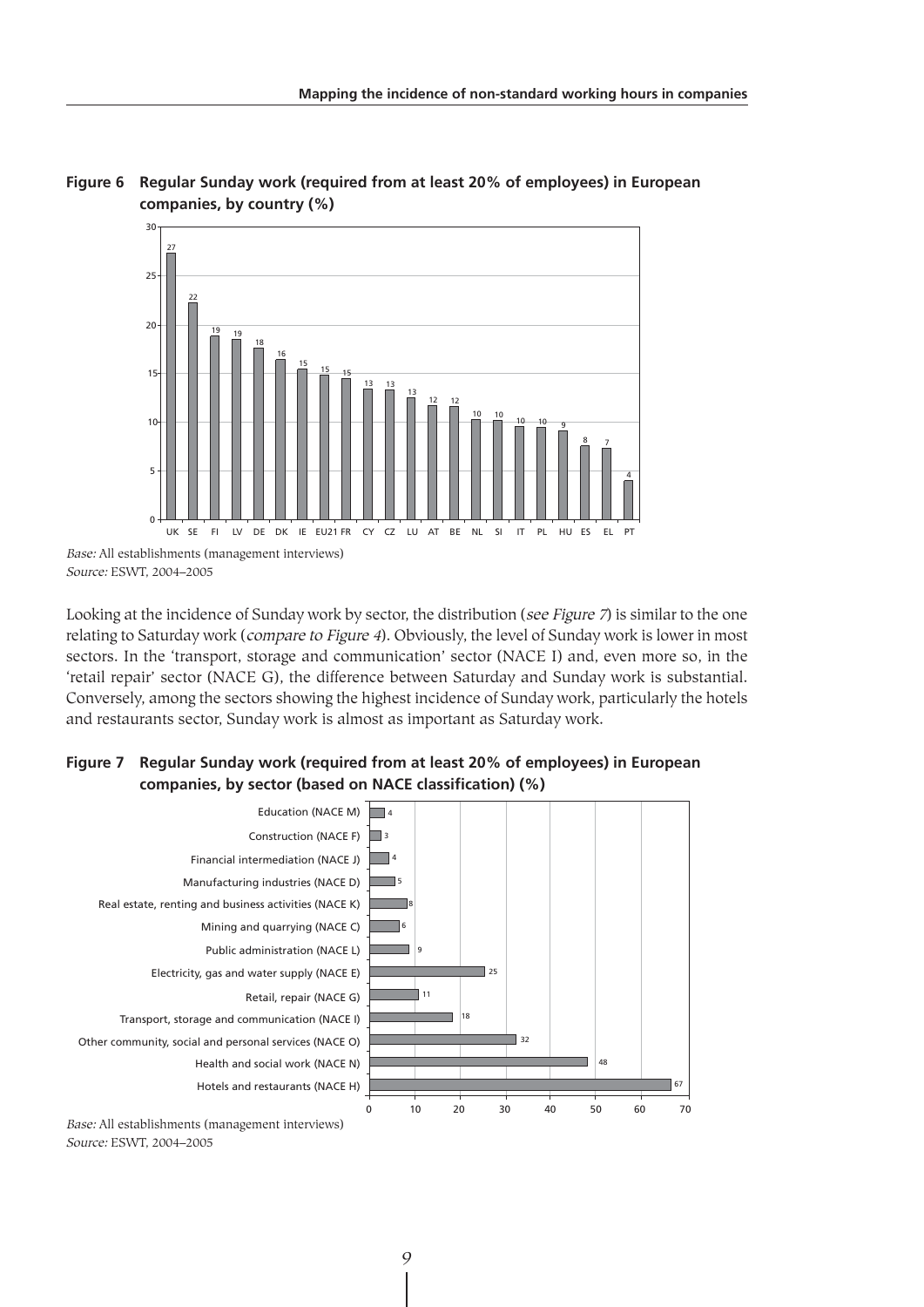

# **Figure 6 Regular Sunday work (required from at least 20% of employees) in European companies, by country (%)**

Looking at the incidence of Sunday work by sector, the distribution (see Figure 7) is similar to the one relating to Saturday work (*compare to Figure 4*). Obviously, the level of Sunday work is lower in most sectors. In the 'transport, storage and communication' sector (NACE I) and, even more so, in the 'retail repair' sector (NACE G), the difference between Saturday and Sunday work is substantial. Conversely, among the sectors showing the highest incidence of Sunday work, particularly the hotels and restaurants sector, Sunday work is almost as important as Saturday work.

# **Figure 7 Regular Sunday work (required from at least 20% of employees) in European companies, by sector (based on NACE classification) (%)**



Source: ESWT, 2004–2005

Base: All establishments (management interviews) Source: ESWT, 2004–2005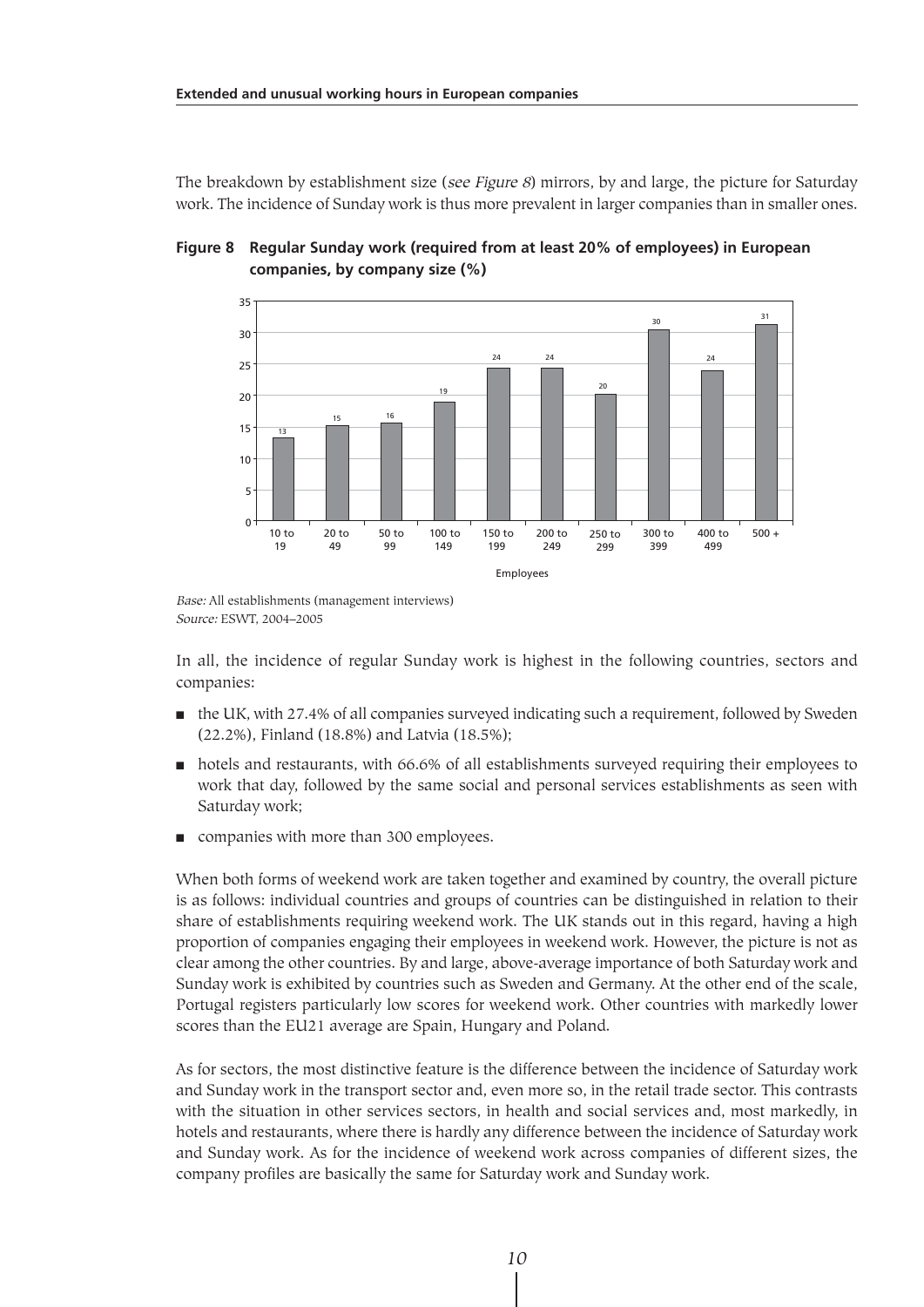The breakdown by establishment size (see Figure 8) mirrors, by and large, the picture for Saturday work. The incidence of Sunday work is thus more prevalent in larger companies than in smaller ones.



#### **Figure 8 Regular Sunday work (required from at least 20% of employees) in European companies, by company size (%)**

In all, the incidence of regular Sunday work is highest in the following countries, sectors and companies:

- the UK, with 27.4% of all companies surveyed indicating such a requirement, followed by Sweden (22.2%), Finland (18.8%) and Latvia (18.5%);
- hotels and restaurants, with 66.6% of all establishments surveyed requiring their employees to work that day, followed by the same social and personal services establishments as seen with Saturday work;
- companies with more than 300 employees.

When both forms of weekend work are taken together and examined by country, the overall picture is as follows: individual countries and groups of countries can be distinguished in relation to their share of establishments requiring weekend work. The UK stands out in this regard, having a high proportion of companies engaging their employees in weekend work. However, the picture is not as clear among the other countries. By and large, above-average importance of both Saturday work and Sunday work is exhibited by countries such as Sweden and Germany. At the other end of the scale, Portugal registers particularly low scores for weekend work. Other countries with markedly lower scores than the EU21 average are Spain, Hungary and Poland.

As for sectors, the most distinctive feature is the difference between the incidence of Saturday work and Sunday work in the transport sector and, even more so, in the retail trade sector. This contrasts with the situation in other services sectors, in health and social services and, most markedly, in hotels and restaurants, where there is hardly any difference between the incidence of Saturday work and Sunday work. As for the incidence of weekend work across companies of different sizes, the company profiles are basically the same for Saturday work and Sunday work.

Base: All establishments (management interviews) Source: ESWT, 2004–2005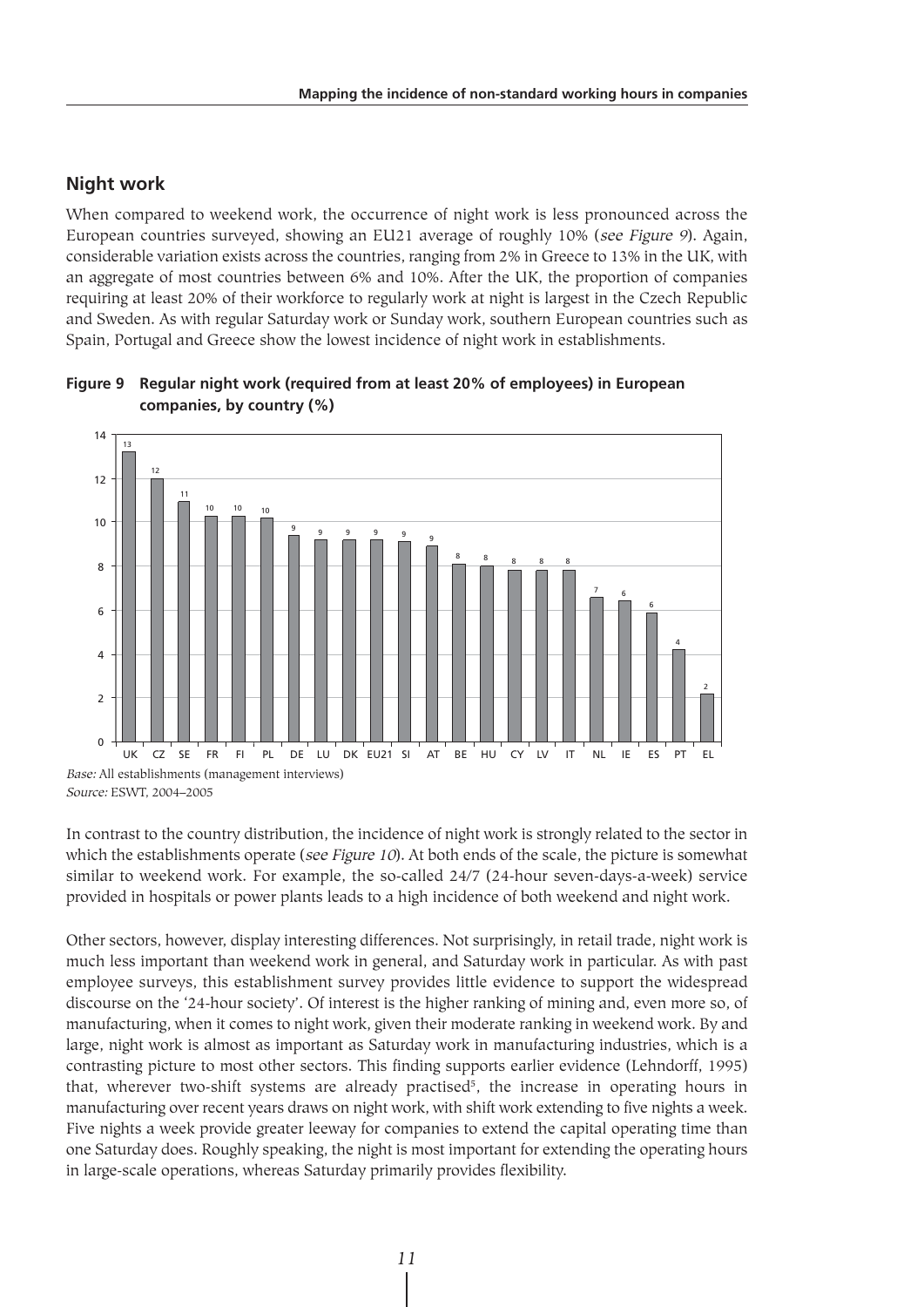## **Night work**

When compared to weekend work, the occurrence of night work is less pronounced across the European countries surveyed, showing an EU21 average of roughly 10% (see Figure 9). Again, considerable variation exists across the countries, ranging from 2% in Greece to 13% in the UK, with an aggregate of most countries between 6% and 10%. After the UK, the proportion of companies requiring at least 20% of their workforce to regularly work at night is largest in the Czech Republic and Sweden. As with regular Saturday work or Sunday work, southern European countries such as Spain, Portugal and Greece show the lowest incidence of night work in establishments.



**Figure 9 Regular night work (required from at least 20% of employees) in European companies, by country (%)**

In contrast to the country distribution, the incidence of night work is strongly related to the sector in which the establishments operate (see Figure 10). At both ends of the scale, the picture is somewhat similar to weekend work. For example, the so-called 24/7 (24-hour seven-days-a-week) service provided in hospitals or power plants leads to a high incidence of both weekend and night work.

Other sectors, however, display interesting differences. Not surprisingly, in retail trade, night work is much less important than weekend work in general, and Saturday work in particular. As with past employee surveys, this establishment survey provides little evidence to support the widespread discourse on the '24-hour society'. Of interest is the higher ranking of mining and, even more so, of manufacturing, when it comes to night work, given their moderate ranking in weekend work. By and large, night work is almost as important as Saturday work in manufacturing industries, which is a contrasting picture to most other sectors. This finding supports earlier evidence (Lehndorff, 1995) that, wherever two-shift systems are already practised<sup>5</sup>, the increase in operating hours in manufacturing over recent years draws on night work, with shift work extending to five nights a week. Five nights a week provide greater leeway for companies to extend the capital operating time than one Saturday does. Roughly speaking, the night is most important for extending the operating hours in large-scale operations, whereas Saturday primarily provides flexibility.

Source: ESWT, 2004–2005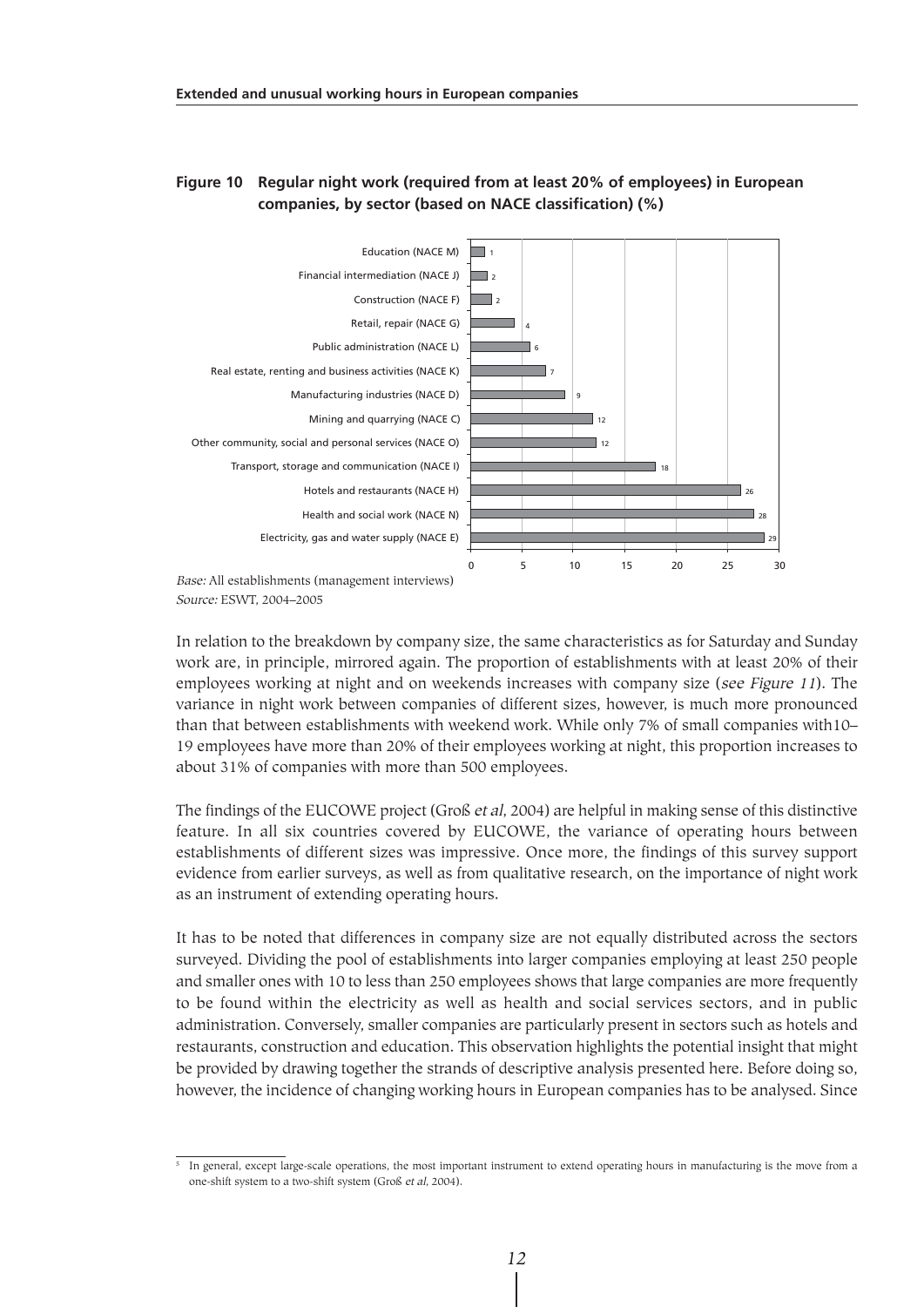### **Figure 10 Regular night work (required from at least 20% of employees) in European companies, by sector (based on NACE classification) (%)**



Source: ESWT, 2004–2005

In relation to the breakdown by company size, the same characteristics as for Saturday and Sunday work are, in principle, mirrored again. The proportion of establishments with at least 20% of their employees working at night and on weekends increases with company size (see Figure 11). The variance in night work between companies of different sizes, however, is much more pronounced than that between establishments with weekend work. While only 7% of small companies with10– 19 employees have more than 20% of their employees working at night, this proportion increases to about 31% of companies with more than 500 employees.

The findings of the EUCOWE project (Groß et al, 2004) are helpful in making sense of this distinctive feature. In all six countries covered by EUCOWE, the variance of operating hours between establishments of different sizes was impressive. Once more, the findings of this survey support evidence from earlier surveys, as well as from qualitative research, on the importance of night work as an instrument of extending operating hours.

It has to be noted that differences in company size are not equally distributed across the sectors surveyed. Dividing the pool of establishments into larger companies employing at least 250 people and smaller ones with 10 to less than 250 employees shows that large companies are more frequently to be found within the electricity as well as health and social services sectors, and in public administration. Conversely, smaller companies are particularly present in sectors such as hotels and restaurants, construction and education. This observation highlights the potential insight that might be provided by drawing together the strands of descriptive analysis presented here. Before doing so, however, the incidence of changing working hours in European companies has to be analysed. Since

<sup>&</sup>lt;sup>5</sup> In general, except large-scale operations, the most important instrument to extend operating hours in manufacturing is the move from a one-shift system to a two-shift system (Groß et al, 2004).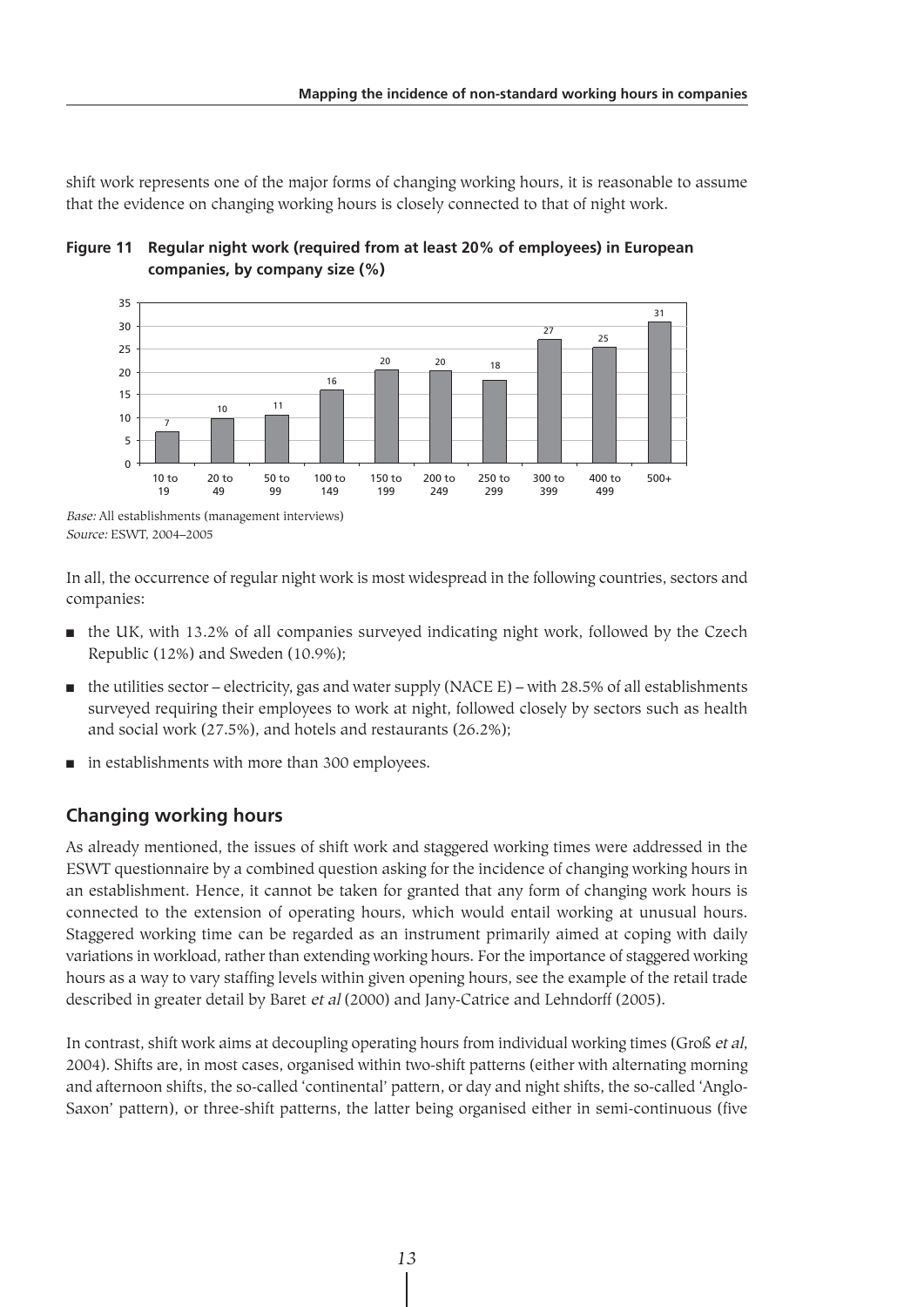shift work represents one of the major forms of changing working hours, it is reasonable to assume that the evidence on changing working hours is closely connected to that of night work.





In all, the occurrence of regular night work is most widespread in the following countries, sectors and companies:

- the UK, with 13.2% of all companies surveyed indicating night work, followed by the Czech Republic (12%) and Sweden (10.9%);
- $\blacksquare$  the utilities sector electricity, gas and water supply (NACE E) with 28.5% of all establishments surveyed requiring their employees to work at night, followed closely by sectors such as health and social work (27.5%), and hotels and restaurants (26.2%);
- in establishments with more than 300 employees.

# **Changing working hours**

As already mentioned, the issues of shift work and staggered working times were addressed in the ESWT questionnaire by a combined question asking for the incidence of changing working hours in an establishment. Hence, it cannot be taken for granted that any form of changing work hours is connected to the extension of operating hours, which would entail working at unusual hours. Staggered working time can be regarded as an instrument primarily aimed at coping with daily variations in workload, rather than extending working hours. For the importance of staggered working hours as a way to vary staffing levels within given opening hours, see the example of the retail trade described in greater detail by Baret et al (2000) and Jany-Catrice and Lehndorff (2005).

In contrast, shift work aims at decoupling operating hours from individual working times (Groß et al, 2004). Shifts are, in most cases, organised within two-shift patterns (either with alternating morning and afternoon shifts, the so-called 'continental' pattern, or day and night shifts, the so-called 'Anglo-Saxon' pattern), or three-shift patterns, the latter being organised either in semi-continuous (five

Base: All establishments (management interviews) Source: ESWT, 2004–2005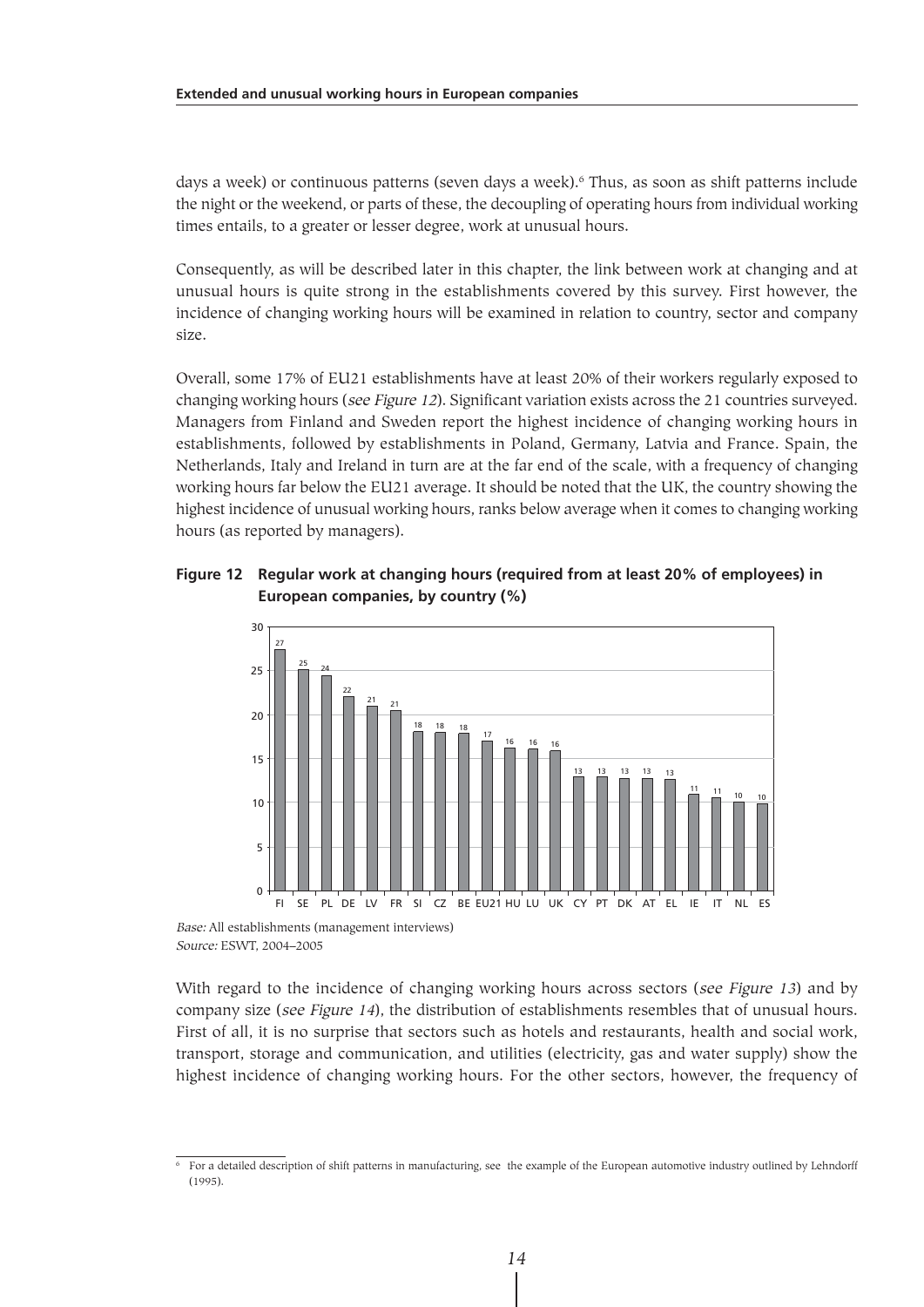days a week) or continuous patterns (seven days a week).6 Thus, as soon as shift patterns include the night or the weekend, or parts of these, the decoupling of operating hours from individual working times entails, to a greater or lesser degree, work at unusual hours.

Consequently, as will be described later in this chapter, the link between work at changing and at unusual hours is quite strong in the establishments covered by this survey. First however, the incidence of changing working hours will be examined in relation to country, sector and company size.

Overall, some 17% of EU21 establishments have at least 20% of their workers regularly exposed to changing working hours (see Figure 12). Significant variation exists across the 21 countries surveyed. Managers from Finland and Sweden report the highest incidence of changing working hours in establishments, followed by establishments in Poland, Germany, Latvia and France. Spain, the Netherlands, Italy and Ireland in turn are at the far end of the scale, with a frequency of changing working hours far below the EU21 average. It should be noted that the UK, the country showing the highest incidence of unusual working hours, ranks below average when it comes to changing working hours (as reported by managers).

#### **Figure 12 Regular work at changing hours (required from at least 20% of employees) in European companies, by country (%)**



Base: All establishments (management interviews) Source: ESWT, 2004–2005

With regard to the incidence of changing working hours across sectors (see Figure 13) and by company size (see Figure 14), the distribution of establishments resembles that of unusual hours. First of all, it is no surprise that sectors such as hotels and restaurants, health and social work, transport, storage and communication, and utilities (electricity, gas and water supply) show the highest incidence of changing working hours. For the other sectors, however, the frequency of

 $\overline{6}$  For a detailed description of shift patterns in manufacturing, see the example of the European automotive industry outlined by Lehndorff (1995).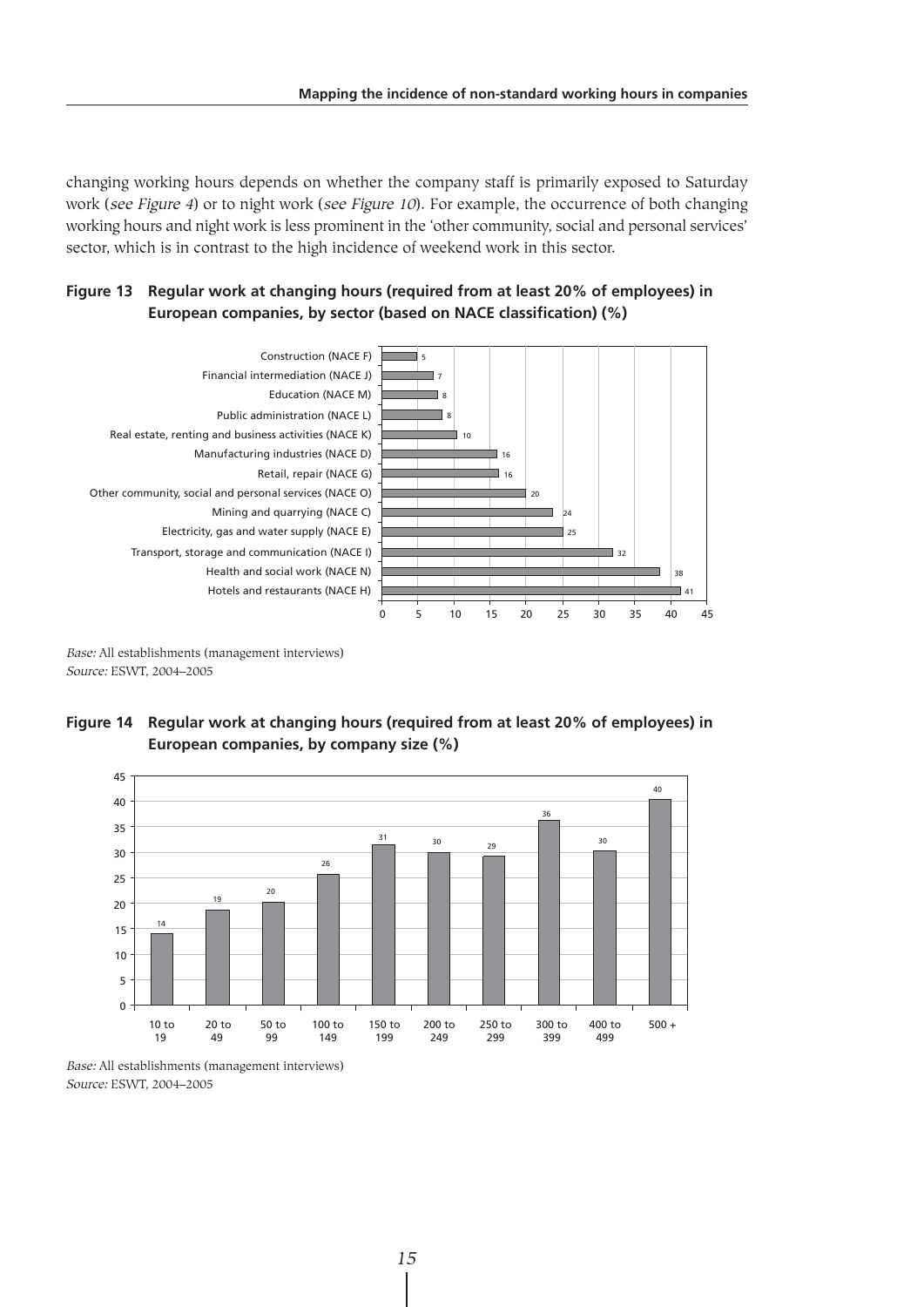changing working hours depends on whether the company staff is primarily exposed to Saturday work (see Figure 4) or to night work (see Figure 10). For example, the occurrence of both changing working hours and night work is less prominent in the 'other community, social and personal services' sector, which is in contrast to the high incidence of weekend work in this sector.





Base: All establishments (management interviews) Source: ESWT, 2004–2005





Base: All establishments (management interviews) Source: ESWT, 2004–2005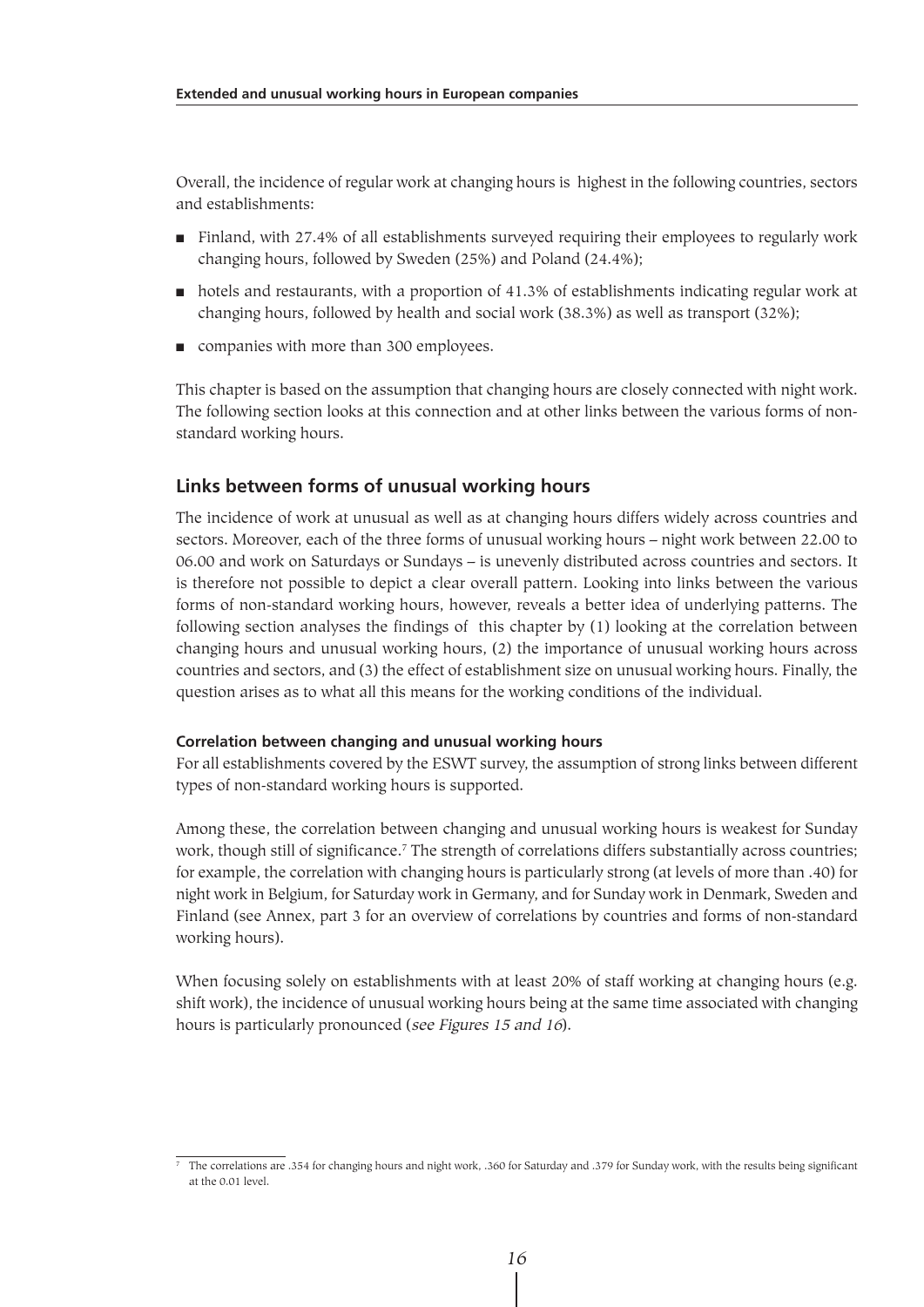Overall, the incidence of regular work at changing hours is highest in the following countries, sectors and establishments:

- Finland, with 27.4% of all establishments surveyed requiring their employees to regularly work changing hours, followed by Sweden (25%) and Poland (24.4%);
- hotels and restaurants, with a proportion of 41.3% of establishments indicating regular work at changing hours, followed by health and social work (38.3%) as well as transport (32%);
- companies with more than 300 employees.

This chapter is based on the assumption that changing hours are closely connected with night work. The following section looks at this connection and at other links between the various forms of nonstandard working hours.

# **Links between forms of unusual working hours**

The incidence of work at unusual as well as at changing hours differs widely across countries and sectors. Moreover, each of the three forms of unusual working hours – night work between 22.00 to 06.00 and work on Saturdays or Sundays – is unevenly distributed across countries and sectors. It is therefore not possible to depict a clear overall pattern. Looking into links between the various forms of non-standard working hours, however, reveals a better idea of underlying patterns. The following section analyses the findings of this chapter by (1) looking at the correlation between changing hours and unusual working hours, (2) the importance of unusual working hours across countries and sectors, and (3) the effect of establishment size on unusual working hours. Finally, the question arises as to what all this means for the working conditions of the individual.

#### **Correlation between changing and unusual working hours**

For all establishments covered by the ESWT survey, the assumption of strong links between different types of non-standard working hours is supported.

Among these, the correlation between changing and unusual working hours is weakest for Sunday work, though still of significance.<sup>7</sup> The strength of correlations differs substantially across countries; for example, the correlation with changing hours is particularly strong (at levels of more than .40) for night work in Belgium, for Saturday work in Germany, and for Sunday work in Denmark, Sweden and Finland (see Annex, part 3 for an overview of correlations by countries and forms of non-standard working hours).

When focusing solely on establishments with at least 20% of staff working at changing hours (e.g. shift work), the incidence of unusual working hours being at the same time associated with changing hours is particularly pronounced (see Figures 15 and 16).

<sup>7</sup> The correlations are .354 for changing hours and night work, .360 for Saturday and .379 for Sunday work, with the results being significant at the 0.01 level.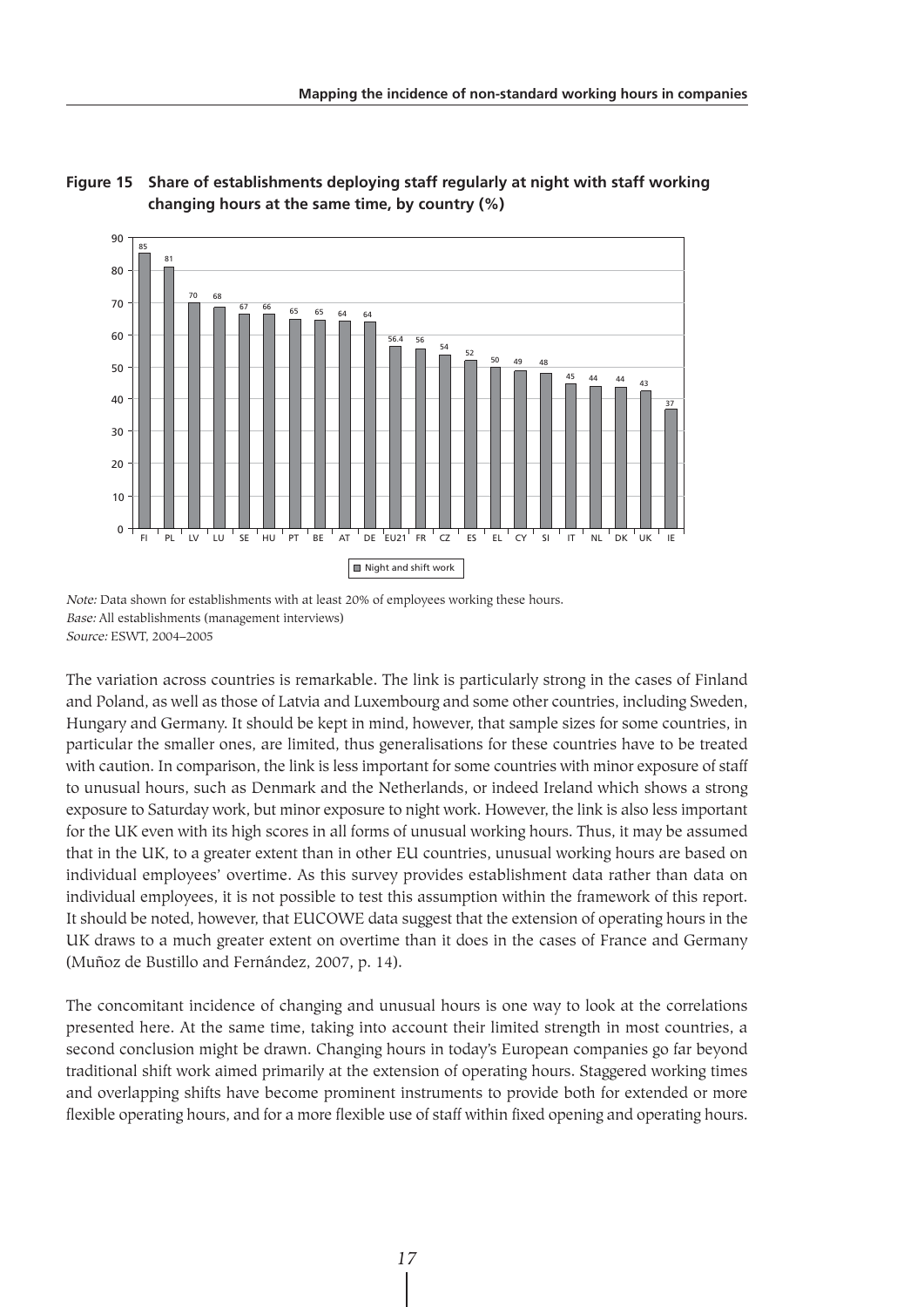



Note: Data shown for establishments with at least 20% of employees working these hours. Base: All establishments (management interviews) Source: ESWT, 2004–2005

The variation across countries is remarkable. The link is particularly strong in the cases of Finland and Poland, as well as those of Latvia and Luxembourg and some other countries, including Sweden, Hungary and Germany. It should be kept in mind, however, that sample sizes for some countries, in particular the smaller ones, are limited, thus generalisations for these countries have to be treated with caution. In comparison, the link is less important for some countries with minor exposure of staff to unusual hours, such as Denmark and the Netherlands, or indeed Ireland which shows a strong exposure to Saturday work, but minor exposure to night work. However, the link is also less important for the UK even with its high scores in all forms of unusual working hours. Thus, it may be assumed that in the UK, to a greater extent than in other EU countries, unusual working hours are based on individual employees' overtime. As this survey provides establishment data rather than data on individual employees, it is not possible to test this assumption within the framework of this report. It should be noted, however, that EUCOWE data suggest that the extension of operating hours in the UK draws to a much greater extent on overtime than it does in the cases of France and Germany (Muñoz de Bustillo and Fernández, 2007, p. 14).

The concomitant incidence of changing and unusual hours is one way to look at the correlations presented here. At the same time, taking into account their limited strength in most countries, a second conclusion might be drawn. Changing hours in today's European companies go far beyond traditional shift work aimed primarily at the extension of operating hours. Staggered working times and overlapping shifts have become prominent instruments to provide both for extended or more flexible operating hours, and for a more flexible use of staff within fixed opening and operating hours.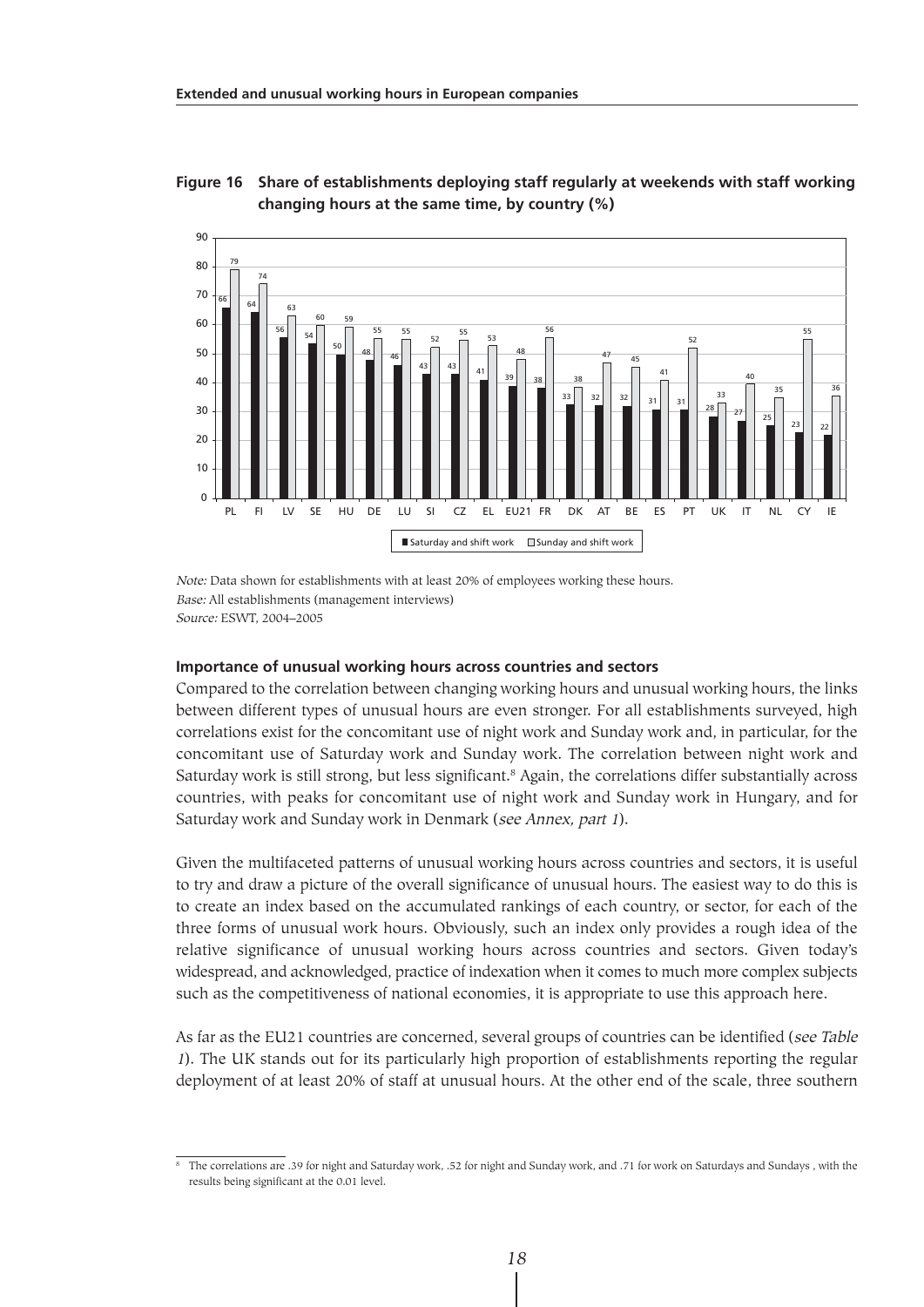

**Figure 16 Share of establishments deploying staff regularly at weekends with staff working changing hours at the same time, by country (%)**

Note: Data shown for establishments with at least 20% of employees working these hours. Base: All establishments (management interviews) Source: ESWT, 2004–2005

#### **Importance of unusual working hours across countries and sectors**

Compared to the correlation between changing working hours and unusual working hours, the links between different types of unusual hours are even stronger. For all establishments surveyed, high correlations exist for the concomitant use of night work and Sunday work and, in particular, for the concomitant use of Saturday work and Sunday work. The correlation between night work and Saturday work is still strong, but less significant.<sup>8</sup> Again, the correlations differ substantially across countries, with peaks for concomitant use of night work and Sunday work in Hungary, and for Saturday work and Sunday work in Denmark (see Annex, part 1).

Given the multifaceted patterns of unusual working hours across countries and sectors, it is useful to try and draw a picture of the overall significance of unusual hours. The easiest way to do this is to create an index based on the accumulated rankings of each country, or sector, for each of the three forms of unusual work hours. Obviously, such an index only provides a rough idea of the relative significance of unusual working hours across countries and sectors. Given today's widespread, and acknowledged, practice of indexation when it comes to much more complex subjects such as the competitiveness of national economies, it is appropriate to use this approach here.

As far as the EU21 countries are concerned, several groups of countries can be identified (see Table <sup>1</sup>). The UK stands out for its particularly high proportion of establishments reporting the regular deployment of at least 20% of staff at unusual hours. At the other end of the scale, three southern

<sup>8</sup> The correlations are .39 for night and Saturday work, .52 for night and Sunday work, and .71 for work on Saturdays and Sundays , with the results being significant at the 0.01 level.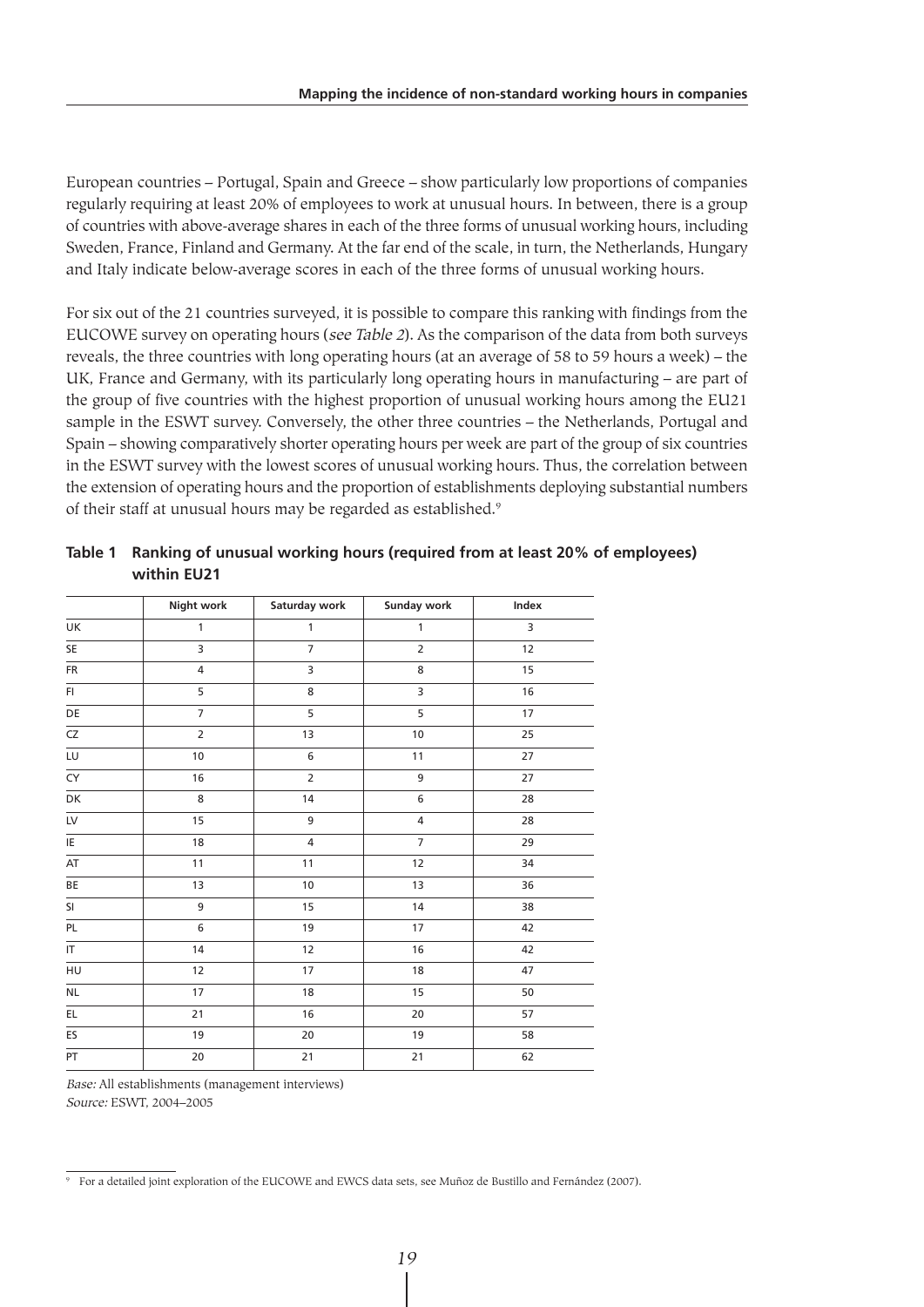European countries – Portugal, Spain and Greece – show particularly low proportions of companies regularly requiring at least 20% of employees to work at unusual hours. In between, there is a group of countries with above-average shares in each of the three forms of unusual working hours, including Sweden, France, Finland and Germany. At the far end of the scale, in turn, the Netherlands, Hungary and Italy indicate below-average scores in each of the three forms of unusual working hours.

For six out of the 21 countries surveyed, it is possible to compare this ranking with findings from the EUCOWE survey on operating hours (see Table 2). As the comparison of the data from both surveys reveals, the three countries with long operating hours (at an average of 58 to 59 hours a week) – the UK, France and Germany, with its particularly long operating hours in manufacturing – are part of the group of five countries with the highest proportion of unusual working hours among the EU21 sample in the ESWT survey. Conversely, the other three countries – the Netherlands, Portugal and Spain – showing comparatively shorter operating hours per week are part of the group of six countries in the ESWT survey with the lowest scores of unusual working hours. Thus, the correlation between the extension of operating hours and the proportion of establishments deploying substantial numbers of their staff at unusual hours may be regarded as established.<sup>9</sup>

|                                   | <b>Night work</b> | Saturday work  | <b>Sunday work</b>      | Index  |
|-----------------------------------|-------------------|----------------|-------------------------|--------|
| UK                                | 1                 | $\mathbf{1}$   | $\mathbf{1}$            | 3      |
| SE                                | 3                 | $\overline{7}$ | $\overline{2}$          | 12     |
| FR                                | $\overline{4}$    | 3              | 8                       | 15     |
| FI.                               | 5                 | 8              | 3                       | $16\,$ |
| DE                                | $\overline{7}$    | $\overline{5}$ | $\overline{5}$          | 17     |
| $\overline{CZ}$                   | $\overline{2}$    | 13             | $10\,$                  | 25     |
| LU                                | 10                | 6              | $11$                    | 27     |
| $\overline{CY}$                   | 16                | $\overline{2}$ | 9                       | 27     |
| DK                                | 8                 | 14             | $\overline{6}$          | 28     |
| $\overline{LV}$                   | 15                | 9              | $\overline{\mathbf{4}}$ | 28     |
| E                                 | 18                | 4              | $\overline{7}$          | 29     |
| AT                                | 11                | 11             | 12                      | 34     |
| BE                                | 13                | 10             | 13                      | 36     |
| SI                                | 9                 | 15             | 14                      | 38     |
| PL                                | 6                 | 19             | 17                      | 42     |
| $\ensuremath{\mathsf{IT}}\xspace$ | 14                | 12             | 16                      | 42     |
| HU                                | 12                | 17             | 18                      | 47     |
| $\sf NL$                          | 17                | 18             | 15                      | 50     |
| EL.                               | 21                | 16             | 20                      | 57     |
| ES                                | 19                | $20\,$         | 19                      | 58     |
| PT                                | $\overline{20}$   | 21             | $21$                    | 62     |

**Table 1 Ranking of unusual working hours (required from at least 20% of employees) within EU21**

Base: All establishments (management interviews) Source: ESWT, 2004–2005

<sup>&</sup>lt;sup>9</sup> For a detailed joint exploration of the EUCOWE and EWCS data sets, see Muñoz de Bustillo and Fernández (2007).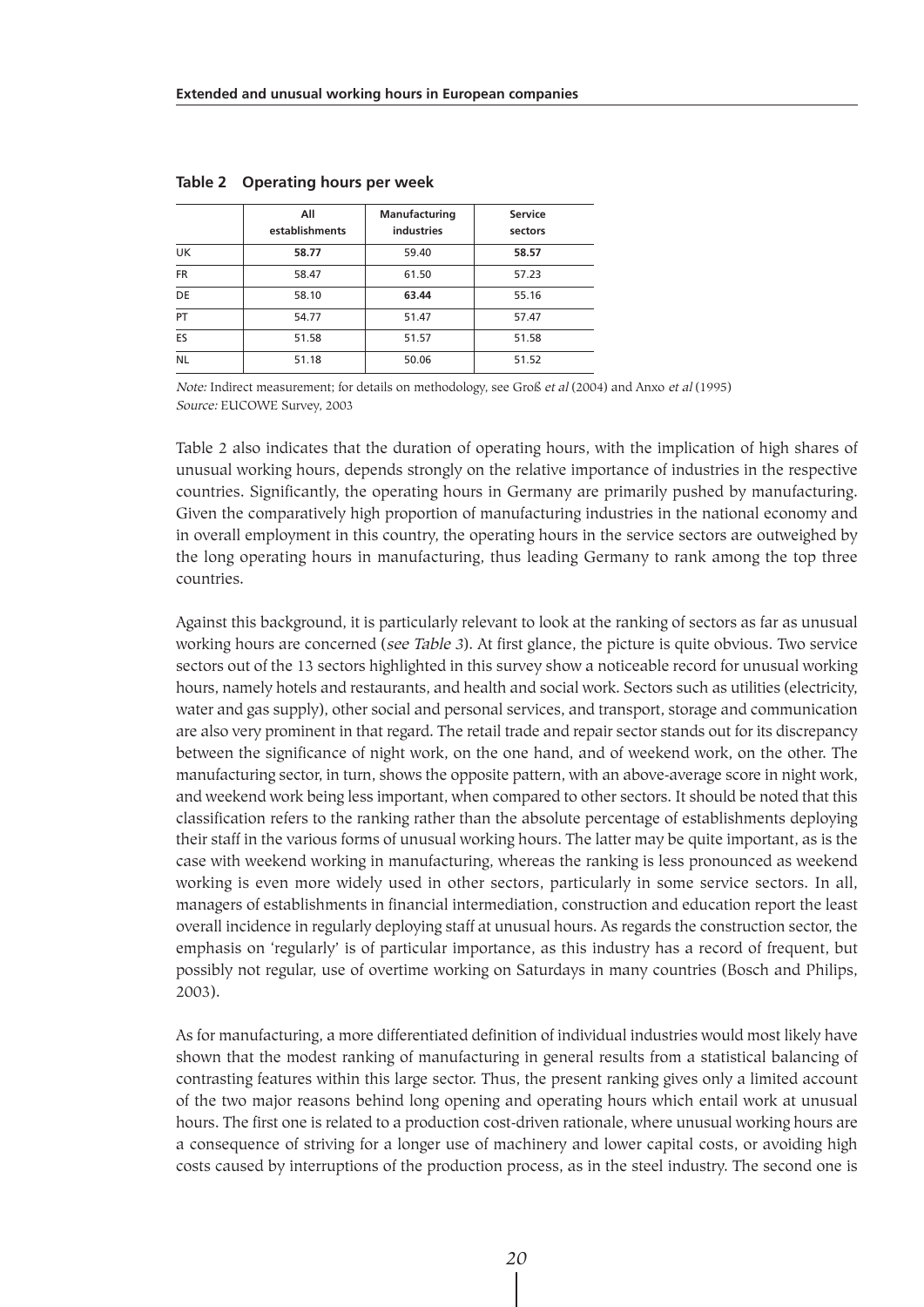|           | All<br>establishments | Manufacturing<br>industries | <b>Service</b><br>sectors |
|-----------|-----------------------|-----------------------------|---------------------------|
| UK        | 58.77                 | 59.40                       | 58.57                     |
| <b>FR</b> | 58.47                 | 61.50                       | 57.23                     |
| DE        | 58.10                 | 63.44                       | 55.16                     |
| PT        | 54.77                 | 51.47                       | 57.47                     |
| ES        | 51.58                 | 51.57                       | 51.58                     |
| <b>NL</b> | 51.18                 | 50.06                       | 51.52                     |

|  | Table 2 Operating hours per week |  |  |  |  |
|--|----------------------------------|--|--|--|--|
|--|----------------------------------|--|--|--|--|

Note: Indirect measurement; for details on methodology, see Groß et al (2004) and Anxo et al (1995) Source: EUCOWE Survey, 2003

Table 2 also indicates that the duration of operating hours, with the implication of high shares of unusual working hours, depends strongly on the relative importance of industries in the respective countries. Significantly, the operating hours in Germany are primarily pushed by manufacturing. Given the comparatively high proportion of manufacturing industries in the national economy and in overall employment in this country, the operating hours in the service sectors are outweighed by the long operating hours in manufacturing, thus leading Germany to rank among the top three countries.

Against this background, it is particularly relevant to look at the ranking of sectors as far as unusual working hours are concerned (see Table 3). At first glance, the picture is quite obvious. Two service sectors out of the 13 sectors highlighted in this survey show a noticeable record for unusual working hours, namely hotels and restaurants, and health and social work. Sectors such as utilities (electricity, water and gas supply), other social and personal services, and transport, storage and communication are also very prominent in that regard. The retail trade and repair sector stands out for its discrepancy between the significance of night work, on the one hand, and of weekend work, on the other. The manufacturing sector, in turn, shows the opposite pattern, with an above-average score in night work, and weekend work being less important, when compared to other sectors. It should be noted that this classification refers to the ranking rather than the absolute percentage of establishments deploying their staff in the various forms of unusual working hours. The latter may be quite important, as is the case with weekend working in manufacturing, whereas the ranking is less pronounced as weekend working is even more widely used in other sectors, particularly in some service sectors. In all, managers of establishments in financial intermediation, construction and education report the least overall incidence in regularly deploying staff at unusual hours. As regards the construction sector, the emphasis on 'regularly' is of particular importance, as this industry has a record of frequent, but possibly not regular, use of overtime working on Saturdays in many countries (Bosch and Philips, 2003).

As for manufacturing, a more differentiated definition of individual industries would most likely have shown that the modest ranking of manufacturing in general results from a statistical balancing of contrasting features within this large sector. Thus, the present ranking gives only a limited account of the two major reasons behind long opening and operating hours which entail work at unusual hours. The first one is related to a production cost-driven rationale, where unusual working hours are a consequence of striving for a longer use of machinery and lower capital costs, or avoiding high costs caused by interruptions of the production process, as in the steel industry. The second one is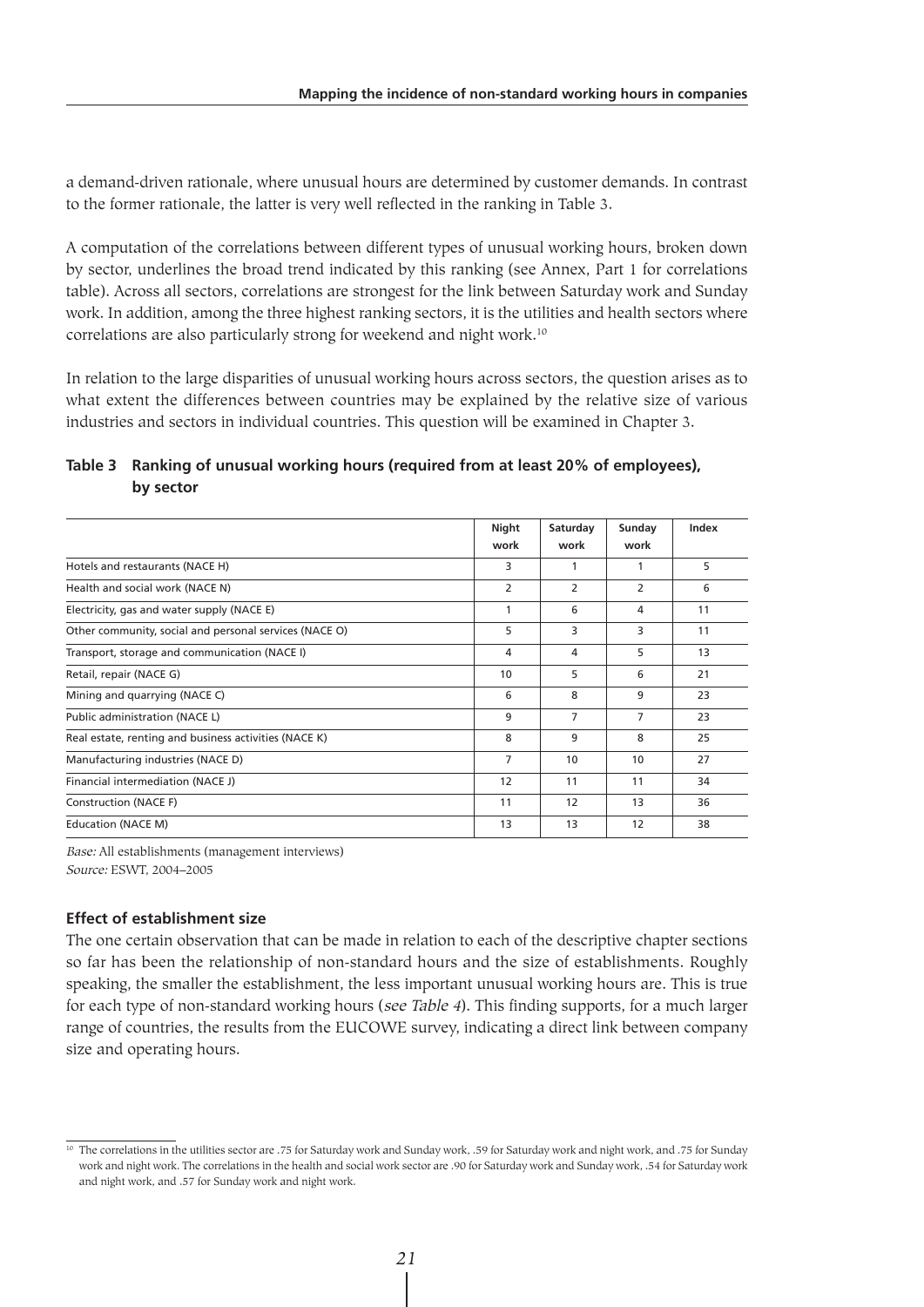a demand-driven rationale, where unusual hours are determined by customer demands. In contrast to the former rationale, the latter is very well reflected in the ranking in Table 3.

A computation of the correlations between different types of unusual working hours, broken down by sector, underlines the broad trend indicated by this ranking (see Annex, Part 1 for correlations table). Across all sectors, correlations are strongest for the link between Saturday work and Sunday work. In addition, among the three highest ranking sectors, it is the utilities and health sectors where correlations are also particularly strong for weekend and night work.10

In relation to the large disparities of unusual working hours across sectors, the question arises as to what extent the differences between countries may be explained by the relative size of various industries and sectors in individual countries. This question will be examined in Chapter 3.

### **Table 3 Ranking of unusual working hours (required from at least 20% of employees), by sector**

|                                                        | Night<br>work  | Saturday<br>work | Sunday<br>work | Index |
|--------------------------------------------------------|----------------|------------------|----------------|-------|
| Hotels and restaurants (NACE H)                        | 3              | 1                | 1              | 5     |
| Health and social work (NACE N)                        | $\overline{2}$ | $\overline{2}$   | 2              | 6     |
| Electricity, gas and water supply (NACE E)             | 1              | 6                | 4              | 11    |
| Other community, social and personal services (NACE O) | 5              | 3                | 3              | 11    |
| Transport, storage and communication (NACE I)          | 4              | 4                | 5              | 13    |
| Retail, repair (NACE G)                                | 10             | 5                | 6              | 21    |
| Mining and quarrying (NACE C)                          | 6              | 8                | 9              | 23    |
| Public administration (NACE L)                         | 9              | $\overline{7}$   | $\overline{7}$ | 23    |
| Real estate, renting and business activities (NACE K)  | 8              | 9                | 8              | 25    |
| Manufacturing industries (NACE D)                      | $\overline{7}$ | 10               | 10             | 27    |
| Financial intermediation (NACE J)                      | 12             | 11               | 11             | 34    |
| Construction (NACE F)                                  | 11             | 12               | 13             | 36    |
| Education (NACE M)                                     | 13             | 13               | 12             | 38    |
|                                                        |                |                  |                |       |

Base: All establishments (management interviews) Source: ESWT, 2004–2005

#### **Effect of establishment size**

The one certain observation that can be made in relation to each of the descriptive chapter sections so far has been the relationship of non-standard hours and the size of establishments. Roughly speaking, the smaller the establishment, the less important unusual working hours are. This is true for each type of non-standard working hours (see Table 4). This finding supports, for a much larger range of countries, the results from the EUCOWE survey, indicating a direct link between company size and operating hours.

<sup>&</sup>lt;sup>10</sup> The correlations in the utilities sector are .75 for Saturday work and Sunday work, .59 for Saturday work and night work, and .75 for Sunday work and night work. The correlations in the health and social work sector are .90 for Saturday work and Sunday work, .54 for Saturday work and night work, and .57 for Sunday work and night work.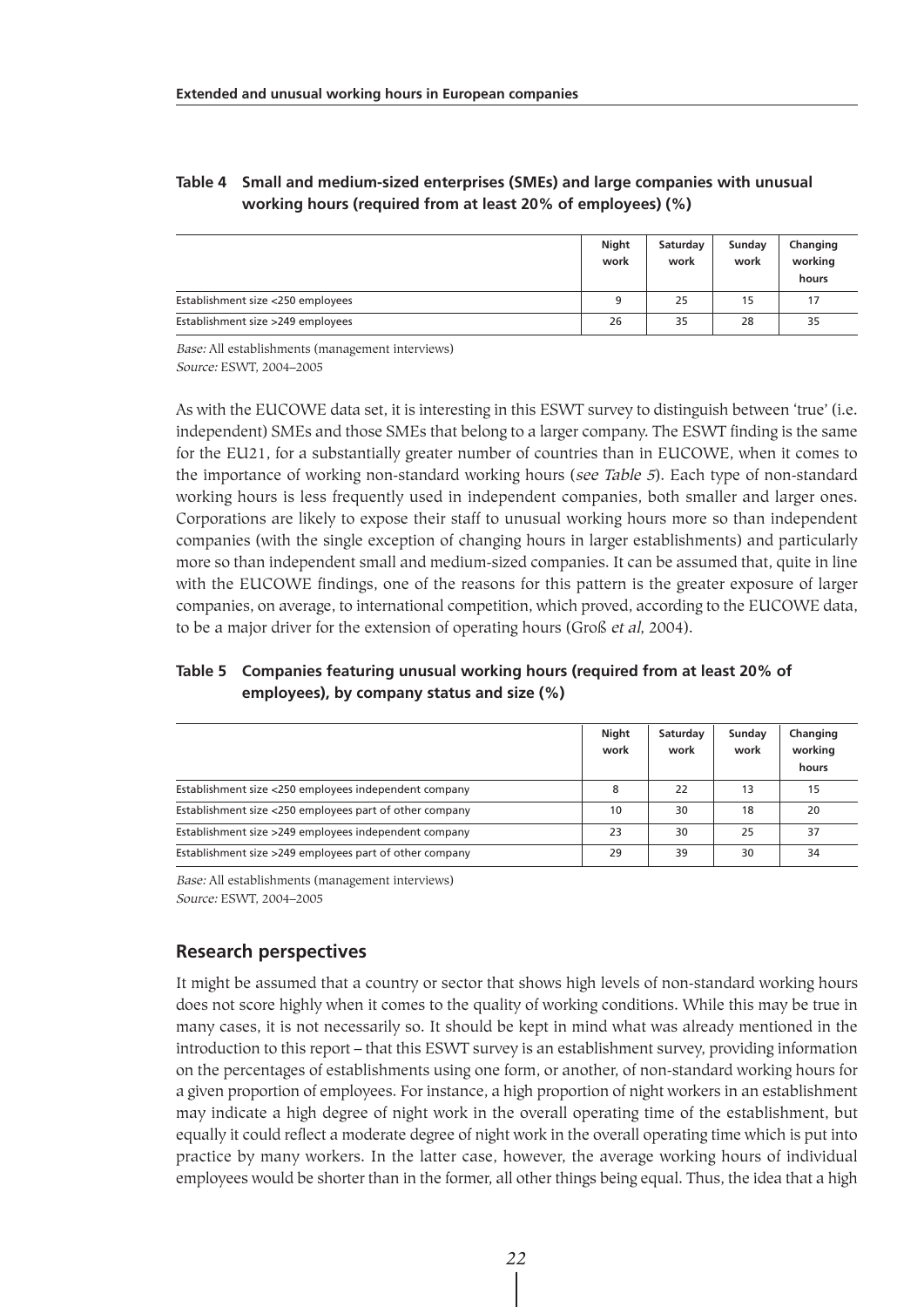#### **Table 4 Small and medium-sized enterprises (SMEs) and large companies with unusual working hours (required from at least 20% of employees) (%)**

|                                   | Night<br>work | Saturday<br>work | Sunday<br>work | Changing<br>working<br>hours |
|-----------------------------------|---------------|------------------|----------------|------------------------------|
| Establishment size <250 employees | 9             | 25               | 15             | 17                           |
| Establishment size >249 employees | 26            | 35               | 28             | 35                           |

Base: All establishments (management interviews)

Source: ESWT, 2004–2005

As with the EUCOWE data set, it is interesting in this ESWT survey to distinguish between 'true' (i.e. independent) SMEs and those SMEs that belong to a larger company. The ESWT finding is the same for the EU21, for a substantially greater number of countries than in EUCOWE, when it comes to the importance of working non-standard working hours (see Table 5). Each type of non-standard working hours is less frequently used in independent companies, both smaller and larger ones. Corporations are likely to expose their staff to unusual working hours more so than independent companies (with the single exception of changing hours in larger establishments) and particularly more so than independent small and medium-sized companies. It can be assumed that, quite in line with the EUCOWE findings, one of the reasons for this pattern is the greater exposure of larger companies, on average, to international competition, which proved, according to the EUCOWE data, to be a major driver for the extension of operating hours (Groß et al, 2004).

### **Table 5 Companies featuring unusual working hours (required from at least 20% of employees), by company status and size (%)**

|                                                         | Night<br>work | Saturday<br>work | Sunday<br>work | Changing<br>working |
|---------------------------------------------------------|---------------|------------------|----------------|---------------------|
|                                                         |               |                  |                | hours               |
| Establishment size <250 employees independent company   | 8             | 22               | 13             | 15                  |
| Establishment size <250 employees part of other company | 10            | 30               | 18             | 20                  |
| Establishment size >249 employees independent company   | 23            | 30               | 25             | 37                  |
| Establishment size >249 employees part of other company | 29            | 39               | 30             | 34                  |

Base: All establishments (management interviews) Source: ESWT, 2004–2005

# **Research perspectives**

It might be assumed that a country or sector that shows high levels of non-standard working hours does not score highly when it comes to the quality of working conditions. While this may be true in many cases, it is not necessarily so. It should be kept in mind what was already mentioned in the introduction to this report – that this ESWT survey is an establishment survey, providing information on the percentages of establishments using one form, or another, of non-standard working hours for a given proportion of employees. For instance, a high proportion of night workers in an establishment may indicate a high degree of night work in the overall operating time of the establishment, but equally it could reflect a moderate degree of night work in the overall operating time which is put into practice by many workers. In the latter case, however, the average working hours of individual employees would be shorter than in the former, all other things being equal. Thus, the idea that a high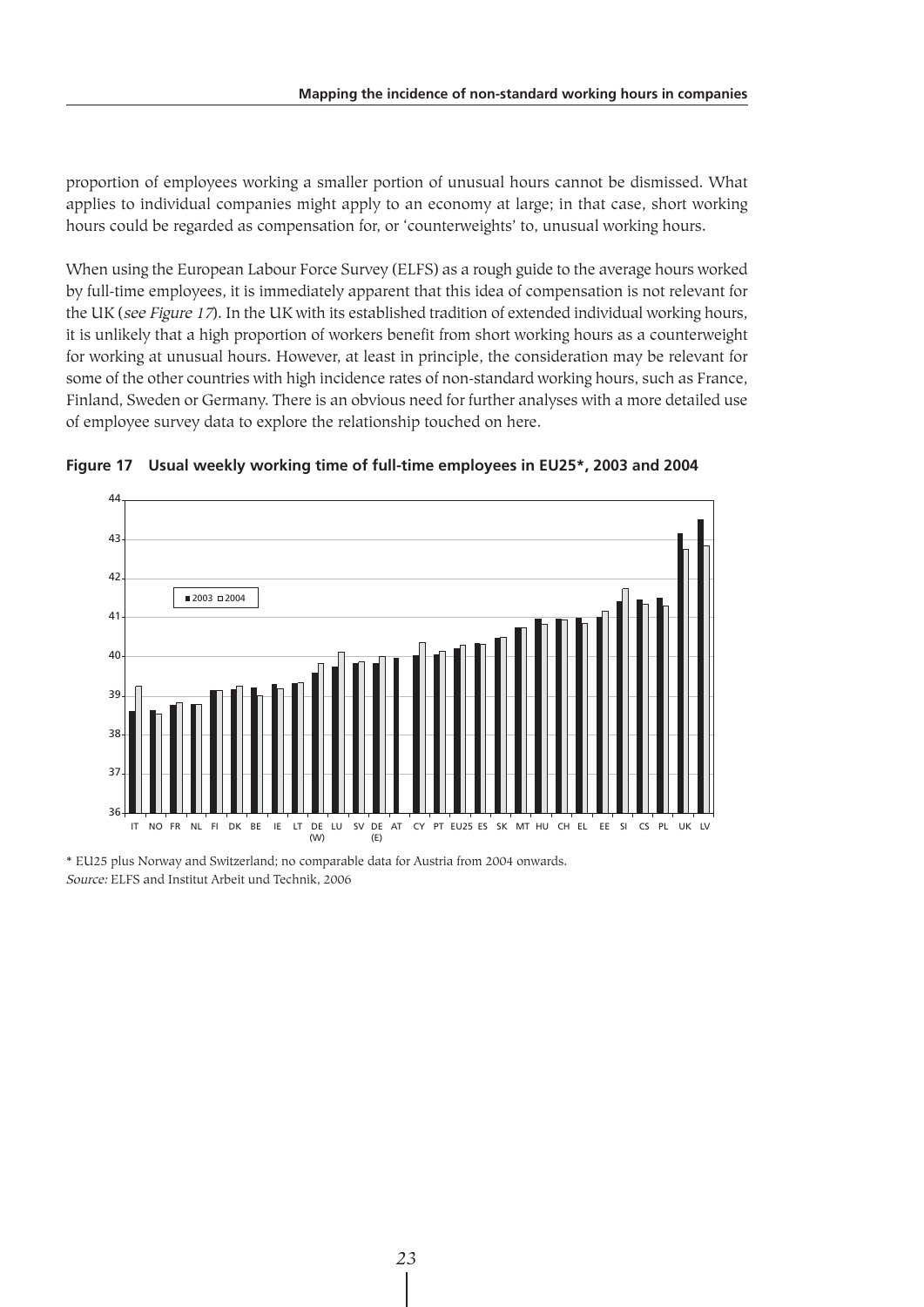proportion of employees working a smaller portion of unusual hours cannot be dismissed. What applies to individual companies might apply to an economy at large; in that case, short working hours could be regarded as compensation for, or 'counterweights' to, unusual working hours.

When using the European Labour Force Survey (ELFS) as a rough guide to the average hours worked by full-time employees, it is immediately apparent that this idea of compensation is not relevant for the UK (see Figure 17). In the UK with its established tradition of extended individual working hours, it is unlikely that a high proportion of workers benefit from short working hours as a counterweight for working at unusual hours. However, at least in principle, the consideration may be relevant for some of the other countries with high incidence rates of non-standard working hours, such as France, Finland, Sweden or Germany. There is an obvious need for further analyses with a more detailed use of employee survey data to explore the relationship touched on here.



**Figure 17 Usual weekly working time of full-time employees in EU25\*, 2003 and 2004**

\* EU25 plus Norway and Switzerland; no comparable data for Austria from 2004 onwards. Source: ELFS and Institut Arbeit und Technik, 2006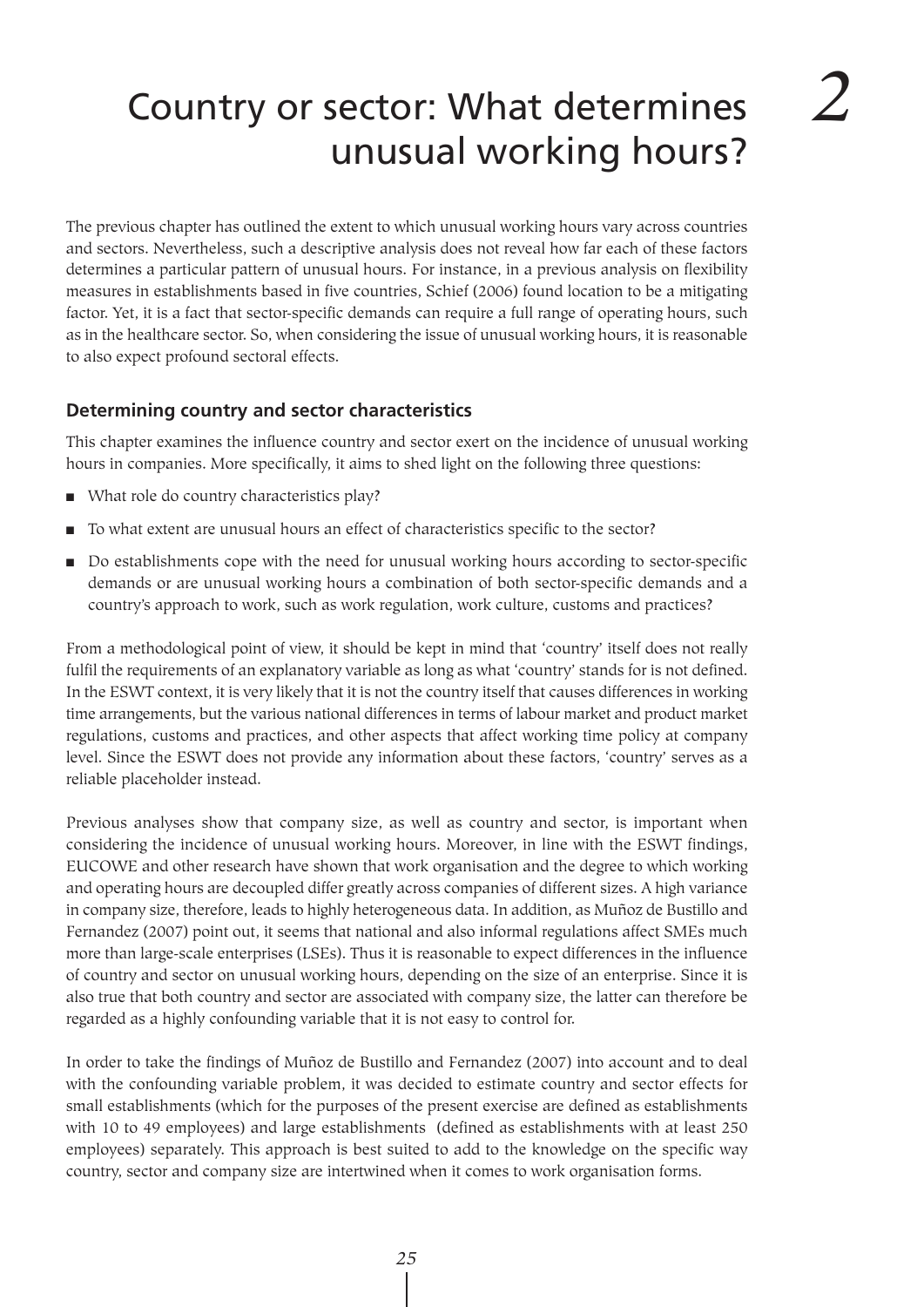# Country or sector: What determines unusual working hours?

The previous chapter has outlined the extent to which unusual working hours vary across countries and sectors. Nevertheless, such a descriptive analysis does not reveal how far each of these factors determines a particular pattern of unusual hours. For instance, in a previous analysis on flexibility measures in establishments based in five countries, Schief (2006) found location to be a mitigating factor. Yet, it is a fact that sector-specific demands can require a full range of operating hours, such as in the healthcare sector. So, when considering the issue of unusual working hours, it is reasonable to also expect profound sectoral effects.

# **Determining country and sector characteristics**

This chapter examines the influence country and sector exert on the incidence of unusual working hours in companies. More specifically, it aims to shed light on the following three questions:

- What role do country characteristics play?
- To what extent are unusual hours an effect of characteristics specific to the sector?
- Do establishments cope with the need for unusual working hours according to sector-specific demands or are unusual working hours a combination of both sector-specific demands and a country's approach to work, such as work regulation, work culture, customs and practices?

From a methodological point of view, it should be kept in mind that 'country' itself does not really fulfil the requirements of an explanatory variable as long as what 'country' stands for is not defined. In the ESWT context, it is very likely that it is not the country itself that causes differences in working time arrangements, but the various national differences in terms of labour market and product market regulations, customs and practices, and other aspects that affect working time policy at company level. Since the ESWT does not provide any information about these factors, 'country' serves as a reliable placeholder instead.

Previous analyses show that company size, as well as country and sector, is important when considering the incidence of unusual working hours. Moreover, in line with the ESWT findings, EUCOWE and other research have shown that work organisation and the degree to which working and operating hours are decoupled differ greatly across companies of different sizes. A high variance in company size, therefore, leads to highly heterogeneous data. In addition, as Muñoz de Bustillo and Fernandez (2007) point out, it seems that national and also informal regulations affect SMEs much more than large-scale enterprises (LSEs). Thus it is reasonable to expect differences in the influence of country and sector on unusual working hours, depending on the size of an enterprise. Since it is also true that both country and sector are associated with company size, the latter can therefore be regarded as a highly confounding variable that it is not easy to control for.

In order to take the findings of Muñoz de Bustillo and Fernandez (2007) into account and to deal with the confounding variable problem, it was decided to estimate country and sector effects for small establishments (which for the purposes of the present exercise are defined as establishments with 10 to 49 employees) and large establishments (defined as establishments with at least 250 employees) separately. This approach is best suited to add to the knowledge on the specific way country, sector and company size are intertwined when it comes to work organisation forms.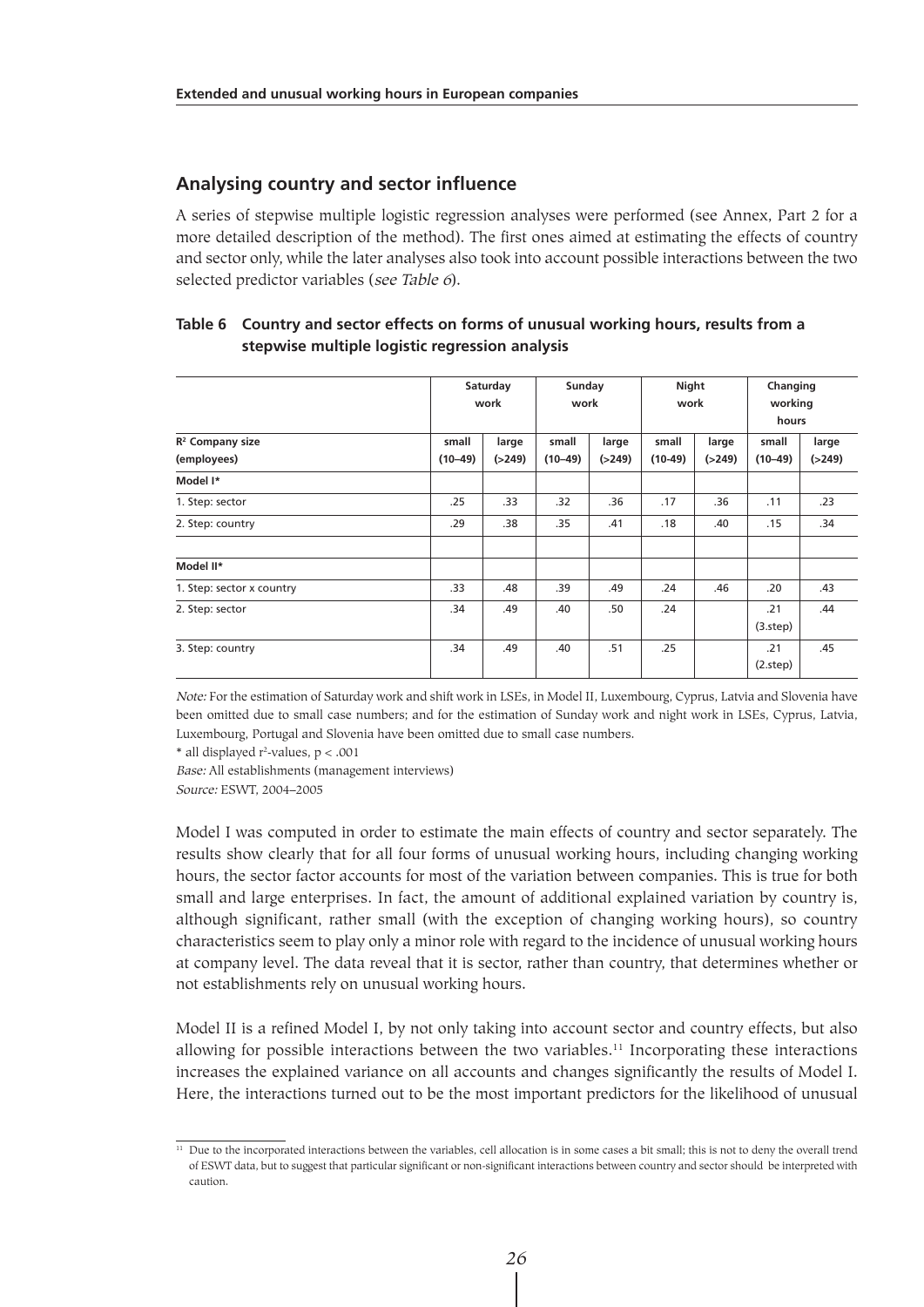#### **Analysing country and sector influence**

A series of stepwise multiple logistic regression analyses were performed (see Annex, Part 2 for a more detailed description of the method). The first ones aimed at estimating the effects of country and sector only, while the later analyses also took into account possible interactions between the two selected predictor variables (see Table 6).

|                                            |                    | Saturday<br>work  |                    | Sunday<br>work    |                    | Night<br>work     |                    | Changing<br>working<br>hours |  |
|--------------------------------------------|--------------------|-------------------|--------------------|-------------------|--------------------|-------------------|--------------------|------------------------------|--|
| R <sup>2</sup> Company size<br>(employees) | small<br>$(10-49)$ | large<br>( > 249) | small<br>$(10-49)$ | large<br>( > 249) | small<br>$(10-49)$ | large<br>( > 249) | small<br>$(10-49)$ | large<br>( > 249)            |  |
| Model I*                                   |                    |                   |                    |                   |                    |                   |                    |                              |  |
| 1. Step: sector                            | .25                | .33               | .32                | .36               | .17                | .36               | .11                | .23                          |  |
| 2. Step: country                           | .29                | .38               | .35                | .41               | .18                | .40               | .15                | .34                          |  |
| Model II*                                  |                    |                   |                    |                   |                    |                   |                    |                              |  |
| 1. Step: sector x country                  | .33                | .48               | .39                | .49               | .24                | .46               | .20                | .43                          |  |
| 2. Step: sector                            | .34                | .49               | .40                | .50               | .24                |                   | .21<br>(3.step)    | .44                          |  |
| 3. Step: country                           | .34                | .49               | .40                | .51               | .25                |                   | .21<br>(2.step)    | .45                          |  |

#### **Table 6 Country and sector effects on forms of unusual working hours, results from a stepwise multiple logistic regression analysis**

Note: For the estimation of Saturday work and shift work in LSEs, in Model II, Luxembourg, Cyprus, Latvia and Slovenia have been omitted due to small case numbers; and for the estimation of Sunday work and night work in LSEs, Cyprus, Latvia, Luxembourg, Portugal and Slovenia have been omitted due to small case numbers.

 $*$  all displayed r<sup>2</sup>-values,  $p < .001$ 

Base: All establishments (management interviews) Source: ESWT, 2004–2005

Model I was computed in order to estimate the main effects of country and sector separately. The results show clearly that for all four forms of unusual working hours, including changing working hours, the sector factor accounts for most of the variation between companies. This is true for both small and large enterprises. In fact, the amount of additional explained variation by country is, although significant, rather small (with the exception of changing working hours), so country characteristics seem to play only a minor role with regard to the incidence of unusual working hours at company level. The data reveal that it is sector, rather than country, that determines whether or not establishments rely on unusual working hours.

Model II is a refined Model I, by not only taking into account sector and country effects, but also allowing for possible interactions between the two variables.<sup>11</sup> Incorporating these interactions increases the explained variance on all accounts and changes significantly the results of Model I. Here, the interactions turned out to be the most important predictors for the likelihood of unusual

<sup>&</sup>lt;sup>11</sup> Due to the incorporated interactions between the variables, cell allocation is in some cases a bit small; this is not to deny the overall trend of ESWT data, but to suggest that particular significant or non-significant interactions between country and sector should be interpreted with caution.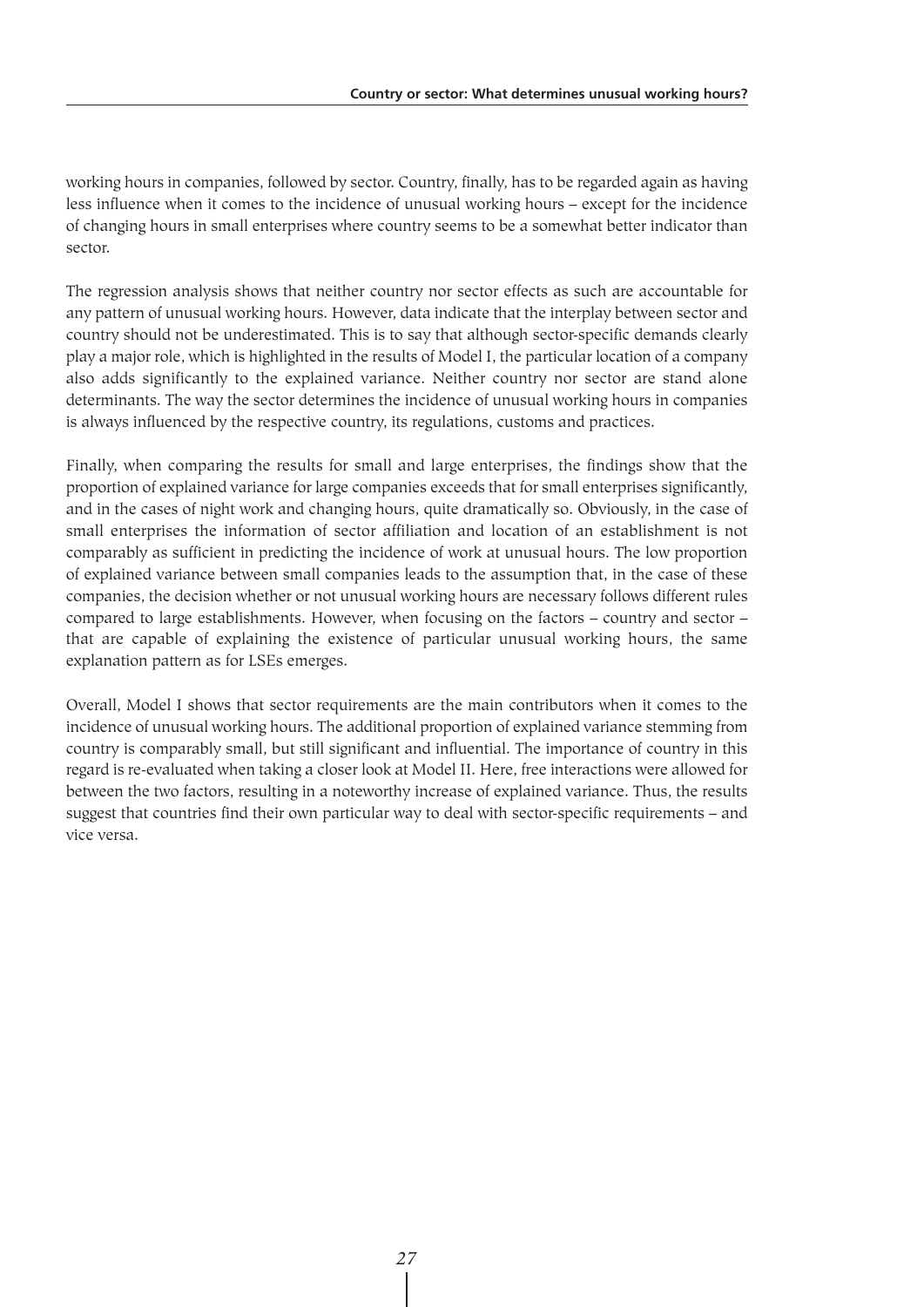working hours in companies, followed by sector. Country, finally, has to be regarded again as having less influence when it comes to the incidence of unusual working hours – except for the incidence of changing hours in small enterprises where country seems to be a somewhat better indicator than sector.

The regression analysis shows that neither country nor sector effects as such are accountable for any pattern of unusual working hours. However, data indicate that the interplay between sector and country should not be underestimated. This is to say that although sector-specific demands clearly play a major role, which is highlighted in the results of Model I, the particular location of a company also adds significantly to the explained variance. Neither country nor sector are stand alone determinants. The way the sector determines the incidence of unusual working hours in companies is always influenced by the respective country, its regulations, customs and practices.

Finally, when comparing the results for small and large enterprises, the findings show that the proportion of explained variance for large companies exceeds that for small enterprises significantly, and in the cases of night work and changing hours, quite dramatically so. Obviously, in the case of small enterprises the information of sector affiliation and location of an establishment is not comparably as sufficient in predicting the incidence of work at unusual hours. The low proportion of explained variance between small companies leads to the assumption that, in the case of these companies, the decision whether or not unusual working hours are necessary follows different rules compared to large establishments. However, when focusing on the factors – country and sector – that are capable of explaining the existence of particular unusual working hours, the same explanation pattern as for LSEs emerges.

Overall, Model I shows that sector requirements are the main contributors when it comes to the incidence of unusual working hours. The additional proportion of explained variance stemming from country is comparably small, but still significant and influential. The importance of country in this regard is re-evaluated when taking a closer look at Model II. Here, free interactions were allowed for between the two factors, resulting in a noteworthy increase of explained variance. Thus, the results suggest that countries find their own particular way to deal with sector-specific requirements – and vice versa.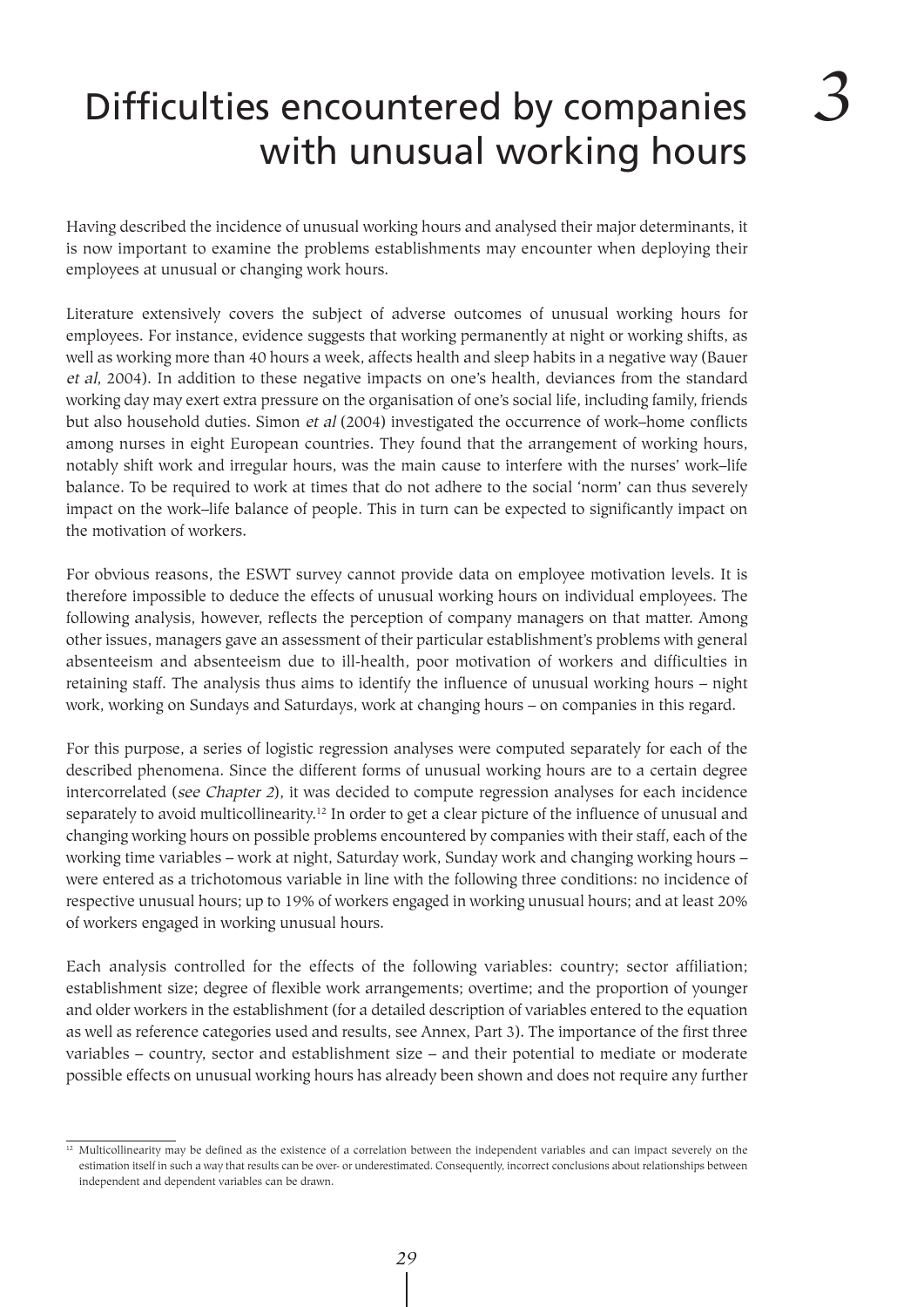## Difficulties encountered by companies with unusual working hours

Having described the incidence of unusual working hours and analysed their major determinants, it is now important to examine the problems establishments may encounter when deploying their employees at unusual or changing work hours.

Literature extensively covers the subject of adverse outcomes of unusual working hours for employees. For instance, evidence suggests that working permanently at night or working shifts, as well as working more than 40 hours a week, affects health and sleep habits in a negative way (Bauer et al, 2004). In addition to these negative impacts on one's health, deviances from the standard working day may exert extra pressure on the organisation of one's social life, including family, friends but also household duties. Simon et al (2004) investigated the occurrence of work–home conflicts among nurses in eight European countries. They found that the arrangement of working hours, notably shift work and irregular hours, was the main cause to interfere with the nurses' work–life balance. To be required to work at times that do not adhere to the social 'norm' can thus severely impact on the work–life balance of people. This in turn can be expected to significantly impact on the motivation of workers.

For obvious reasons, the ESWT survey cannot provide data on employee motivation levels. It is therefore impossible to deduce the effects of unusual working hours on individual employees. The following analysis, however, reflects the perception of company managers on that matter. Among other issues, managers gave an assessment of their particular establishment's problems with general absenteeism and absenteeism due to ill-health, poor motivation of workers and difficulties in retaining staff. The analysis thus aims to identify the influence of unusual working hours – night work, working on Sundays and Saturdays, work at changing hours – on companies in this regard.

For this purpose, a series of logistic regression analyses were computed separately for each of the described phenomena. Since the different forms of unusual working hours are to a certain degree intercorrelated (see Chapter 2), it was decided to compute regression analyses for each incidence separately to avoid multicollinearity.12 In order to get a clear picture of the influence of unusual and changing working hours on possible problems encountered by companies with their staff, each of the working time variables – work at night, Saturday work, Sunday work and changing working hours – were entered as a trichotomous variable in line with the following three conditions: no incidence of respective unusual hours; up to 19% of workers engaged in working unusual hours; and at least 20% of workers engaged in working unusual hours.

Each analysis controlled for the effects of the following variables: country; sector affiliation; establishment size; degree of flexible work arrangements; overtime; and the proportion of younger and older workers in the establishment (for a detailed description of variables entered to the equation as well as reference categories used and results, see Annex, Part 3). The importance of the first three variables – country, sector and establishment size – and their potential to mediate or moderate possible effects on unusual working hours has already been shown and does not require any further

 $12$  Multicollinearity may be defined as the existence of a correlation between the independent variables and can impact severely on the estimation itself in such a way that results can be over- or underestimated. Consequently, incorrect conclusions about relationships between independent and dependent variables can be drawn.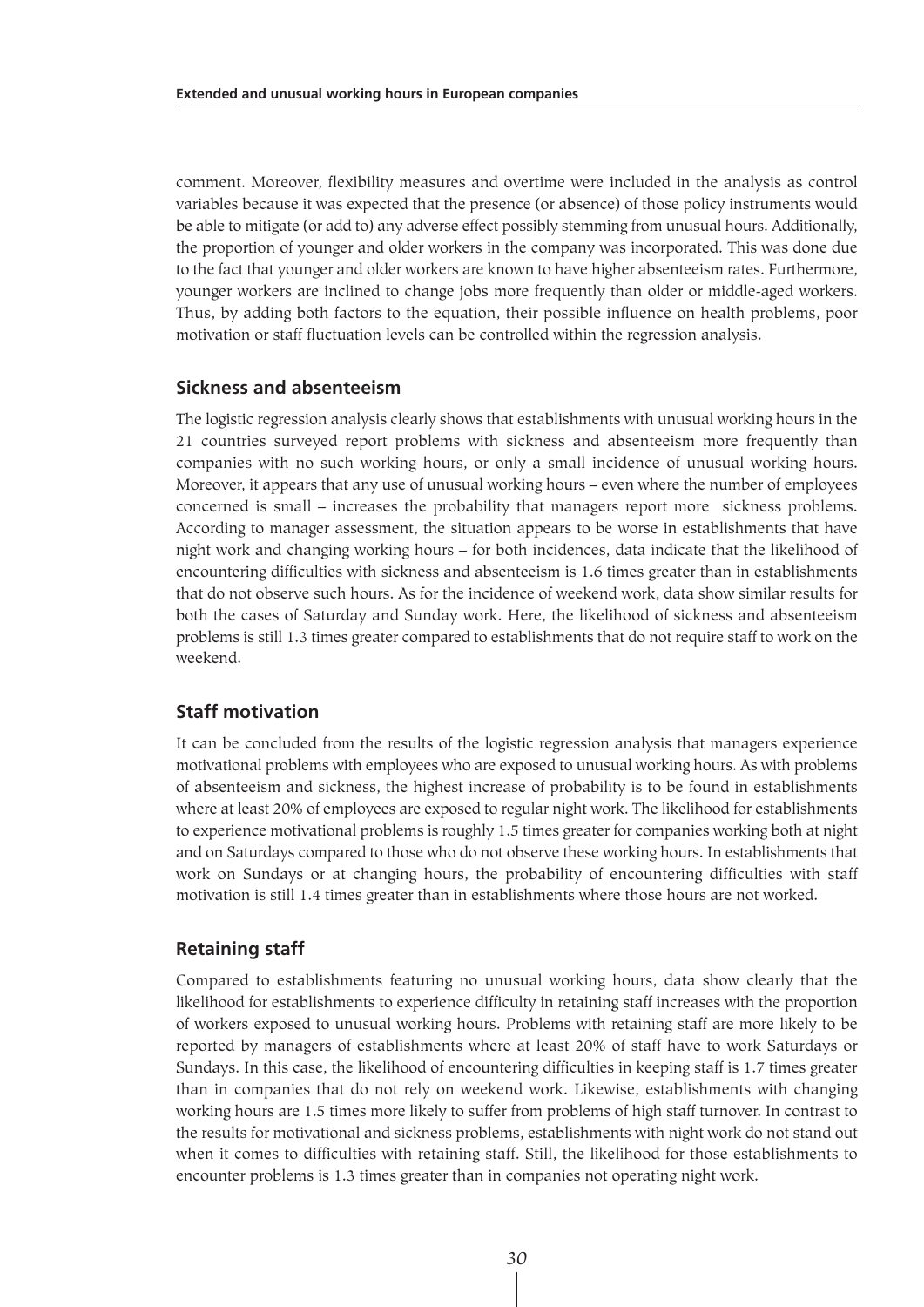comment. Moreover, flexibility measures and overtime were included in the analysis as control variables because it was expected that the presence (or absence) of those policy instruments would be able to mitigate (or add to) any adverse effect possibly stemming from unusual hours. Additionally, the proportion of younger and older workers in the company was incorporated. This was done due to the fact that younger and older workers are known to have higher absenteeism rates. Furthermore, younger workers are inclined to change jobs more frequently than older or middle-aged workers. Thus, by adding both factors to the equation, their possible influence on health problems, poor motivation or staff fluctuation levels can be controlled within the regression analysis.

#### **Sickness and absenteeism**

The logistic regression analysis clearly shows that establishments with unusual working hours in the 21 countries surveyed report problems with sickness and absenteeism more frequently than companies with no such working hours, or only a small incidence of unusual working hours. Moreover, it appears that any use of unusual working hours – even where the number of employees concerned is small – increases the probability that managers report more sickness problems. According to manager assessment, the situation appears to be worse in establishments that have night work and changing working hours – for both incidences, data indicate that the likelihood of encountering difficulties with sickness and absenteeism is 1.6 times greater than in establishments that do not observe such hours. As for the incidence of weekend work, data show similar results for both the cases of Saturday and Sunday work. Here, the likelihood of sickness and absenteeism problems is still 1.3 times greater compared to establishments that do not require staff to work on the weekend.

#### **Staff motivation**

It can be concluded from the results of the logistic regression analysis that managers experience motivational problems with employees who are exposed to unusual working hours. As with problems of absenteeism and sickness, the highest increase of probability is to be found in establishments where at least 20% of employees are exposed to regular night work. The likelihood for establishments to experience motivational problems is roughly 1.5 times greater for companies working both at night and on Saturdays compared to those who do not observe these working hours. In establishments that work on Sundays or at changing hours, the probability of encountering difficulties with staff motivation is still 1.4 times greater than in establishments where those hours are not worked.

#### **Retaining staff**

Compared to establishments featuring no unusual working hours, data show clearly that the likelihood for establishments to experience difficulty in retaining staff increases with the proportion of workers exposed to unusual working hours. Problems with retaining staff are more likely to be reported by managers of establishments where at least 20% of staff have to work Saturdays or Sundays. In this case, the likelihood of encountering difficulties in keeping staff is 1.7 times greater than in companies that do not rely on weekend work. Likewise, establishments with changing working hours are 1.5 times more likely to suffer from problems of high staff turnover. In contrast to the results for motivational and sickness problems, establishments with night work do not stand out when it comes to difficulties with retaining staff. Still, the likelihood for those establishments to encounter problems is 1.3 times greater than in companies not operating night work.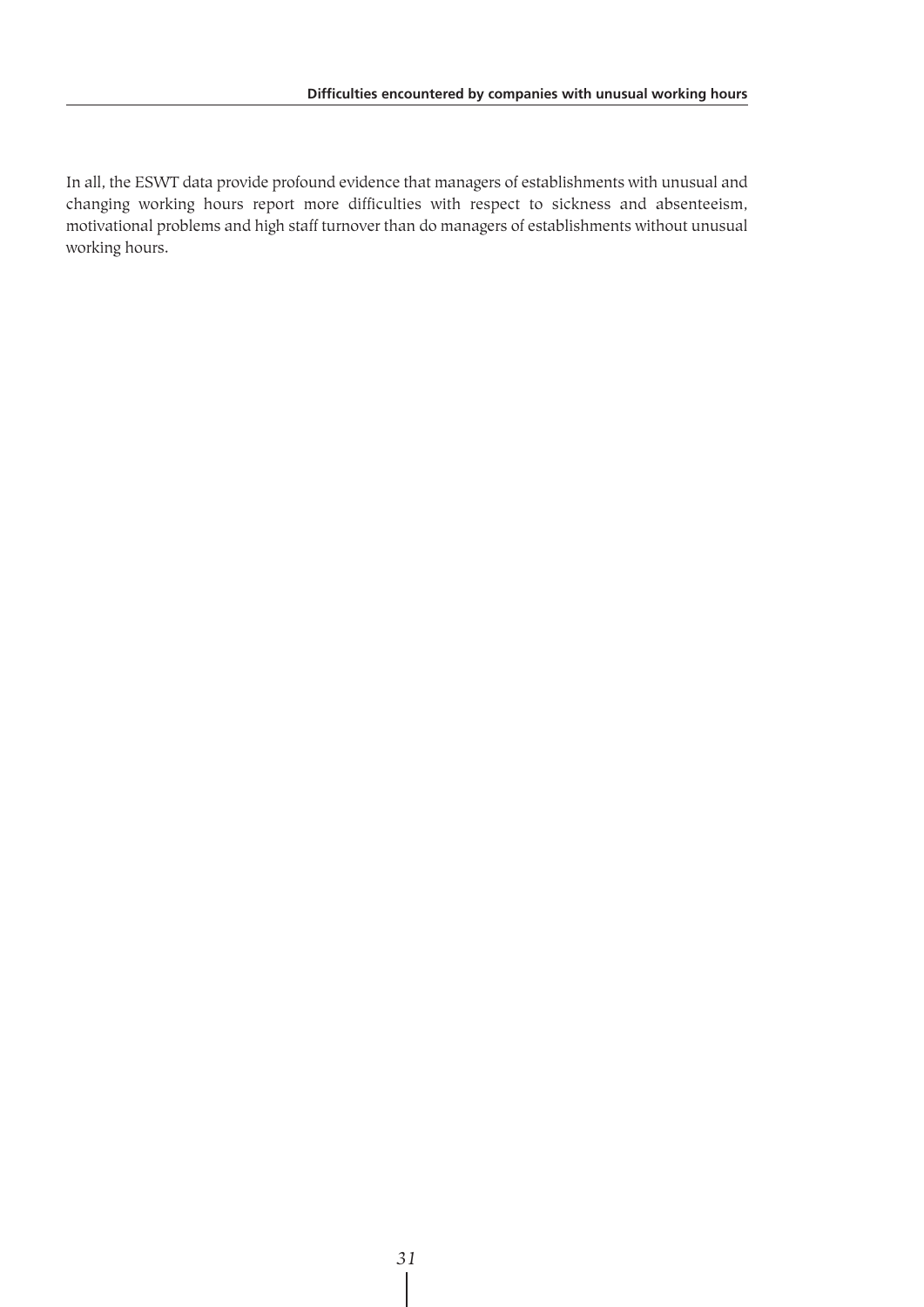In all, the ESWT data provide profound evidence that managers of establishments with unusual and changing working hours report more difficulties with respect to sickness and absenteeism, motivational problems and high staff turnover than do managers of establishments without unusual working hours.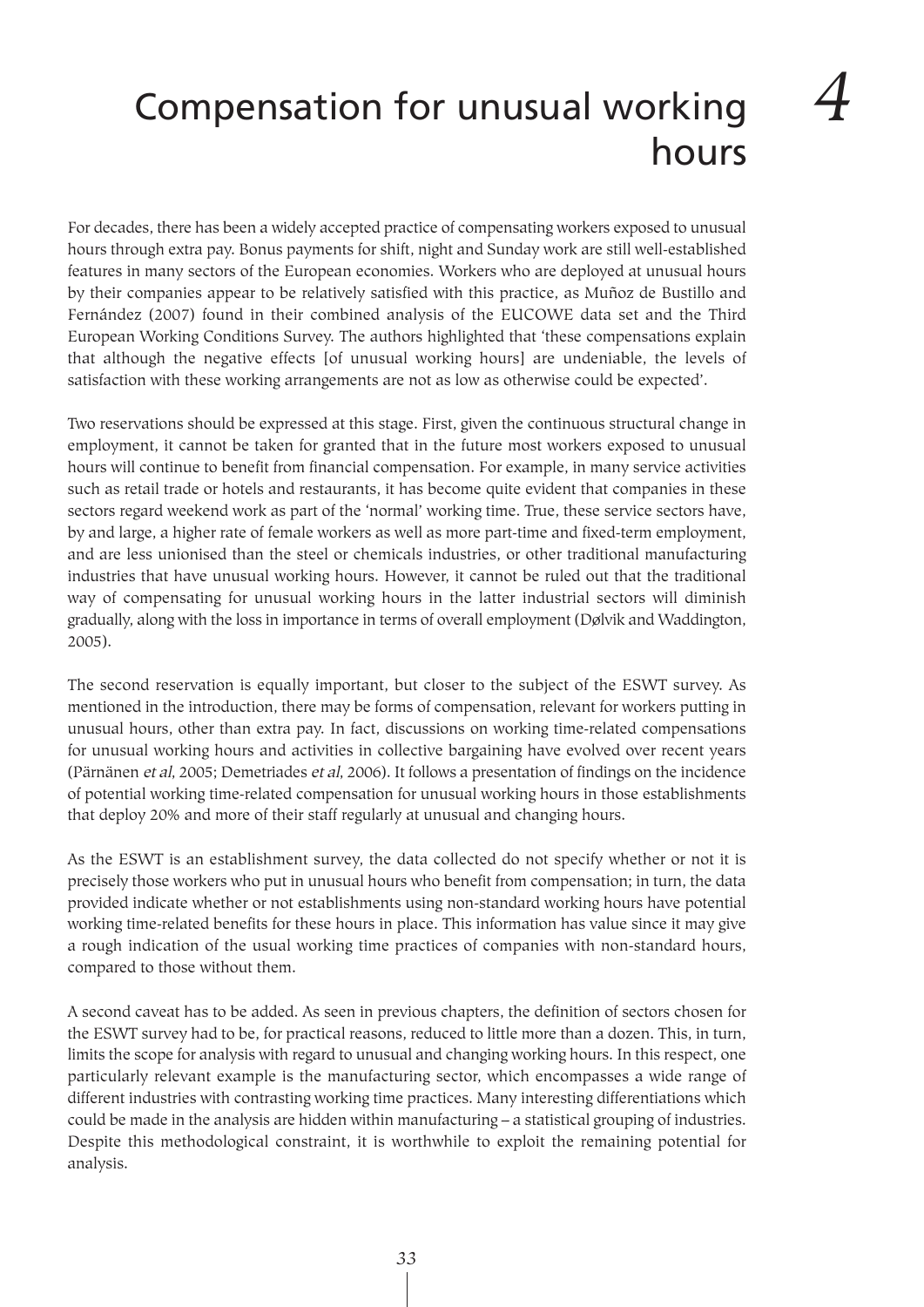# Compensation for unusual working hours

For decades, there has been a widely accepted practice of compensating workers exposed to unusual hours through extra pay. Bonus payments for shift, night and Sunday work are still well-established features in many sectors of the European economies. Workers who are deployed at unusual hours by their companies appear to be relatively satisfied with this practice, as Muñoz de Bustillo and Fernández (2007) found in their combined analysis of the EUCOWE data set and the Third European Working Conditions Survey. The authors highlighted that 'these compensations explain that although the negative effects [of unusual working hours] are undeniable, the levels of satisfaction with these working arrangements are not as low as otherwise could be expected'.

Two reservations should be expressed at this stage. First, given the continuous structural change in employment, it cannot be taken for granted that in the future most workers exposed to unusual hours will continue to benefit from financial compensation. For example, in many service activities such as retail trade or hotels and restaurants, it has become quite evident that companies in these sectors regard weekend work as part of the 'normal' working time. True, these service sectors have, by and large, a higher rate of female workers as well as more part-time and fixed-term employment, and are less unionised than the steel or chemicals industries, or other traditional manufacturing industries that have unusual working hours. However, it cannot be ruled out that the traditional way of compensating for unusual working hours in the latter industrial sectors will diminish gradually, along with the loss in importance in terms of overall employment (Dølvik and Waddington, 2005).

The second reservation is equally important, but closer to the subject of the ESWT survey. As mentioned in the introduction, there may be forms of compensation, relevant for workers putting in unusual hours, other than extra pay. In fact, discussions on working time-related compensations for unusual working hours and activities in collective bargaining have evolved over recent years (Pärnänen et al, 2005; Demetriades et al, 2006). It follows a presentation of findings on the incidence of potential working time-related compensation for unusual working hours in those establishments that deploy 20% and more of their staff regularly at unusual and changing hours.

As the ESWT is an establishment survey, the data collected do not specify whether or not it is precisely those workers who put in unusual hours who benefit from compensation; in turn, the data provided indicate whether or not establishments using non-standard working hours have potential working time-related benefits for these hours in place. This information has value since it may give a rough indication of the usual working time practices of companies with non-standard hours, compared to those without them.

A second caveat has to be added. As seen in previous chapters, the definition of sectors chosen for the ESWT survey had to be, for practical reasons, reduced to little more than a dozen. This, in turn, limits the scope for analysis with regard to unusual and changing working hours. In this respect, one particularly relevant example is the manufacturing sector, which encompasses a wide range of different industries with contrasting working time practices. Many interesting differentiations which could be made in the analysis are hidden within manufacturing – a statistical grouping of industries. Despite this methodological constraint, it is worthwhile to exploit the remaining potential for analysis.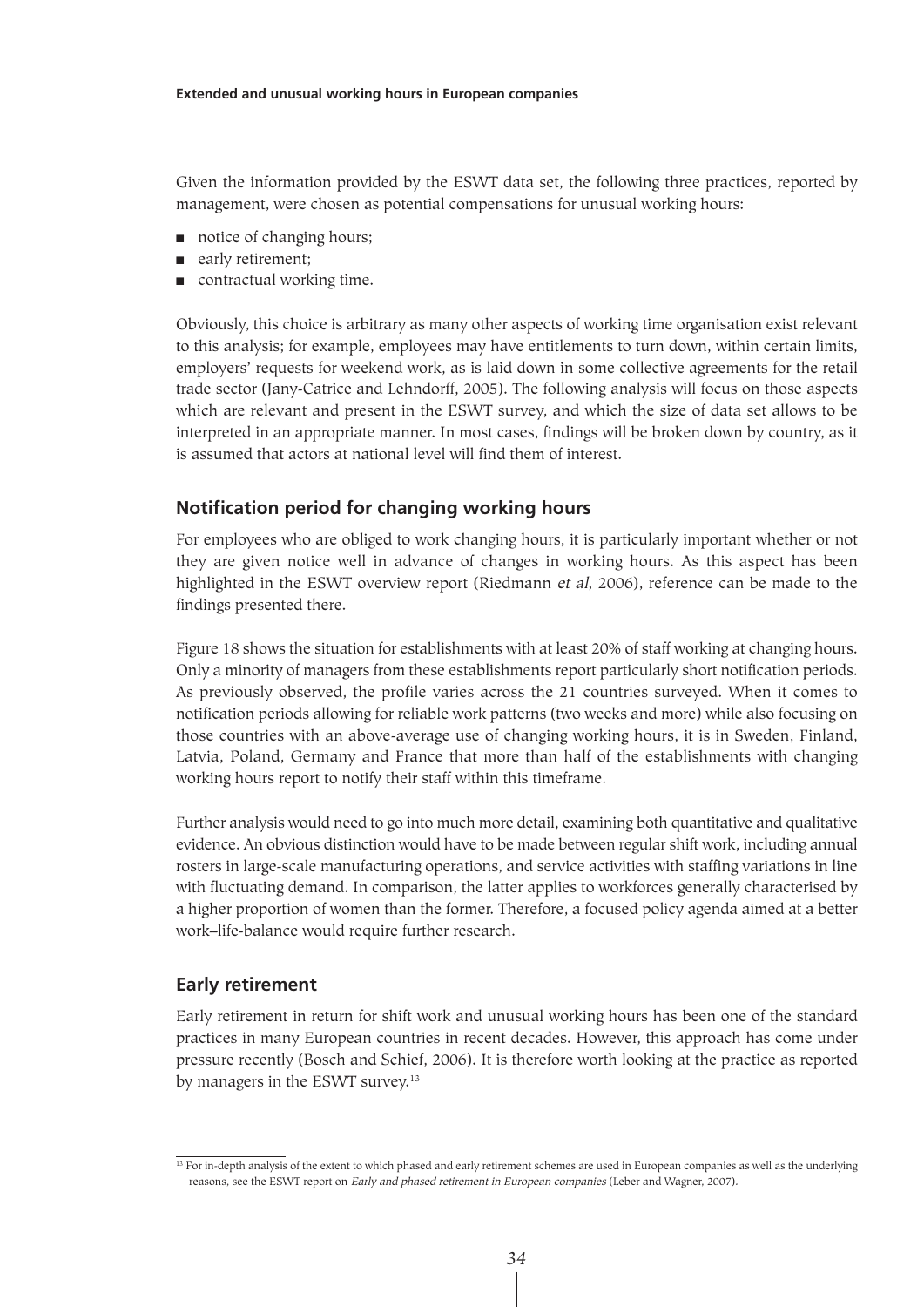Given the information provided by the ESWT data set, the following three practices, reported by management, were chosen as potential compensations for unusual working hours:

- notice of changing hours;
- early retirement;
- contractual working time.

Obviously, this choice is arbitrary as many other aspects of working time organisation exist relevant to this analysis; for example, employees may have entitlements to turn down, within certain limits, employers' requests for weekend work, as is laid down in some collective agreements for the retail trade sector (Jany-Catrice and Lehndorff, 2005). The following analysis will focus on those aspects which are relevant and present in the ESWT survey, and which the size of data set allows to be interpreted in an appropriate manner. In most cases, findings will be broken down by country, as it is assumed that actors at national level will find them of interest.

#### **Notification period for changing working hours**

For employees who are obliged to work changing hours, it is particularly important whether or not they are given notice well in advance of changes in working hours. As this aspect has been highlighted in the ESWT overview report (Riedmann et al, 2006), reference can be made to the findings presented there.

Figure 18 shows the situation for establishments with at least 20% of staff working at changing hours. Only a minority of managers from these establishments report particularly short notification periods. As previously observed, the profile varies across the 21 countries surveyed. When it comes to notification periods allowing for reliable work patterns (two weeks and more) while also focusing on those countries with an above-average use of changing working hours, it is in Sweden, Finland, Latvia, Poland, Germany and France that more than half of the establishments with changing working hours report to notify their staff within this timeframe.

Further analysis would need to go into much more detail, examining both quantitative and qualitative evidence. An obvious distinction would have to be made between regular shift work, including annual rosters in large-scale manufacturing operations, and service activities with staffing variations in line with fluctuating demand. In comparison, the latter applies to workforces generally characterised by a higher proportion of women than the former. Therefore, a focused policy agenda aimed at a better work–life-balance would require further research.

#### **Early retirement**

Early retirement in return for shift work and unusual working hours has been one of the standard practices in many European countries in recent decades. However, this approach has come under pressure recently (Bosch and Schief, 2006). It is therefore worth looking at the practice as reported by managers in the ESWT survey.13

<sup>&</sup>lt;sup>13</sup> For in-depth analysis of the extent to which phased and early retirement schemes are used in European companies as well as the underlying reasons, see the ESWT report on Early and phased retirement in European companies (Leber and Wagner, 2007).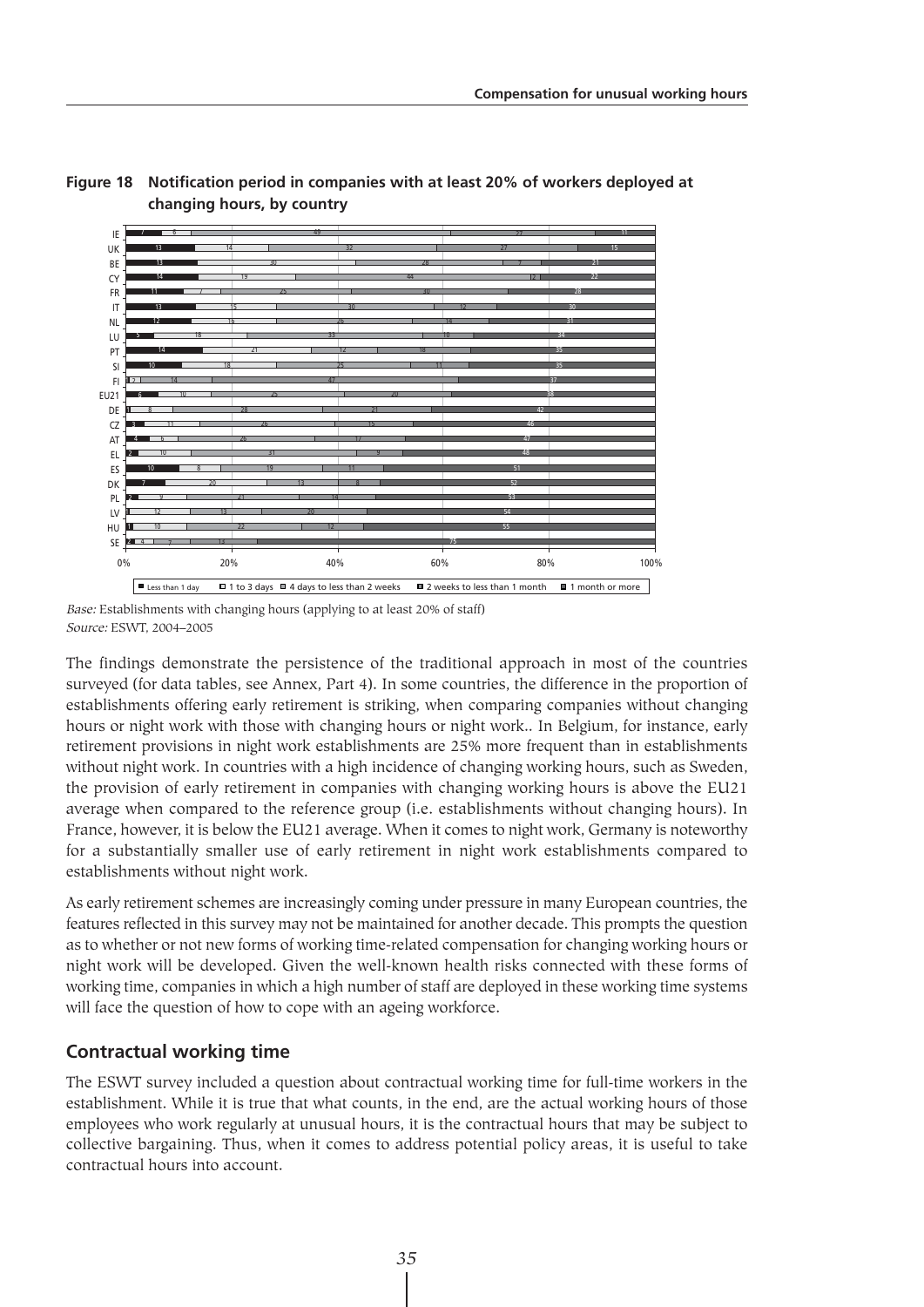

#### **Figure 18 Notification period in companies with at least 20% of workers deployed at changing hours, by country**

Base: Establishments with changing hours (applying to at least 20% of staff) Source: ESWT, 2004–2005

The findings demonstrate the persistence of the traditional approach in most of the countries surveyed (for data tables, see Annex, Part 4). In some countries, the difference in the proportion of establishments offering early retirement is striking, when comparing companies without changing hours or night work with those with changing hours or night work.. In Belgium, for instance, early retirement provisions in night work establishments are 25% more frequent than in establishments without night work. In countries with a high incidence of changing working hours, such as Sweden, the provision of early retirement in companies with changing working hours is above the EU21 average when compared to the reference group (i.e. establishments without changing hours). In France, however, it is below the EU21 average. When it comes to night work, Germany is noteworthy for a substantially smaller use of early retirement in night work establishments compared to establishments without night work.

As early retirement schemes are increasingly coming under pressure in many European countries, the features reflected in this survey may not be maintained for another decade. This prompts the question as to whether or not new forms of working time-related compensation for changing working hours or night work will be developed. Given the well-known health risks connected with these forms of working time, companies in which a high number of staff are deployed in these working time systems will face the question of how to cope with an ageing workforce.

### **Contractual working time**

The ESWT survey included a question about contractual working time for full-time workers in the establishment. While it is true that what counts, in the end, are the actual working hours of those employees who work regularly at unusual hours, it is the contractual hours that may be subject to collective bargaining. Thus, when it comes to address potential policy areas, it is useful to take contractual hours into account.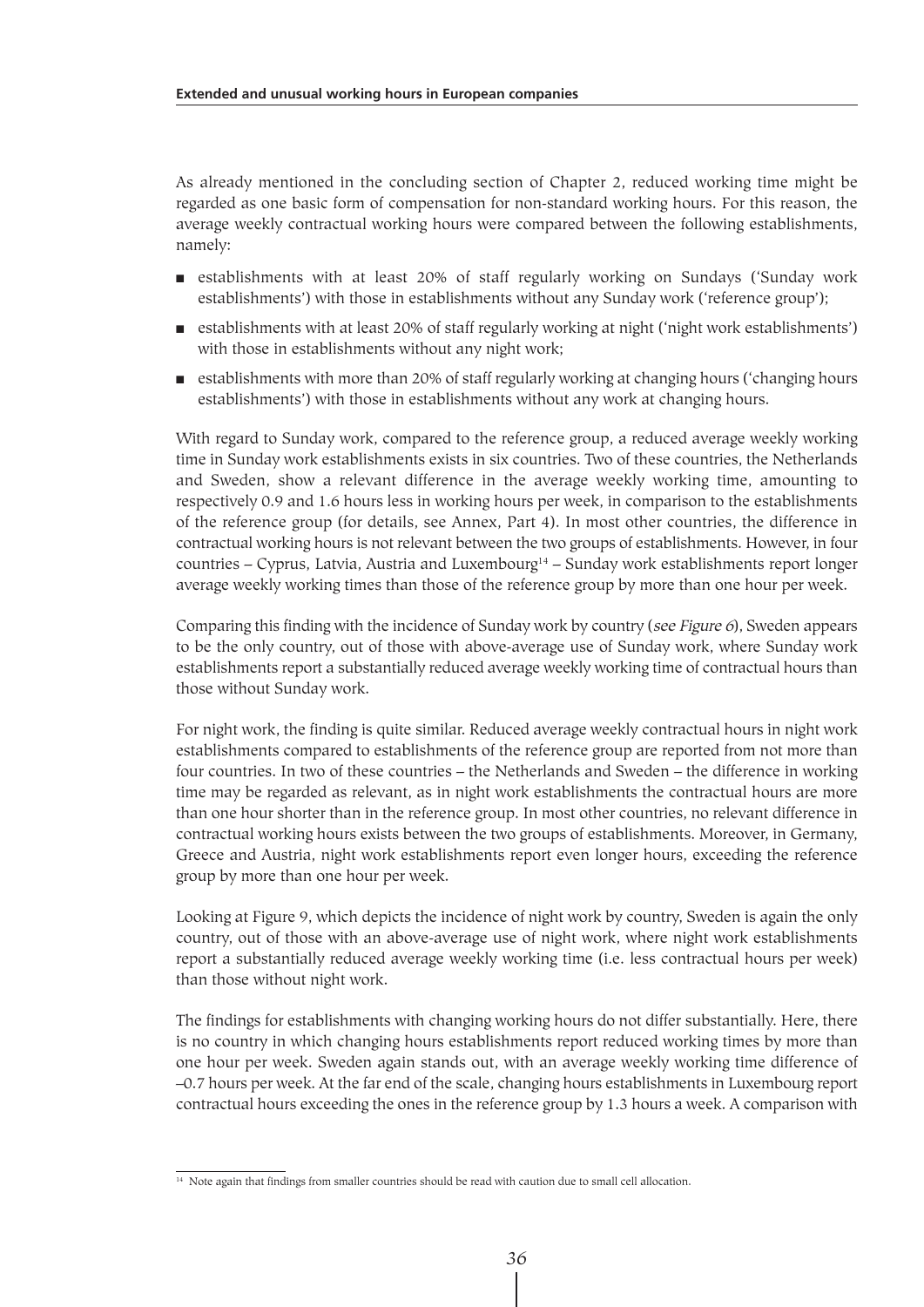As already mentioned in the concluding section of Chapter 2, reduced working time might be regarded as one basic form of compensation for non-standard working hours. For this reason, the average weekly contractual working hours were compared between the following establishments, namely:

- establishments with at least 20% of staff regularly working on Sundays ('Sunday work establishments') with those in establishments without any Sunday work ('reference group');
- establishments with at least 20% of staff regularly working at night ('night work establishments') with those in establishments without any night work;
- establishments with more than 20% of staff regularly working at changing hours ('changing hours establishments') with those in establishments without any work at changing hours.

With regard to Sunday work, compared to the reference group, a reduced average weekly working time in Sunday work establishments exists in six countries. Two of these countries, the Netherlands and Sweden, show a relevant difference in the average weekly working time, amounting to respectively 0.9 and 1.6 hours less in working hours per week, in comparison to the establishments of the reference group (for details, see Annex, Part 4). In most other countries, the difference in contractual working hours is not relevant between the two groups of establishments. However, in four countries - Cyprus, Latvia, Austria and Luxembourg<sup>14</sup> - Sunday work establishments report longer average weekly working times than those of the reference group by more than one hour per week.

Comparing this finding with the incidence of Sunday work by country (see Figure 6), Sweden appears to be the only country, out of those with above-average use of Sunday work, where Sunday work establishments report a substantially reduced average weekly working time of contractual hours than those without Sunday work.

For night work, the finding is quite similar. Reduced average weekly contractual hours in night work establishments compared to establishments of the reference group are reported from not more than four countries. In two of these countries – the Netherlands and Sweden – the difference in working time may be regarded as relevant, as in night work establishments the contractual hours are more than one hour shorter than in the reference group. In most other countries, no relevant difference in contractual working hours exists between the two groups of establishments. Moreover, in Germany, Greece and Austria, night work establishments report even longer hours, exceeding the reference group by more than one hour per week.

Looking at Figure 9, which depicts the incidence of night work by country, Sweden is again the only country, out of those with an above-average use of night work, where night work establishments report a substantially reduced average weekly working time (i.e. less contractual hours per week) than those without night work.

The findings for establishments with changing working hours do not differ substantially. Here, there is no country in which changing hours establishments report reduced working times by more than one hour per week. Sweden again stands out, with an average weekly working time difference of –0.7 hours per week. At the far end of the scale, changing hours establishments in Luxembourg report contractual hours exceeding the ones in the reference group by 1.3 hours a week. A comparison with

<sup>&</sup>lt;sup>14</sup> Note again that findings from smaller countries should be read with caution due to small cell allocation.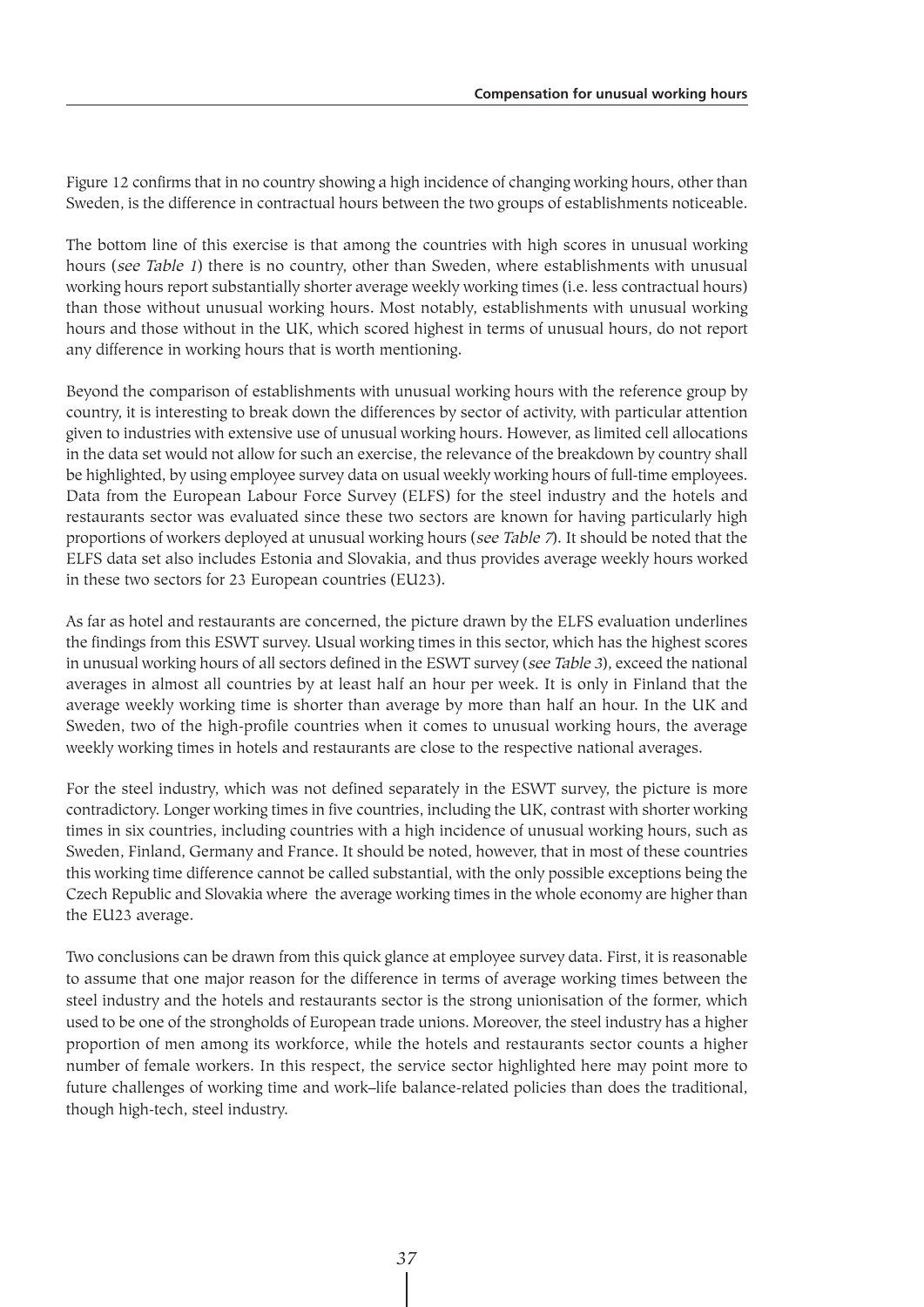Figure 12 confirms that in no country showing a high incidence of changing working hours, other than Sweden, is the difference in contractual hours between the two groups of establishments noticeable.

The bottom line of this exercise is that among the countries with high scores in unusual working hours (see Table 1) there is no country, other than Sweden, where establishments with unusual working hours report substantially shorter average weekly working times (i.e. less contractual hours) than those without unusual working hours. Most notably, establishments with unusual working hours and those without in the UK, which scored highest in terms of unusual hours, do not report any difference in working hours that is worth mentioning.

Beyond the comparison of establishments with unusual working hours with the reference group by country, it is interesting to break down the differences by sector of activity, with particular attention given to industries with extensive use of unusual working hours. However, as limited cell allocations in the data set would not allow for such an exercise, the relevance of the breakdown by country shall be highlighted, by using employee survey data on usual weekly working hours of full-time employees. Data from the European Labour Force Survey (ELFS) for the steel industry and the hotels and restaurants sector was evaluated since these two sectors are known for having particularly high proportions of workers deployed at unusual working hours (see Table 7). It should be noted that the ELFS data set also includes Estonia and Slovakia, and thus provides average weekly hours worked in these two sectors for 23 European countries (EU23).

As far as hotel and restaurants are concerned, the picture drawn by the ELFS evaluation underlines the findings from this ESWT survey. Usual working times in this sector, which has the highest scores in unusual working hours of all sectors defined in the ESWT survey (see Table 3), exceed the national averages in almost all countries by at least half an hour per week. It is only in Finland that the average weekly working time is shorter than average by more than half an hour. In the UK and Sweden, two of the high-profile countries when it comes to unusual working hours, the average weekly working times in hotels and restaurants are close to the respective national averages.

For the steel industry, which was not defined separately in the ESWT survey, the picture is more contradictory. Longer working times in five countries, including the UK, contrast with shorter working times in six countries, including countries with a high incidence of unusual working hours, such as Sweden, Finland, Germany and France. It should be noted, however, that in most of these countries this working time difference cannot be called substantial, with the only possible exceptions being the Czech Republic and Slovakia where the average working times in the whole economy are higher than the EU23 average.

Two conclusions can be drawn from this quick glance at employee survey data. First, it is reasonable to assume that one major reason for the difference in terms of average working times between the steel industry and the hotels and restaurants sector is the strong unionisation of the former, which used to be one of the strongholds of European trade unions. Moreover, the steel industry has a higher proportion of men among its workforce, while the hotels and restaurants sector counts a higher number of female workers. In this respect, the service sector highlighted here may point more to future challenges of working time and work–life balance-related policies than does the traditional, though high-tech, steel industry.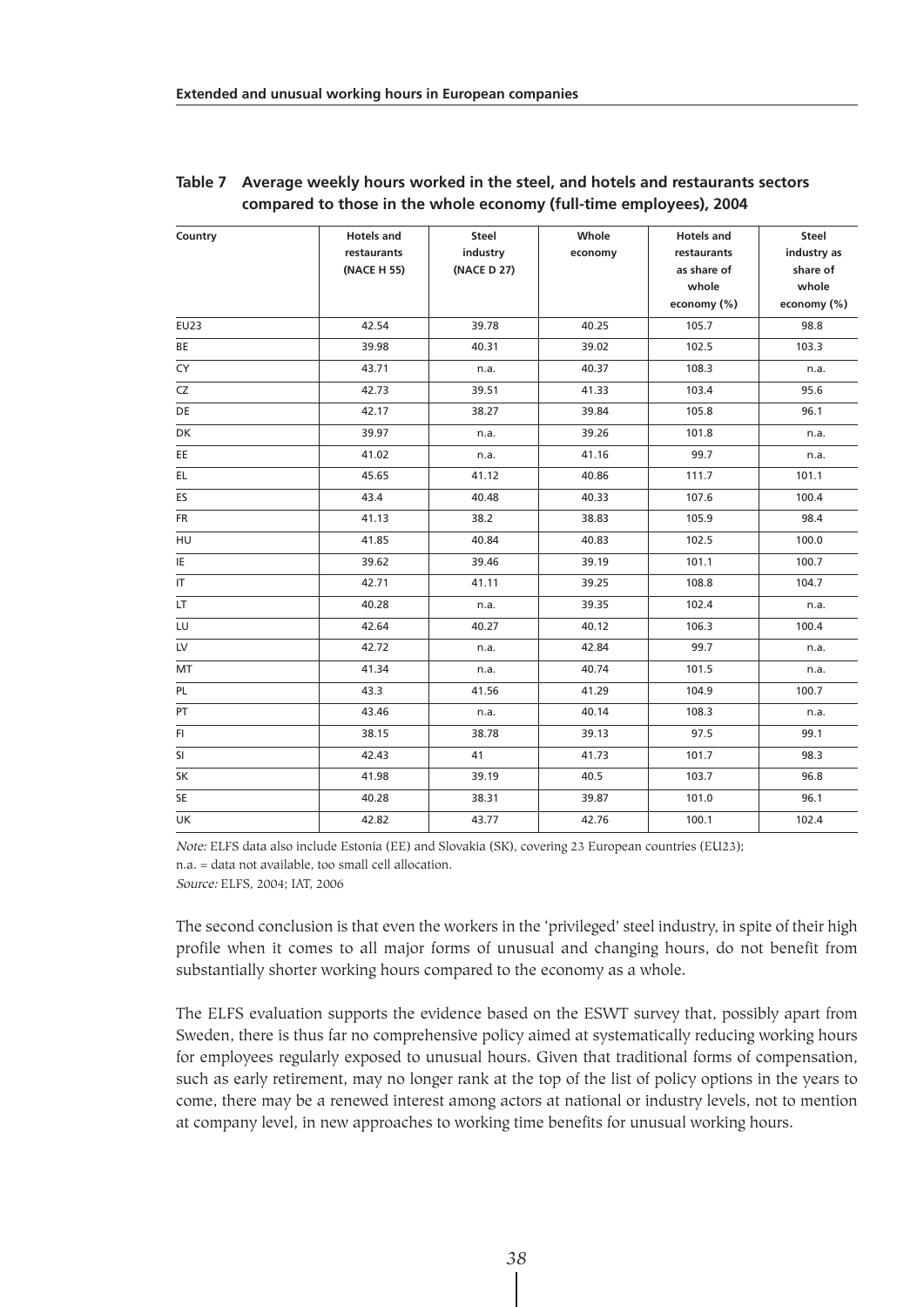| Country   | <b>Hotels and</b> | Steel       | Whole   | <b>Hotels and</b> | Steel       |
|-----------|-------------------|-------------|---------|-------------------|-------------|
|           | restaurants       | industry    | economy | restaurants       | industry as |
|           | (NACE H 55)       | (NACE D 27) |         | as share of       | share of    |
|           |                   |             |         | whole             | whole       |
|           |                   |             |         | economy (%)       | economy (%) |
| EU23      | 42.54             | 39.78       | 40.25   | 105.7             | 98.8        |
| BE        | 39.98             | 40.31       | 39.02   | 102.5             | 103.3       |
| CY        | 43.71             | n.a.        | 40.37   | 108.3             | n.a.        |
| CZ        | 42.73             | 39.51       | 41.33   | 103.4             | 95.6        |
| DE        | 42.17             | 38.27       | 39.84   | 105.8             | 96.1        |
| DK        | 39.97             | n.a.        | 39.26   | 101.8             | n.a.        |
| EE.       | 41.02             | n.a.        | 41.16   | 99.7              | n.a.        |
| EL.       | 45.65             | 41.12       | 40.86   | 111.7             | 101.1       |
| ES        | 43.4              | 40.48       | 40.33   | 107.6             | 100.4       |
| <b>FR</b> | 41.13             | 38.2        | 38.83   | 105.9             | 98.4        |
| HU        | 41.85             | 40.84       | 40.83   | 102.5             | 100.0       |
| ΙE        | 39.62             | 39.46       | 39.19   | 101.1             | 100.7       |
| IT.       | 42.71             | 41.11       | 39.25   | 108.8             | 104.7       |
| LT.       | 40.28             | n.a.        | 39.35   | 102.4             | n.a.        |
| LU        | 42.64             | 40.27       | 40.12   | 106.3             | 100.4       |
| LV        | 42.72             | n.a.        | 42.84   | 99.7              | n.a.        |
| MT        | 41.34             | n.a.        | 40.74   | 101.5             | n.a.        |
| PL        | 43.3              | 41.56       | 41.29   | 104.9             | 100.7       |
| PT        | 43.46             | n.a.        | 40.14   | 108.3             | n.a.        |
| FL.       | 38.15             | 38.78       | 39.13   | 97.5              | 99.1        |
| SI        | 42.43             | 41          | 41.73   | 101.7             | 98.3        |
| SK        | 41.98             | 39.19       | 40.5    | 103.7             | 96.8        |
| SE        | 40.28             | 38.31       | 39.87   | 101.0             | 96.1        |
| UK        | 42.82             | 43.77       | 42.76   | 100.1             | 102.4       |

#### **Table 7 Average weekly hours worked in the steel, and hotels and restaurants sectors compared to those in the whole economy (full-time employees), 2004**

Note: ELFS data also include Estonia (EE) and Slovakia (SK), covering 23 European countries (EU23); n.a. = data not available, too small cell allocation.

Source: ELFS, 2004; IAT, 2006

The second conclusion is that even the workers in the 'privileged' steel industry, in spite of their high profile when it comes to all major forms of unusual and changing hours, do not benefit from substantially shorter working hours compared to the economy as a whole.

The ELFS evaluation supports the evidence based on the ESWT survey that, possibly apart from Sweden, there is thus far no comprehensive policy aimed at systematically reducing working hours for employees regularly exposed to unusual hours. Given that traditional forms of compensation, such as early retirement, may no longer rank at the top of the list of policy options in the years to come, there may be a renewed interest among actors at national or industry levels, not to mention at company level, in new approaches to working time benefits for unusual working hours.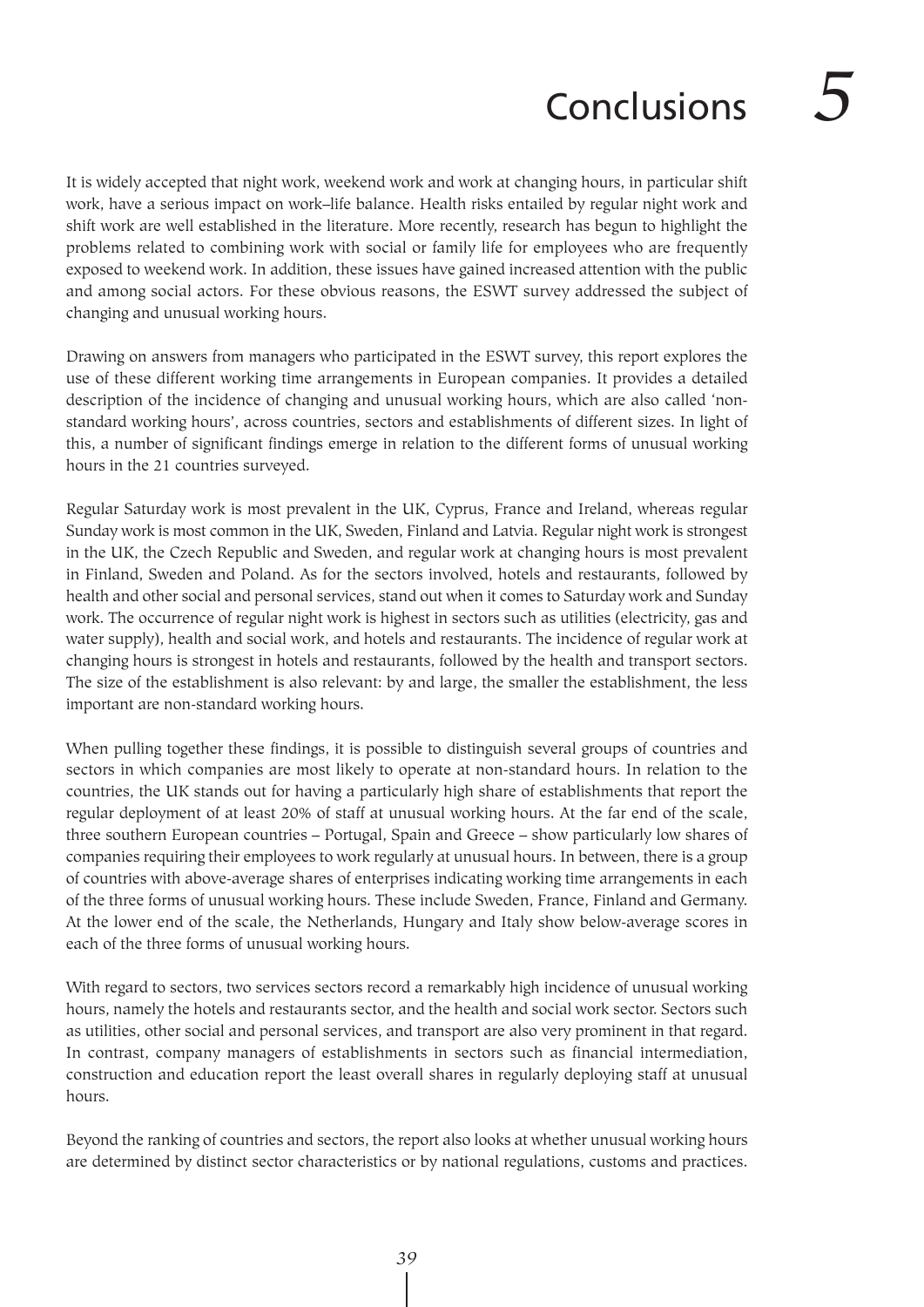# Conclusions *5*

It is widely accepted that night work, weekend work and work at changing hours, in particular shift work, have a serious impact on work–life balance. Health risks entailed by regular night work and shift work are well established in the literature. More recently, research has begun to highlight the problems related to combining work with social or family life for employees who are frequently exposed to weekend work. In addition, these issues have gained increased attention with the public and among social actors. For these obvious reasons, the ESWT survey addressed the subject of changing and unusual working hours.

Drawing on answers from managers who participated in the ESWT survey, this report explores the use of these different working time arrangements in European companies. It provides a detailed description of the incidence of changing and unusual working hours, which are also called 'nonstandard working hours', across countries, sectors and establishments of different sizes. In light of this, a number of significant findings emerge in relation to the different forms of unusual working hours in the 21 countries surveyed.

Regular Saturday work is most prevalent in the UK, Cyprus, France and Ireland, whereas regular Sunday work is most common in the UK, Sweden, Finland and Latvia. Regular night work is strongest in the UK, the Czech Republic and Sweden, and regular work at changing hours is most prevalent in Finland, Sweden and Poland. As for the sectors involved, hotels and restaurants, followed by health and other social and personal services, stand out when it comes to Saturday work and Sunday work. The occurrence of regular night work is highest in sectors such as utilities (electricity, gas and water supply), health and social work, and hotels and restaurants. The incidence of regular work at changing hours is strongest in hotels and restaurants, followed by the health and transport sectors. The size of the establishment is also relevant: by and large, the smaller the establishment, the less important are non-standard working hours.

When pulling together these findings, it is possible to distinguish several groups of countries and sectors in which companies are most likely to operate at non-standard hours. In relation to the countries, the UK stands out for having a particularly high share of establishments that report the regular deployment of at least 20% of staff at unusual working hours. At the far end of the scale, three southern European countries – Portugal, Spain and Greece – show particularly low shares of companies requiring their employees to work regularly at unusual hours. In between, there is a group of countries with above-average shares of enterprises indicating working time arrangements in each of the three forms of unusual working hours. These include Sweden, France, Finland and Germany. At the lower end of the scale, the Netherlands, Hungary and Italy show below-average scores in each of the three forms of unusual working hours.

With regard to sectors, two services sectors record a remarkably high incidence of unusual working hours, namely the hotels and restaurants sector, and the health and social work sector. Sectors such as utilities, other social and personal services, and transport are also very prominent in that regard. In contrast, company managers of establishments in sectors such as financial intermediation, construction and education report the least overall shares in regularly deploying staff at unusual hours.

Beyond the ranking of countries and sectors, the report also looks at whether unusual working hours are determined by distinct sector characteristics or by national regulations, customs and practices.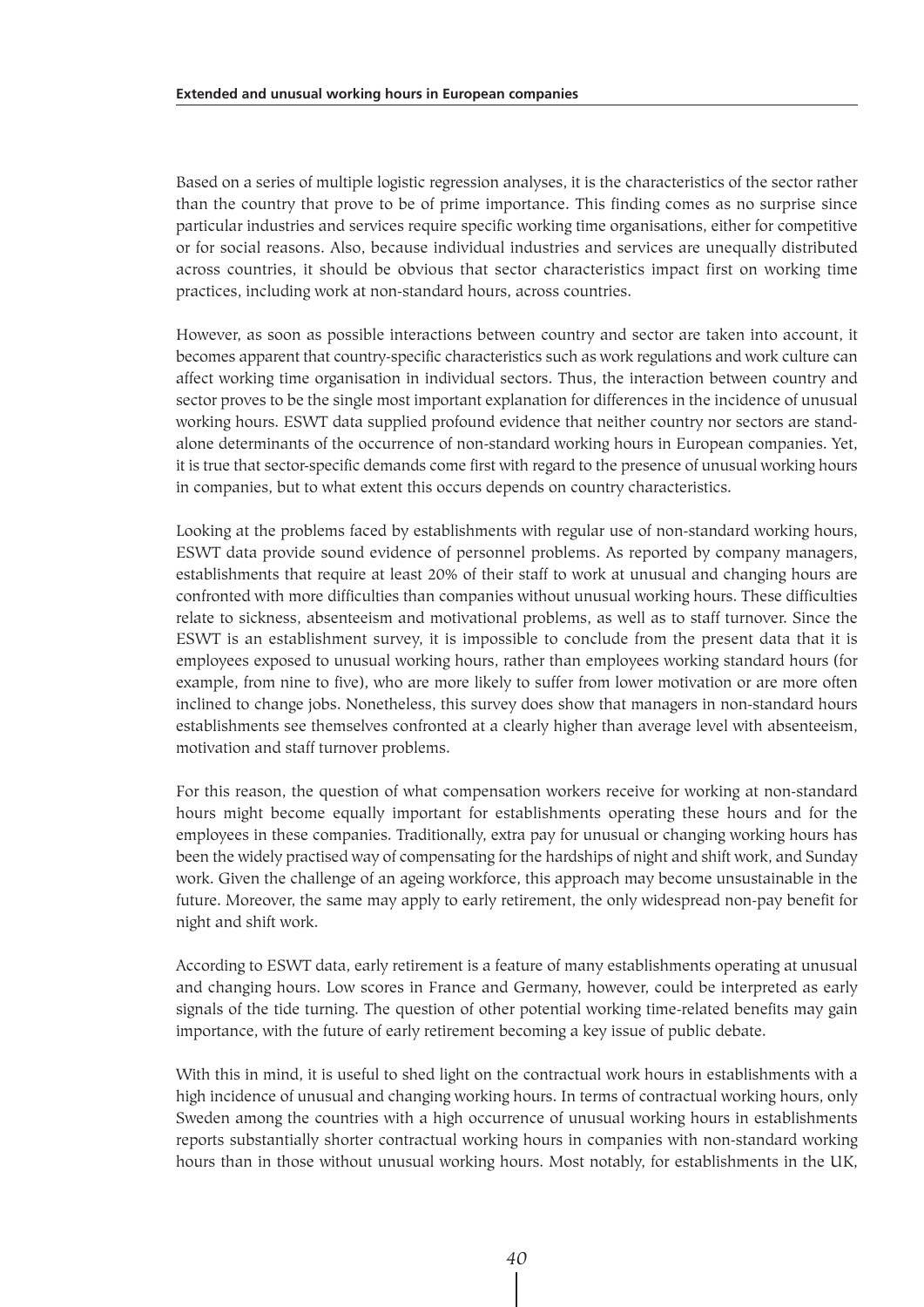Based on a series of multiple logistic regression analyses, it is the characteristics of the sector rather than the country that prove to be of prime importance. This finding comes as no surprise since particular industries and services require specific working time organisations, either for competitive or for social reasons. Also, because individual industries and services are unequally distributed across countries, it should be obvious that sector characteristics impact first on working time practices, including work at non-standard hours, across countries.

However, as soon as possible interactions between country and sector are taken into account, it becomes apparent that country-specific characteristics such as work regulations and work culture can affect working time organisation in individual sectors. Thus, the interaction between country and sector proves to be the single most important explanation for differences in the incidence of unusual working hours. ESWT data supplied profound evidence that neither country nor sectors are standalone determinants of the occurrence of non-standard working hours in European companies. Yet, it is true that sector-specific demands come first with regard to the presence of unusual working hours in companies, but to what extent this occurs depends on country characteristics.

Looking at the problems faced by establishments with regular use of non-standard working hours, ESWT data provide sound evidence of personnel problems. As reported by company managers, establishments that require at least 20% of their staff to work at unusual and changing hours are confronted with more difficulties than companies without unusual working hours. These difficulties relate to sickness, absenteeism and motivational problems, as well as to staff turnover. Since the ESWT is an establishment survey, it is impossible to conclude from the present data that it is employees exposed to unusual working hours, rather than employees working standard hours (for example, from nine to five), who are more likely to suffer from lower motivation or are more often inclined to change jobs. Nonetheless, this survey does show that managers in non-standard hours establishments see themselves confronted at a clearly higher than average level with absenteeism, motivation and staff turnover problems.

For this reason, the question of what compensation workers receive for working at non-standard hours might become equally important for establishments operating these hours and for the employees in these companies. Traditionally, extra pay for unusual or changing working hours has been the widely practised way of compensating for the hardships of night and shift work, and Sunday work. Given the challenge of an ageing workforce, this approach may become unsustainable in the future. Moreover, the same may apply to early retirement, the only widespread non-pay benefit for night and shift work.

According to ESWT data, early retirement is a feature of many establishments operating at unusual and changing hours. Low scores in France and Germany, however, could be interpreted as early signals of the tide turning. The question of other potential working time-related benefits may gain importance, with the future of early retirement becoming a key issue of public debate.

With this in mind, it is useful to shed light on the contractual work hours in establishments with a high incidence of unusual and changing working hours. In terms of contractual working hours, only Sweden among the countries with a high occurrence of unusual working hours in establishments reports substantially shorter contractual working hours in companies with non-standard working hours than in those without unusual working hours. Most notably, for establishments in the UK,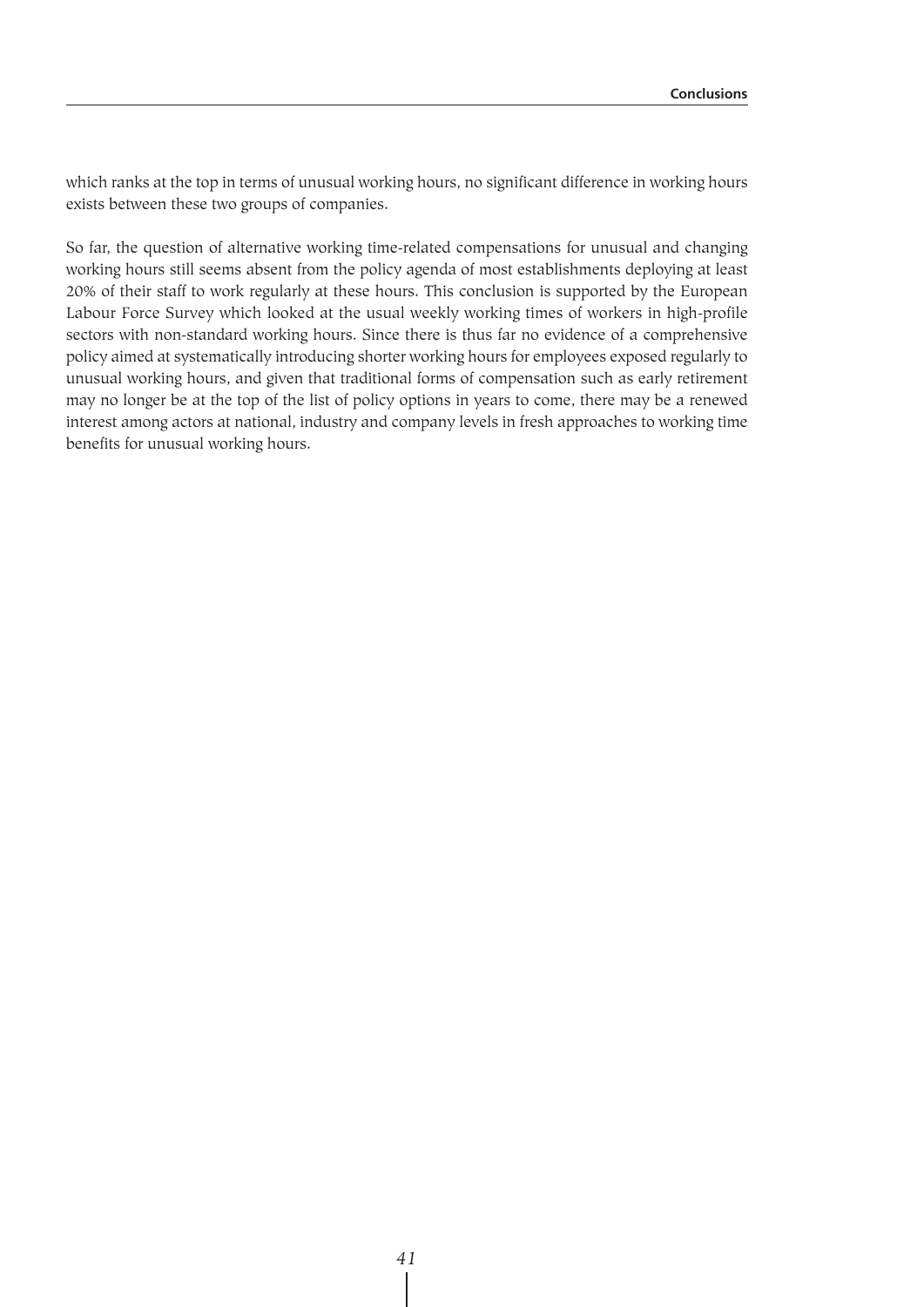which ranks at the top in terms of unusual working hours, no significant difference in working hours exists between these two groups of companies.

So far, the question of alternative working time-related compensations for unusual and changing working hours still seems absent from the policy agenda of most establishments deploying at least 20% of their staff to work regularly at these hours. This conclusion is supported by the European Labour Force Survey which looked at the usual weekly working times of workers in high-profile sectors with non-standard working hours. Since there is thus far no evidence of a comprehensive policy aimed at systematically introducing shorter working hours for employees exposed regularly to unusual working hours, and given that traditional forms of compensation such as early retirement may no longer be at the top of the list of policy options in years to come, there may be a renewed interest among actors at national, industry and company levels in fresh approaches to working time benefits for unusual working hours.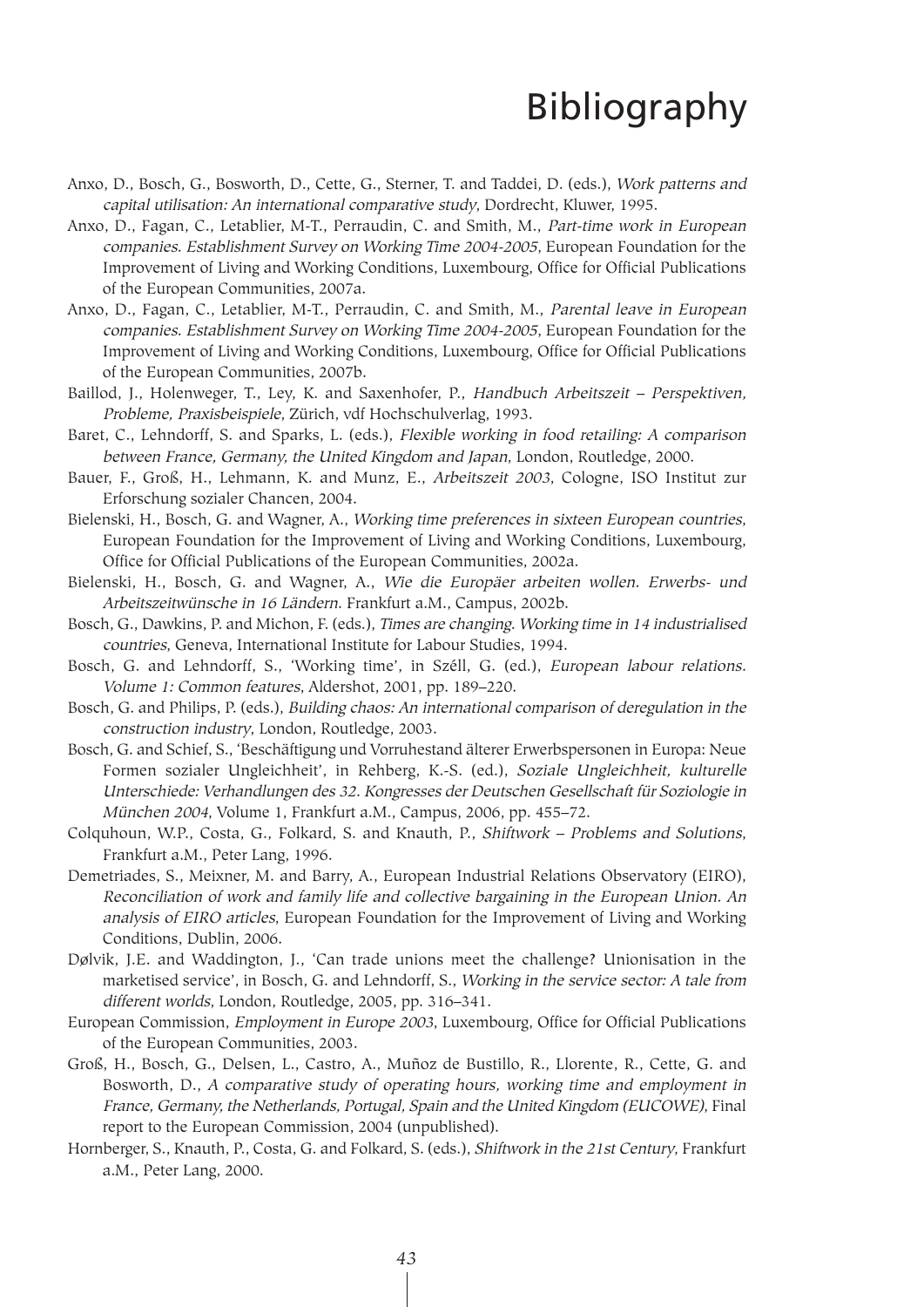## Bibliography

- Anxo, D., Bosch, G., Bosworth, D., Cette, G., Sterner, T. and Taddei, D. (eds.), Work patterns and capital utilisation: An international comparative study, Dordrecht, Kluwer, 1995.
- Anxo, D., Fagan, C., Letablier, M-T., Perraudin, C. and Smith, M., Part-time work in European companies. Establishment Survey on Working Time 2004-2005, European Foundation for the Improvement of Living and Working Conditions, Luxembourg, Office for Official Publications of the European Communities, 2007a.
- Anxo, D., Fagan, C., Letablier, M-T., Perraudin, C. and Smith, M., Parental leave in European companies. Establishment Survey on Working Time 2004-2005, European Foundation for the Improvement of Living and Working Conditions, Luxembourg, Office for Official Publications of the European Communities, 2007b.
- Baillod, J., Holenweger, T., Ley, K. and Saxenhofer, P., Handbuch Arbeitszeit Perspektiven, Probleme, Praxisbeispiele, Zürich, vdf Hochschulverlag, 1993.
- Baret, C., Lehndorff, S. and Sparks, L. (eds.), Flexible working in food retailing: A comparison between France, Germany, the United Kingdom and Japan, London, Routledge, 2000.
- Bauer, F., Groß, H., Lehmann, K. and Munz, E., Arbeitszeit 2003, Cologne, ISO Institut zur Erforschung sozialer Chancen, 2004.
- Bielenski, H., Bosch, G. and Wagner, A., Working time preferences in sixteen European countries, European Foundation for the Improvement of Living and Working Conditions, Luxembourg, Office for Official Publications of the European Communities, 2002a.
- Bielenski, H., Bosch, G. and Wagner, A., Wie die Europäer arbeiten wollen. Erwerbs- und Arbeitszeitwünsche in 16 Ländern. Frankfurt a.M., Campus, 2002b.
- Bosch, G., Dawkins, P. and Michon, F. (eds.), Times are changing. Working time in 14 industrialised countries, Geneva, International Institute for Labour Studies, 1994.
- Bosch, G. and Lehndorff, S., 'Working time', in Széll, G. (ed.), European labour relations. Volume 1: Common features, Aldershot, 2001, pp. 189–220.
- Bosch, G. and Philips, P. (eds.), Building chaos: An international comparison of deregulation in the construction industry, London, Routledge, 2003.
- Bosch, G. and Schief, S., 'Beschäftigung und Vorruhestand älterer Erwerbspersonen in Europa: Neue Formen sozialer Ungleichheit', in Rehberg, K.-S. (ed.), Soziale Ungleichheit, kulturelle Unterschiede: Verhandlungen des 32. Kongresses der Deutschen Gesellschaft für Soziologie in München 2004, Volume 1, Frankfurt a.M., Campus, 2006, pp. 455–72.
- Colquhoun, W.P., Costa, G., Folkard, S. and Knauth, P., Shiftwork Problems and Solutions, Frankfurt a.M., Peter Lang, 1996.
- Demetriades, S., Meixner, M. and Barry, A., European Industrial Relations Observatory (EIRO), Reconciliation of work and family life and collective bargaining in the European Union. An analysis of EIRO articles, European Foundation for the Improvement of Living and Working Conditions, Dublin, 2006.
- Dølvik, J.E. and Waddington, J., 'Can trade unions meet the challenge? Unionisation in the marketised service', in Bosch, G. and Lehndorff, S., Working in the service sector: A tale from different worlds, London, Routledge, 2005, pp. 316–341.
- European Commission, Employment in Europe 2003, Luxembourg, Office for Official Publications of the European Communities, 2003.
- Groß, H., Bosch, G., Delsen, L., Castro, A., Muñoz de Bustillo, R., Llorente, R., Cette, G. and Bosworth, D., A comparative study of operating hours, working time and employment in France, Germany, the Netherlands, Portugal, Spain and the United Kingdom (EUCOWE), Final report to the European Commission, 2004 (unpublished).
- Hornberger, S., Knauth, P., Costa, G. and Folkard, S. (eds.), Shiftwork in the 21st Century, Frankfurt a.M., Peter Lang, 2000.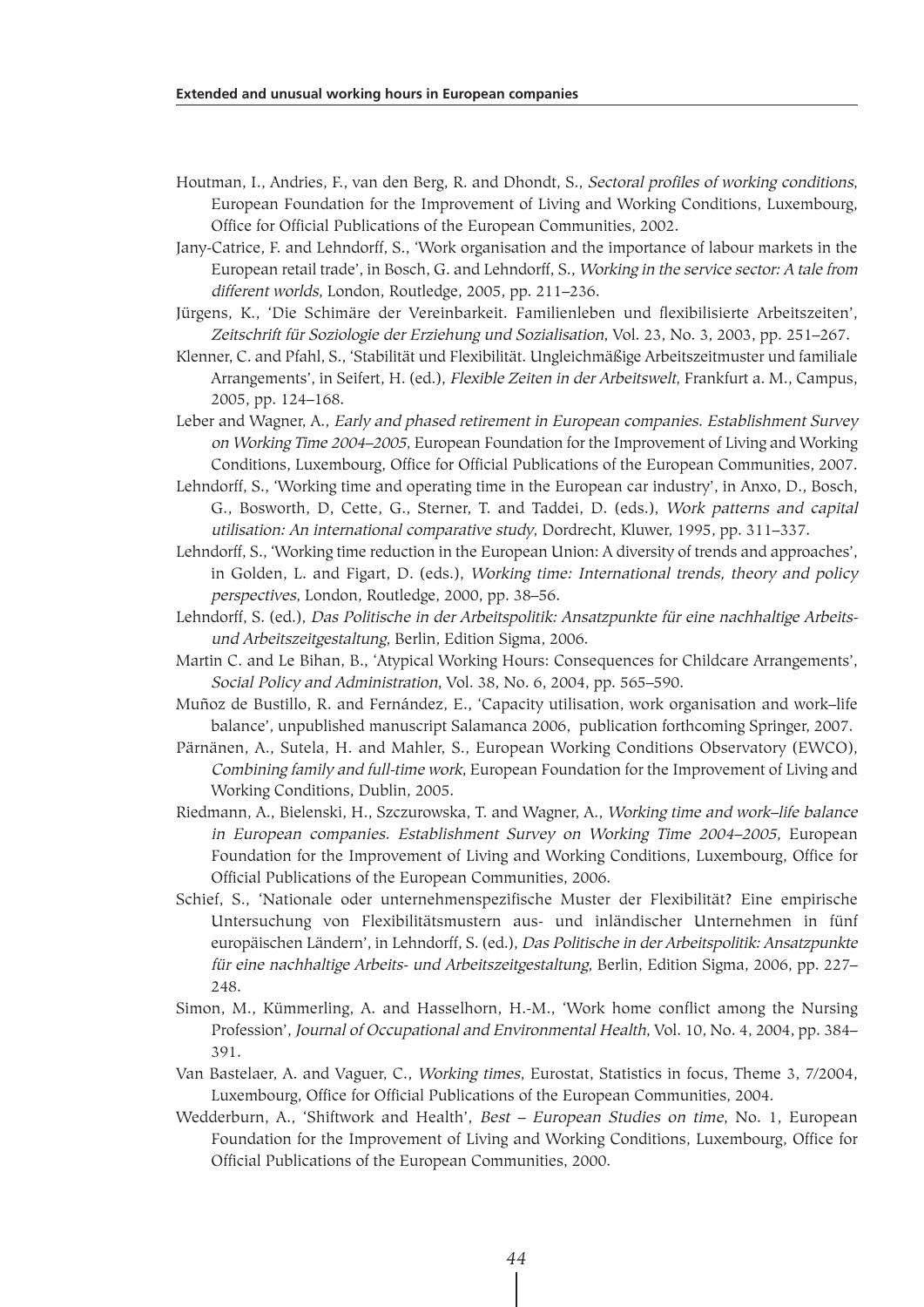- Houtman, I., Andries, F., van den Berg, R. and Dhondt, S., Sectoral profiles of working conditions, European Foundation for the Improvement of Living and Working Conditions, Luxembourg, Office for Official Publications of the European Communities, 2002.
- Jany-Catrice, F. and Lehndorff, S., 'Work organisation and the importance of labour markets in the European retail trade', in Bosch, G. and Lehndorff, S., Working in the service sector: A tale from different worlds, London, Routledge, 2005, pp. 211–236.
- Jürgens, K., 'Die Schimäre der Vereinbarkeit. Familienleben und flexibilisierte Arbeitszeiten', Zeitschrift für Soziologie der Erziehung und Sozialisation, Vol. 23, No. 3, 2003, pp. 251–267.
- Klenner, C. and Pfahl, S., 'Stabilität und Flexibilität. Ungleichmäßige Arbeitszeitmuster und familiale Arrangements', in Seifert, H. (ed.), Flexible Zeiten in der Arbeitswelt, Frankfurt a. M., Campus, 2005, pp. 124–168.
- Leber and Wagner, A., Early and phased retirement in European companies. Establishment Survey on Working Time 2004–2005, European Foundation for the Improvement of Living and Working Conditions, Luxembourg, Office for Official Publications of the European Communities, 2007.
- Lehndorff, S., 'Working time and operating time in the European car industry', in Anxo, D., Bosch, G., Bosworth, D, Cette, G., Sterner, T. and Taddei, D. (eds.), Work patterns and capital utilisation: An international comparative study, Dordrecht, Kluwer, 1995, pp. 311–337.
- Lehndorff, S., 'Working time reduction in the European Union: A diversity of trends and approaches', in Golden, L. and Figart, D. (eds.), Working time: International trends, theory and policy perspectives, London, Routledge, 2000, pp. 38–56.
- Lehndorff, S. (ed.), Das Politische in der Arbeitspolitik: Ansatzpunkte für eine nachhaltige Arbeitsund Arbeitszeitgestaltung, Berlin, Edition Sigma, 2006.
- Martin C. and Le Bihan, B., 'Atypical Working Hours: Consequences for Childcare Arrangements', Social Policy and Administration, Vol. 38, No. 6, 2004, pp. 565–590.
- Muñoz de Bustillo, R. and Fernández, E., 'Capacity utilisation, work organisation and work–life balance', unpublished manuscript Salamanca 2006, publication forthcoming Springer, 2007.
- Pärnänen, A., Sutela, H. and Mahler, S., European Working Conditions Observatory (EWCO), Combining family and full-time work, European Foundation for the Improvement of Living and Working Conditions, Dublin, 2005.
- Riedmann, A., Bielenski, H., Szczurowska, T. and Wagner, A., Working time and work–life balance in European companies. Establishment Survey on Working Time 2004–2005, European Foundation for the Improvement of Living and Working Conditions, Luxembourg, Office for Official Publications of the European Communities, 2006.
- Schief, S., 'Nationale oder unternehmenspezifische Muster der Flexibilität? Eine empirische Untersuchung von Flexibilitätsmustern aus- und inländischer Unternehmen in fünf europäischen Ländern', in Lehndorff, S. (ed.), Das Politische in der Arbeitspolitik: Ansatzpunkte für eine nachhaltige Arbeits- und Arbeitszeitgestaltung, Berlin, Edition Sigma, 2006, pp. 227– 248.
- Simon, M., Kümmerling, A. and Hasselhorn, H.-M., 'Work home conflict among the Nursing Profession', Journal of Occupational and Environmental Health, Vol. 10, No. 4, 2004, pp. 384– 391.
- Van Bastelaer, A. and Vaguer, C., Working times, Eurostat, Statistics in focus, Theme 3, 7/2004, Luxembourg, Office for Official Publications of the European Communities, 2004.
- Wedderburn, A., 'Shiftwork and Health', Best European Studies on time, No. 1, European Foundation for the Improvement of Living and Working Conditions, Luxembourg, Office for Official Publications of the European Communities, 2000.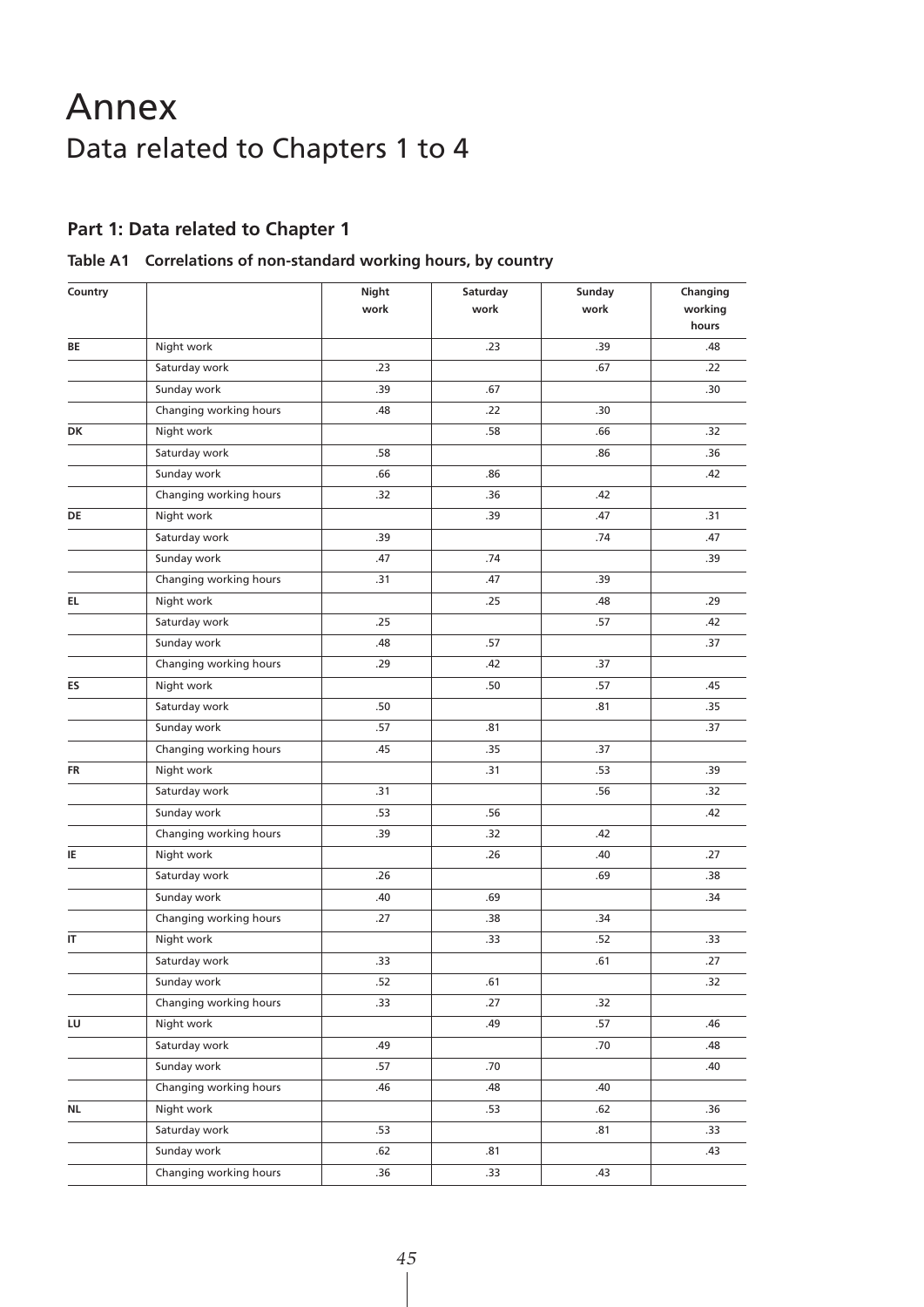## Annex Data related to Chapters 1 to 4

## **Part 1: Data related to Chapter 1**

### **Table A1 Correlations of non-standard working hours, by country**

| Country |                        | <b>Night</b><br>work | Saturday<br>work | Sunday<br>work | Changing<br>working<br>hours |
|---------|------------------------|----------------------|------------------|----------------|------------------------------|
| BE      | Night work             |                      | .23              | .39            | .48                          |
|         | Saturday work          | .23                  |                  | .67            | .22                          |
|         | Sunday work            | .39                  | .67              |                | .30                          |
|         | Changing working hours | .48                  | .22              | .30            |                              |
| DK      | Night work             |                      | .58              | .66            | .32                          |
|         | Saturday work          | .58                  |                  | .86            | .36                          |
|         | Sunday work            | .66                  | .86              |                | .42                          |
|         | Changing working hours | .32                  | .36              | .42            |                              |
| DE      | Night work             |                      | .39              | .47            | .31                          |
|         | Saturday work          | .39                  |                  | .74            | .47                          |
|         | Sunday work            | .47                  | .74              |                | .39                          |
|         | Changing working hours | .31                  | .47              | .39            |                              |
| EL.     | Night work             |                      | .25              | .48            | .29                          |
|         | Saturday work          | .25                  |                  | .57            | .42                          |
|         | Sunday work            | .48                  | .57              |                | .37                          |
|         | Changing working hours | .29                  | .42              | .37            |                              |
| ES      | Night work             |                      | .50              | .57            | .45                          |
|         | Saturday work          | .50                  |                  | .81            | .35                          |
|         | Sunday work            | .57                  | .81              |                | .37                          |
|         | Changing working hours | .45                  | .35              | .37            |                              |
| FR      | Night work             |                      | .31              | .53            | .39                          |
|         | Saturday work          | .31                  |                  | .56            | .32                          |
|         | Sunday work            | .53                  | .56              |                | .42                          |
|         | Changing working hours | .39                  | .32              | .42            |                              |
| IE      | Night work             |                      | .26              | .40            | .27                          |
|         | Saturday work          | .26                  |                  | .69            | .38                          |
|         | Sunday work            | .40                  | .69              |                | .34                          |
|         | Changing working hours | .27                  | .38              | .34            |                              |
| IT      | Night work             |                      | .33              | .52            | .33                          |
|         | Saturday work          | .33                  |                  | .61            | .27                          |
|         | Sunday work            | .52                  | .61              |                | .32                          |
|         | Changing working hours | .33                  | .27              | .32            |                              |
| LU      | Night work             |                      | .49              | .57            | .46                          |
|         | Saturday work          | .49                  |                  | .70            | .48                          |
|         | Sunday work            | .57                  | .70              |                | .40                          |
|         | Changing working hours | .46                  | .48              | .40            |                              |
| ΝL      | Night work             |                      | .53              | .62            | .36                          |
|         | Saturday work          | .53                  |                  | .81            | .33                          |
|         | Sunday work            | .62                  | .81              |                | .43                          |
|         | Changing working hours | .36                  | .33              | .43            |                              |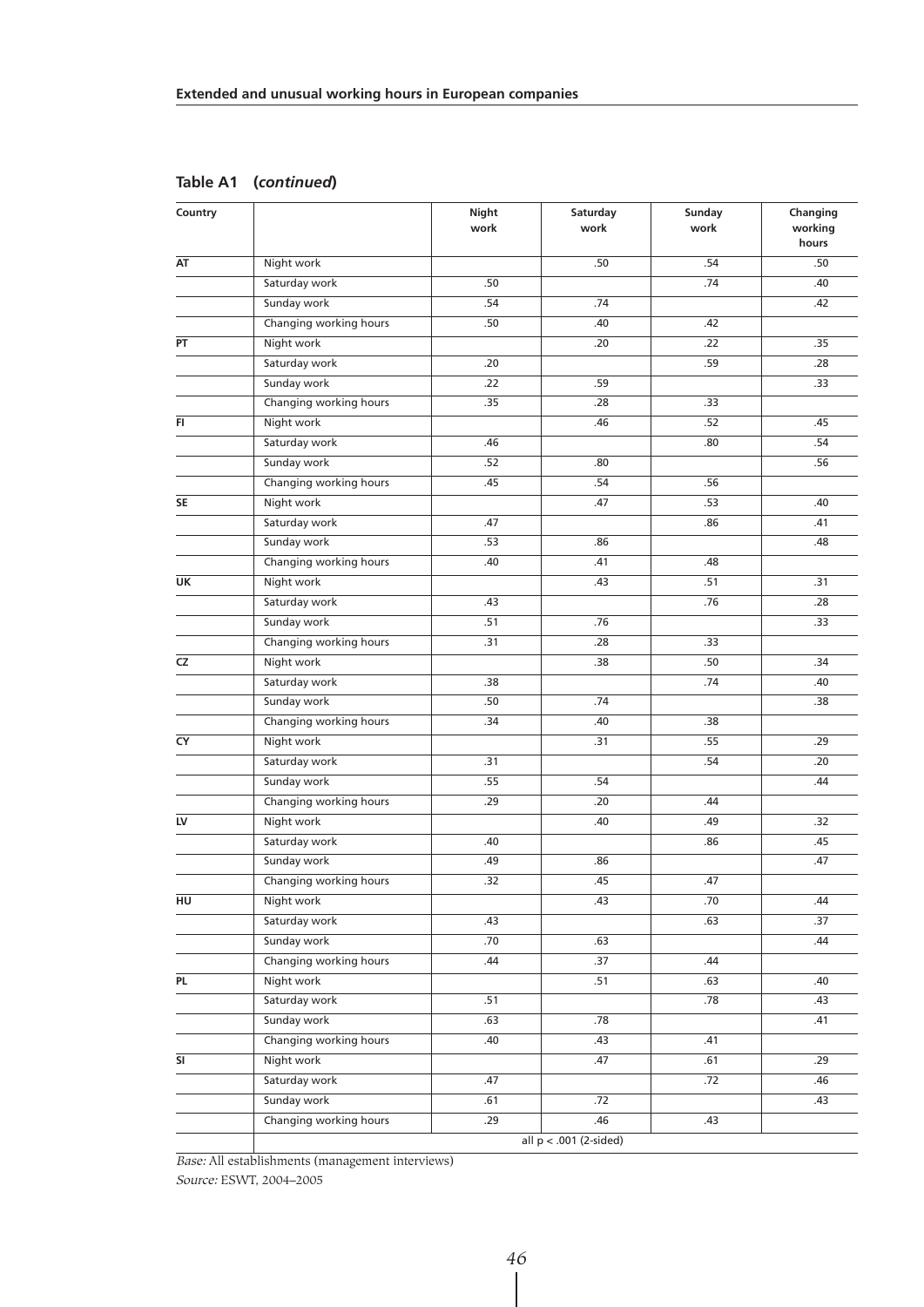| Country |                        | Night<br>work | Saturday<br>work         | Sunday<br>work | Changing<br>working<br>hours |
|---------|------------------------|---------------|--------------------------|----------------|------------------------------|
| AT      | Night work             |               | .50                      | .54            | .50                          |
|         | Saturday work          | .50           |                          | .74            | .40                          |
|         | Sunday work            | .54           | .74                      |                | .42                          |
|         | Changing working hours | .50           | .40                      | .42            |                              |
| PT      | Night work             |               | .20                      | .22            | .35                          |
|         | Saturday work          | .20           |                          | .59            | .28                          |
|         | Sunday work            | .22           | .59                      |                | .33                          |
|         | Changing working hours | .35           | .28                      | .33            |                              |
| FI      | Night work             |               | .46                      | .52            | .45                          |
|         | Saturday work          | .46           |                          | .80            | .54                          |
|         | Sunday work            | .52           | .80                      |                | .56                          |
|         | Changing working hours | .45           | .54                      | .56            |                              |
| SE      | Night work             |               | .47                      | .53            | .40                          |
|         | Saturday work          | .47           |                          | .86            | .41                          |
|         | Sunday work            | .53           | .86                      |                | .48                          |
|         | Changing working hours | .40           | .41                      | .48            |                              |
| UK      | Night work             |               | .43                      | .51            | .31                          |
|         | Saturday work          | .43           |                          | .76            | .28                          |
|         | Sunday work            | .51           | .76                      |                | .33                          |
|         | Changing working hours | .31           | .28                      | .33            |                              |
| CZ      | Night work             |               | .38                      | .50            | .34                          |
|         | Saturday work          | .38           |                          | .74            | .40                          |
|         | Sunday work            | .50           | .74                      |                | .38                          |
|         | Changing working hours | .34           | .40                      | .38            |                              |
| CY      | Night work             |               | .31                      | .55            | .29                          |
|         | Saturday work          | .31           |                          | .54            | .20                          |
|         | Sunday work            | .55           | .54                      |                | .44                          |
|         | Changing working hours | .29           | .20                      | .44            |                              |
| LV      | Night work             |               | .40                      | .49            | .32                          |
|         | Saturday work          | .40           |                          | .86            | .45                          |
|         | Sunday work            | .49           | .86                      |                | .47                          |
|         | Changing working hours | .32           | .45                      | .47            |                              |
| HU      | Night work             |               | .43                      | .70            | .44                          |
|         | Saturday work          | .43           |                          | .63            | .37                          |
|         | Sunday work            | .70           | .63                      |                | .44                          |
|         | Changing working hours | .44           | .37                      | .44            |                              |
| PL      | Night work             |               | .51                      | .63            | .40                          |
|         | Saturday work          | .51           |                          | .78            | .43                          |
|         | Sunday work            | .63           | .78                      |                | .41                          |
|         | Changing working hours | .40           | .43                      | .41            |                              |
| SI      | Night work             |               | .47                      | .61            | .29                          |
|         | Saturday work          | .47           |                          | .72            | .46                          |
|         | Sunday work            | .61           | .72                      |                | .43                          |
|         | Changing working hours | .29           | .46                      | .43            |                              |
|         |                        |               | all $p < .001$ (2-sided) |                |                              |

**Table A1 (***continued***)**

Base: All establishments (management interviews)

Source: ESWT, 2004–2005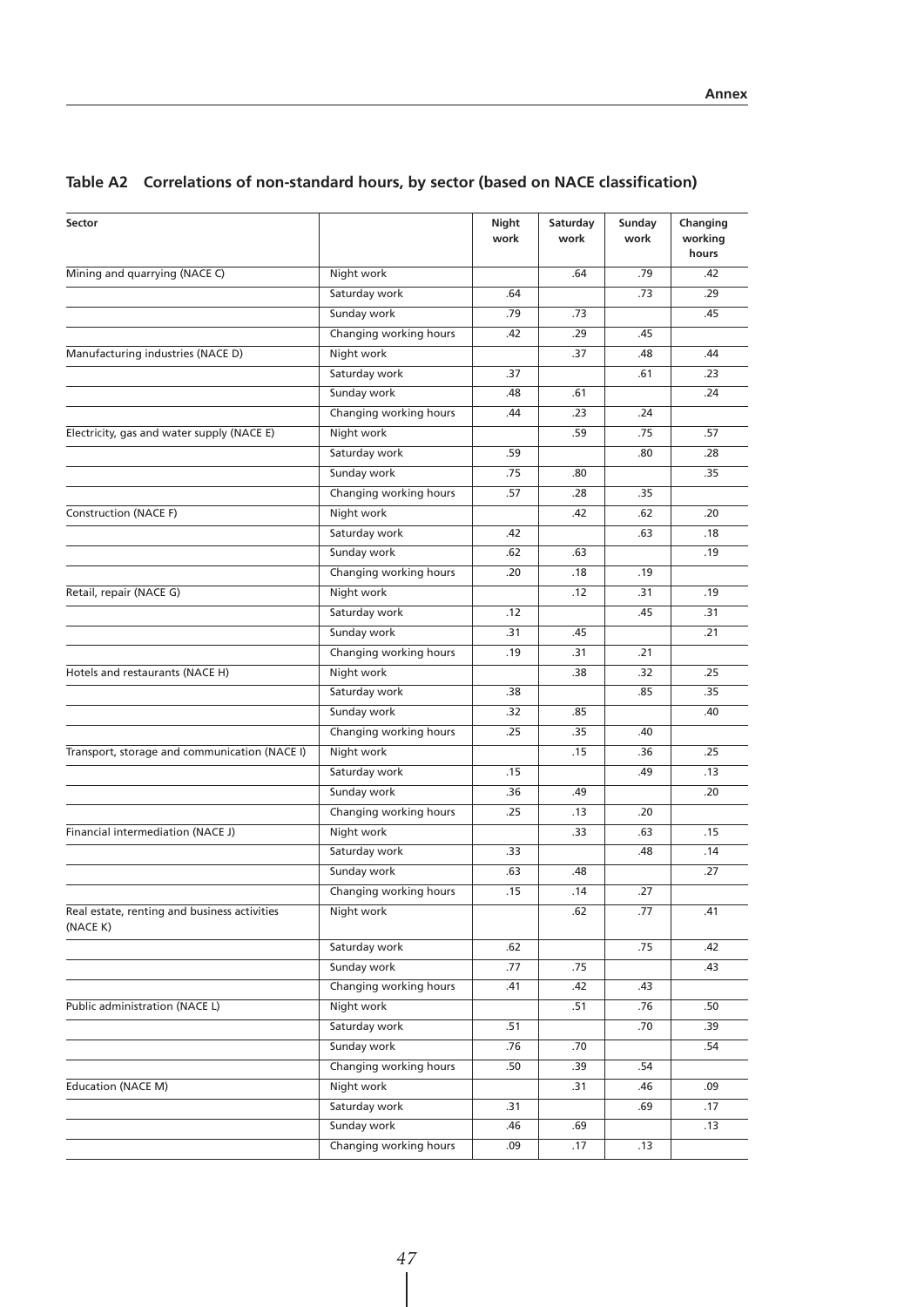| Sector                                                   |                        | Night<br>work | Saturday<br>work | Sunday<br>work | Changing<br>working<br>hours |
|----------------------------------------------------------|------------------------|---------------|------------------|----------------|------------------------------|
| Mining and quarrying (NACE C)                            | Night work             |               | .64              | .79            | .42                          |
|                                                          | Saturday work          | .64           |                  | .73            | .29                          |
|                                                          | Sunday work            | .79           | .73              |                | .45                          |
|                                                          | Changing working hours | .42           | .29              | .45            |                              |
| Manufacturing industries (NACE D)                        | Night work             |               | .37              | .48            | .44                          |
|                                                          | Saturday work          | .37           |                  | .61            | .23                          |
|                                                          | Sunday work            | .48           | .61              |                | .24                          |
|                                                          | Changing working hours | .44           | .23              | .24            |                              |
| Electricity, gas and water supply (NACE E)               | Night work             |               | .59              | .75            | .57                          |
|                                                          | Saturday work          | .59           |                  | .80            | .28                          |
|                                                          | Sunday work            | .75           | .80              |                | .35                          |
|                                                          | Changing working hours | .57           | .28              | .35            |                              |
| Construction (NACE F)                                    | Night work             |               | .42              | .62            | .20                          |
|                                                          | Saturday work          | .42           |                  | .63            | .18                          |
|                                                          | Sunday work            | .62           | .63              |                | .19                          |
|                                                          | Changing working hours | .20           | .18              | .19            |                              |
| Retail, repair (NACE G)                                  | Night work             |               | .12              | .31            | .19                          |
|                                                          | Saturday work          | .12           |                  | .45            | .31                          |
|                                                          | Sunday work            | .31           | .45              |                | .21                          |
|                                                          | Changing working hours | .19           | .31              | .21            |                              |
| Hotels and restaurants (NACE H)                          | Night work             |               | .38              | .32            | .25                          |
|                                                          | Saturday work          | .38           |                  | .85            | .35                          |
|                                                          | Sunday work            | .32           | .85              |                | .40                          |
|                                                          | Changing working hours | .25           | .35              | .40            |                              |
| Transport, storage and communication (NACE I)            | Night work             |               | .15              | .36            | .25                          |
|                                                          | Saturday work          | .15           |                  | .49            | .13                          |
|                                                          | Sunday work            | .36           | .49              |                | .20                          |
|                                                          | Changing working hours | .25           | .13              | .20            |                              |
| Financial intermediation (NACE J)                        | Night work             |               | .33              | .63            | .15                          |
|                                                          | Saturday work          | .33           |                  | .48            | .14                          |
|                                                          | Sunday work            | .63           | .48              |                | .27                          |
|                                                          | Changing working hours | .15           | .14              | .27            |                              |
| Real estate, renting and business activities<br>(NACE K) | Night work             |               | .62              | .77            | .41                          |
|                                                          | Saturday work          | .62           |                  | .75            | .42                          |
|                                                          | Sunday work            | .77           | .75              |                | .43                          |
|                                                          | Changing working hours | .41           | .42              | .43            |                              |
| Public administration (NACE L)                           | Night work             |               | .51              | .76            | .50                          |
|                                                          | Saturday work          | .51           |                  | .70            | .39                          |
|                                                          | Sunday work            | .76           | .70              |                | .54                          |
|                                                          | Changing working hours | .50           | .39              | .54            |                              |
| <b>Education (NACE M)</b>                                | Night work             |               | .31              | .46            | .09                          |
|                                                          | Saturday work          | .31           |                  | .69            | .17                          |
|                                                          | Sunday work            | .46           | .69              |                | .13                          |
|                                                          | Changing working hours | .09           | .17              | .13            |                              |
|                                                          |                        |               |                  |                |                              |

## **Table A2 Correlations of non-standard hours, by sector (based on NACE classification)**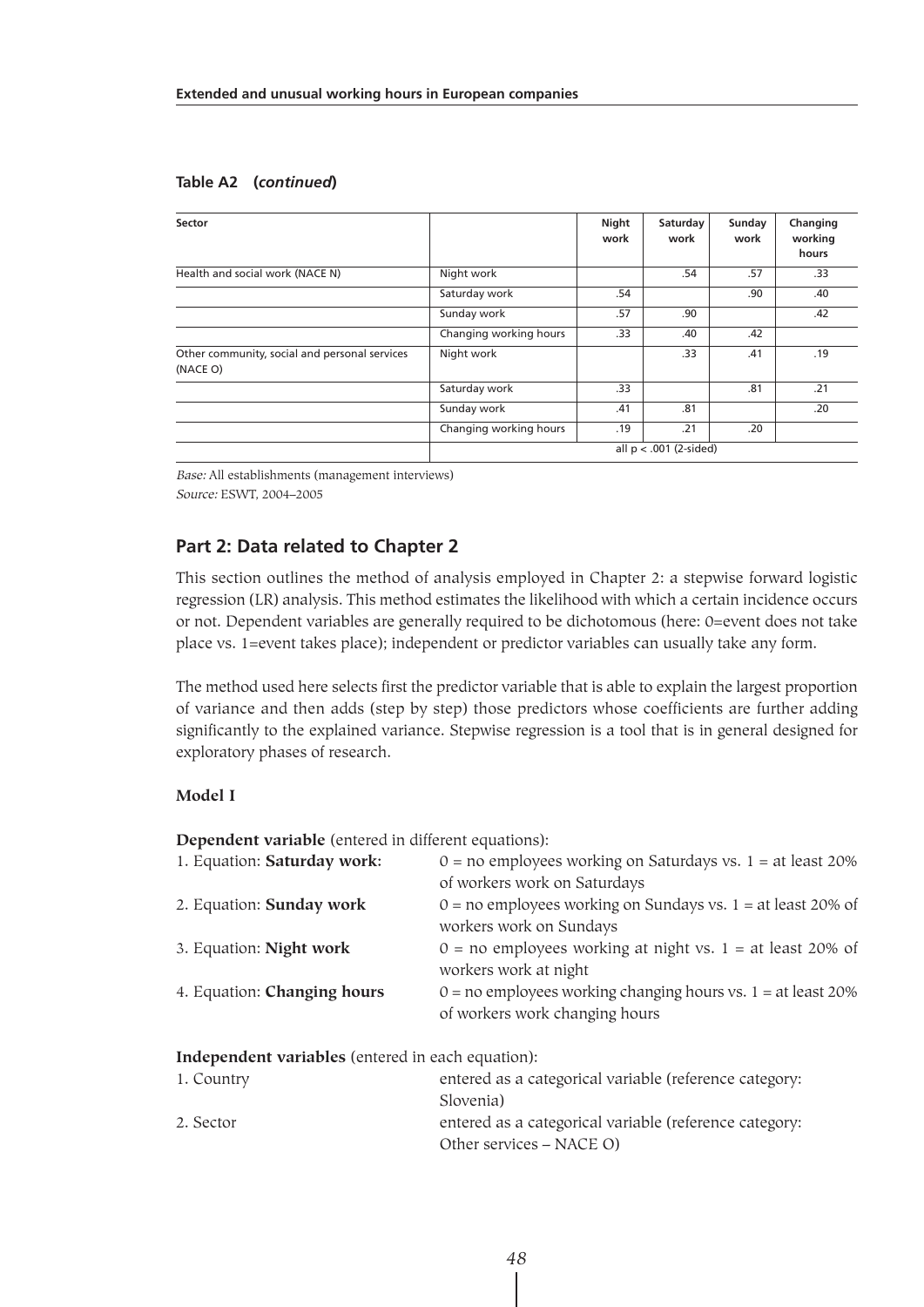#### **Table A2 (***continued***)**

| Sector                                                    |                          | Night<br>work | Saturday<br>work | Sunday<br>work | Changing<br>working<br>hours |  |  |
|-----------------------------------------------------------|--------------------------|---------------|------------------|----------------|------------------------------|--|--|
| Health and social work (NACE N)                           | Night work               |               | .54              | .57            | .33                          |  |  |
|                                                           | Saturday work            | .54           |                  | .90            | .40                          |  |  |
|                                                           | Sunday work              | .57           | .90              |                | .42                          |  |  |
|                                                           | Changing working hours   | .33           | .40              | .42            |                              |  |  |
| Other community, social and personal services<br>(NACE O) | Night work               |               | .33              | .41            | .19                          |  |  |
|                                                           | Saturday work            | .33           |                  | .81            | .21                          |  |  |
|                                                           | Sunday work              | .41           | .81              |                | .20                          |  |  |
|                                                           | Changing working hours   | .19           | .21              | .20            |                              |  |  |
|                                                           | all $p < .001$ (2-sided) |               |                  |                |                              |  |  |

Base: All establishments (management interviews) Source: ESWT, 2004–2005

## **Part 2: Data related to Chapter 2**

This section outlines the method of analysis employed in Chapter 2: a stepwise forward logistic regression (LR) analysis. This method estimates the likelihood with which a certain incidence occurs or not. Dependent variables are generally required to be dichotomous (here: 0=event does not take place vs. 1=event takes place); independent or predictor variables can usually take any form.

The method used here selects first the predictor variable that is able to explain the largest proportion of variance and then adds (step by step) those predictors whose coefficients are further adding significantly to the explained variance. Stepwise regression is a tool that is in general designed for exploratory phases of research.

#### **Model I**

**Dependent variable** (entered in different equations):

| 1. Equation: Saturday work:                       | $0 =$ no employees working on Saturdays vs. 1 = at least 20%<br>of workers work on Saturdays       |
|---------------------------------------------------|----------------------------------------------------------------------------------------------------|
| 2. Equation: Sunday work                          | $0 =$ no employees working on Sundays vs. 1 = at least 20% of<br>workers work on Sundays           |
| 3. Equation: Night work                           | $0 =$ no employees working at night vs. 1 = at least 20% of<br>workers work at night               |
| 4. Equation: <b>Changing hours</b>                | $0 =$ no employees working changing hours vs. $1 =$ at least 20%<br>of workers work changing hours |
| Independent variables (entered in each equation): |                                                                                                    |
| 1. Country                                        | entered as a categorical variable (reference category:<br>Slovenia)                                |
|                                                   |                                                                                                    |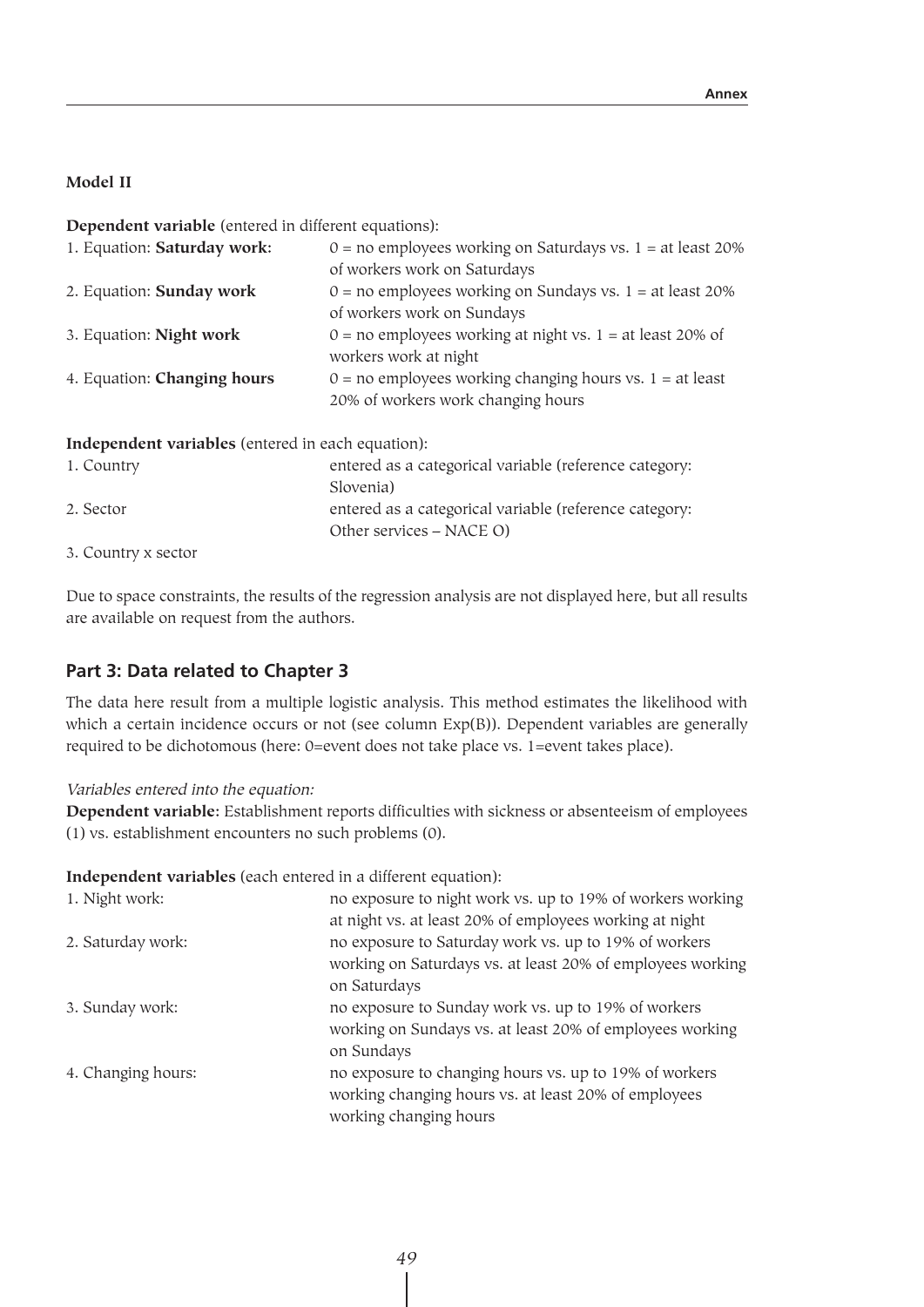#### **Model II**

**Dependent variable** (entered in different equations):

| 1. Equation: Saturday work:         | $0 =$ no employees working on Saturdays vs. 1 = at least 20% |
|-------------------------------------|--------------------------------------------------------------|
|                                     | of workers work on Saturdays                                 |
| 2. Equation: Sunday work            | $0 =$ no employees working on Sundays vs. 1 = at least 20%   |
|                                     | of workers work on Sundays                                   |
| 3. Equation: Night work             | $0 =$ no employees working at night vs. 1 = at least 20% of  |
|                                     | workers work at night                                        |
| 4. Equation: Changing hours         | $0 =$ no employees working changing hours vs. 1 = at least   |
|                                     | 20% of workers work changing hours                           |
|                                     |                                                              |
| $\sim$ 1 $\sim$ 11 $\sim$ 11 $\sim$ |                                                              |

**Independent variables** (entered in each equation):

| 1. Country          | entered as a categorical variable (reference category: |
|---------------------|--------------------------------------------------------|
|                     | Slovenia)                                              |
| 2. Sector           | entered as a categorical variable (reference category: |
|                     | Other services – NACE O)                               |
| 3. Country x sector |                                                        |

Due to space constraints, the results of the regression analysis are not displayed here, but all results are available on request from the authors.

### **Part 3: Data related to Chapter 3**

The data here result from a multiple logistic analysis. This method estimates the likelihood with which a certain incidence occurs or not (see column Exp(B)). Dependent variables are generally required to be dichotomous (here: 0=event does not take place vs. 1=event takes place).

Variables entered into the equation:

**Dependent variable:** Establishment reports difficulties with sickness or absenteeism of employees (1) vs. establishment encounters no such problems (0).

**Independent variables** (each entered in a different equation):

| 1. Night work:     | no exposure to night work vs. up to 19% of workers working |
|--------------------|------------------------------------------------------------|
|                    | at night vs. at least 20% of employees working at night    |
| 2. Saturday work:  | no exposure to Saturday work vs. up to 19% of workers      |
|                    | working on Saturdays vs. at least 20% of employees working |
|                    | on Saturdays                                               |
| 3. Sunday work:    | no exposure to Sunday work vs. up to 19% of workers        |
|                    | working on Sundays vs. at least 20% of employees working   |
|                    | on Sundays                                                 |
| 4. Changing hours: | no exposure to changing hours vs. up to 19% of workers     |
|                    | working changing hours vs. at least 20% of employees       |
|                    | working changing hours                                     |
|                    |                                                            |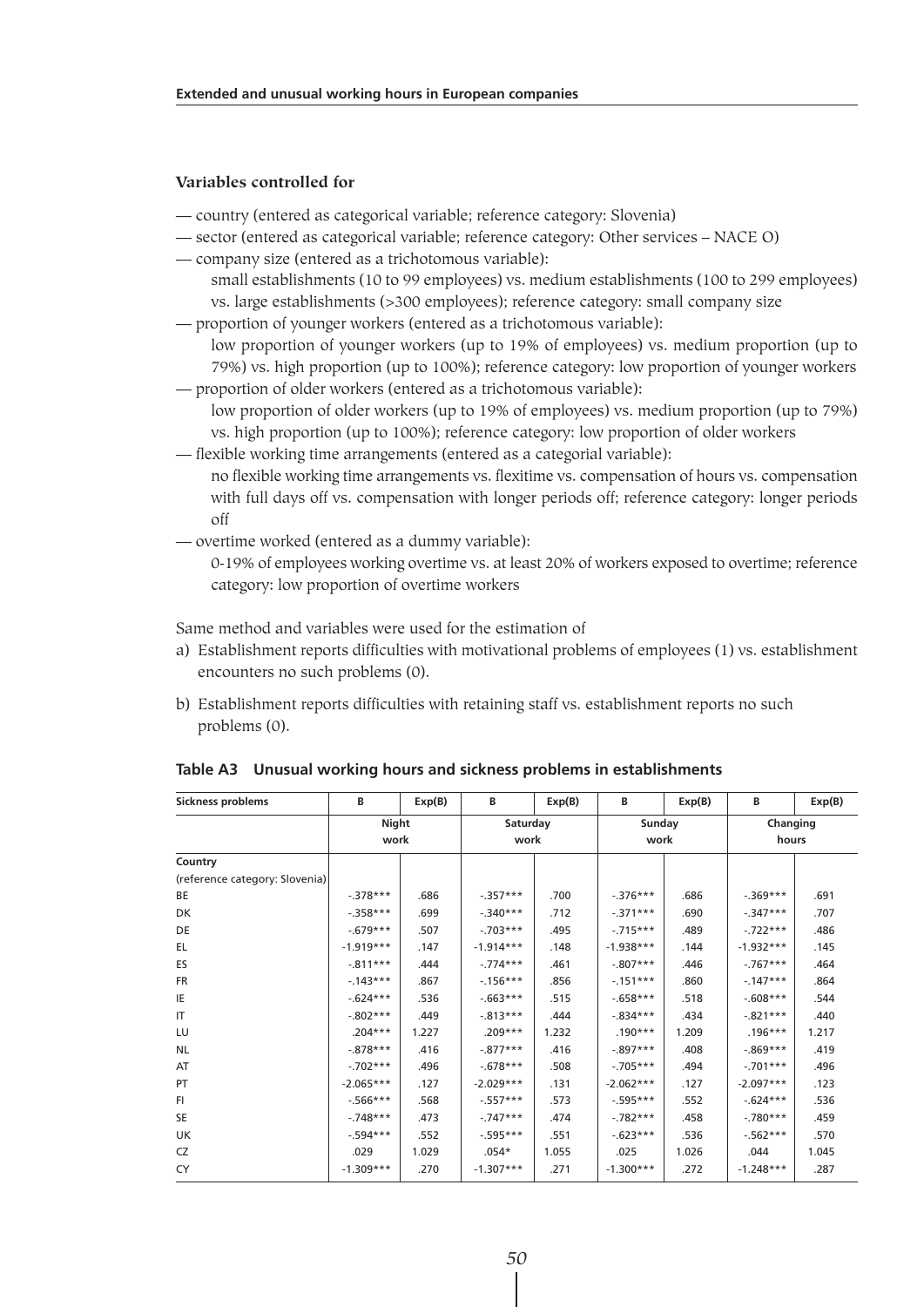#### **Variables controlled for**

- country (entered as categorical variable; reference category: Slovenia)
- sector (entered as categorical variable; reference category: Other services NACE O)
- company size (entered as a trichotomous variable):
	- small establishments (10 to 99 employees) vs. medium establishments (100 to 299 employees) vs. large establishments (>300 employees); reference category: small company size
- proportion of younger workers (entered as a trichotomous variable):

low proportion of younger workers (up to 19% of employees) vs. medium proportion (up to 79%) vs. high proportion (up to 100%); reference category: low proportion of younger workers — proportion of older workers (entered as a trichotomous variable):

- low proportion of older workers (up to 19% of employees) vs. medium proportion (up to 79%) vs. high proportion (up to 100%); reference category: low proportion of older workers
- flexible working time arrangements (entered as a categorial variable):
	- no flexible working time arrangements vs. flexitime vs. compensation of hours vs. compensation with full days off vs. compensation with longer periods off; reference category: longer periods off
- overtime worked (entered as a dummy variable):
	- 0-19% of employees working overtime vs. at least 20% of workers exposed to overtime; reference category: low proportion of overtime workers

Same method and variables were used for the estimation of

- a) Establishment reports difficulties with motivational problems of employees (1) vs. establishment encounters no such problems (0).
- b) Establishment reports difficulties with retaining staff vs. establishment reports no such problems (0).

| Sickness problems              | В             | Exp(B) | в                | Exp(B) | В              | Exp(B) | В                 | Exp(B) |
|--------------------------------|---------------|--------|------------------|--------|----------------|--------|-------------------|--------|
|                                | Night<br>work |        | Saturday<br>work |        | Sunday<br>work |        | Changing<br>hours |        |
| Country                        |               |        |                  |        |                |        |                   |        |
| (reference category: Slovenia) |               |        |                  |        |                |        |                   |        |
| BE                             | $-378***$     | .686   | $-0.357***$      | .700   | $-376***$      | .686   | $-.369***$        | .691   |
| DK                             | $-358***$     | .699   | $-340***$        | .712   | $-.371***$     | .690   | $-.347***$        | .707   |
| DE                             | $-679***$     | .507   | $-703***$        | .495   | $-715***$      | .489   | $-.722***$        | .486   |
| EL.                            | $-1.919***$   | .147   | $-1.914***$      | .148   | $-1.938***$    | .144   | $-1.932***$       | .145   |
| ES                             | $-811***$     | .444   | $-0.774***$      | .461   | $-.807***$     | .446   | $-.767***$        | .464   |
| <b>FR</b>                      | $-143***$     | .867   | $-156***$        | .856   | $-151***$      | .860   | $-147***$         | .864   |
| IE                             | $-624***$     | .536   | $-0.663***$      | .515   | $-658***$      | .518   | $-0.608***$       | .544   |
| IT                             | $-.802***$    | .449   | $-0.813***$      | .444   | $-0.834***$    | .434   | $-.821***$        | .440   |
| LU                             | $.204***$     | 1.227  | $.209***$        | 1.232  | $.190***$      | 1.209  | $.196***$         | 1.217  |
| <b>NL</b>                      | $-0.878***$   | .416   | $-0.877***$      | .416   | $-897***$      | .408   | $-0.869***$       | .419   |
| AT                             | $-702***$     | .496   | $-678***$        | .508   | $-705***$      | .494   | $-.701***$        | .496   |
| PT                             | $-2.065***$   | .127   | $-2.029***$      | .131   | $-2.062***$    | .127   | $-2.097***$       | .123   |
| F1                             | $-566***$     | .568   | $-557***$        | .573   | $-595***$      | .552   | $-624***$         | .536   |
| <b>SE</b>                      | $-748***$     | .473   | $-747***$        | .474   | $-782***$      | .458   | $-.780***$        | .459   |
| UK                             | $-594***$     | .552   | $-0.595***$      | .551   | $-623***$      | .536   | $-562***$         | .570   |
| CZ                             | .029          | 1.029  | $.054*$          | 1.055  | .025           | 1.026  | .044              | 1.045  |
| CY                             | $-1.309***$   | .270   | $-1.307***$      | .271   | $-1.300***$    | .272   | $-1.248***$       | .287   |

**Table A3 Unusual working hours and sickness problems in establishments**

*50*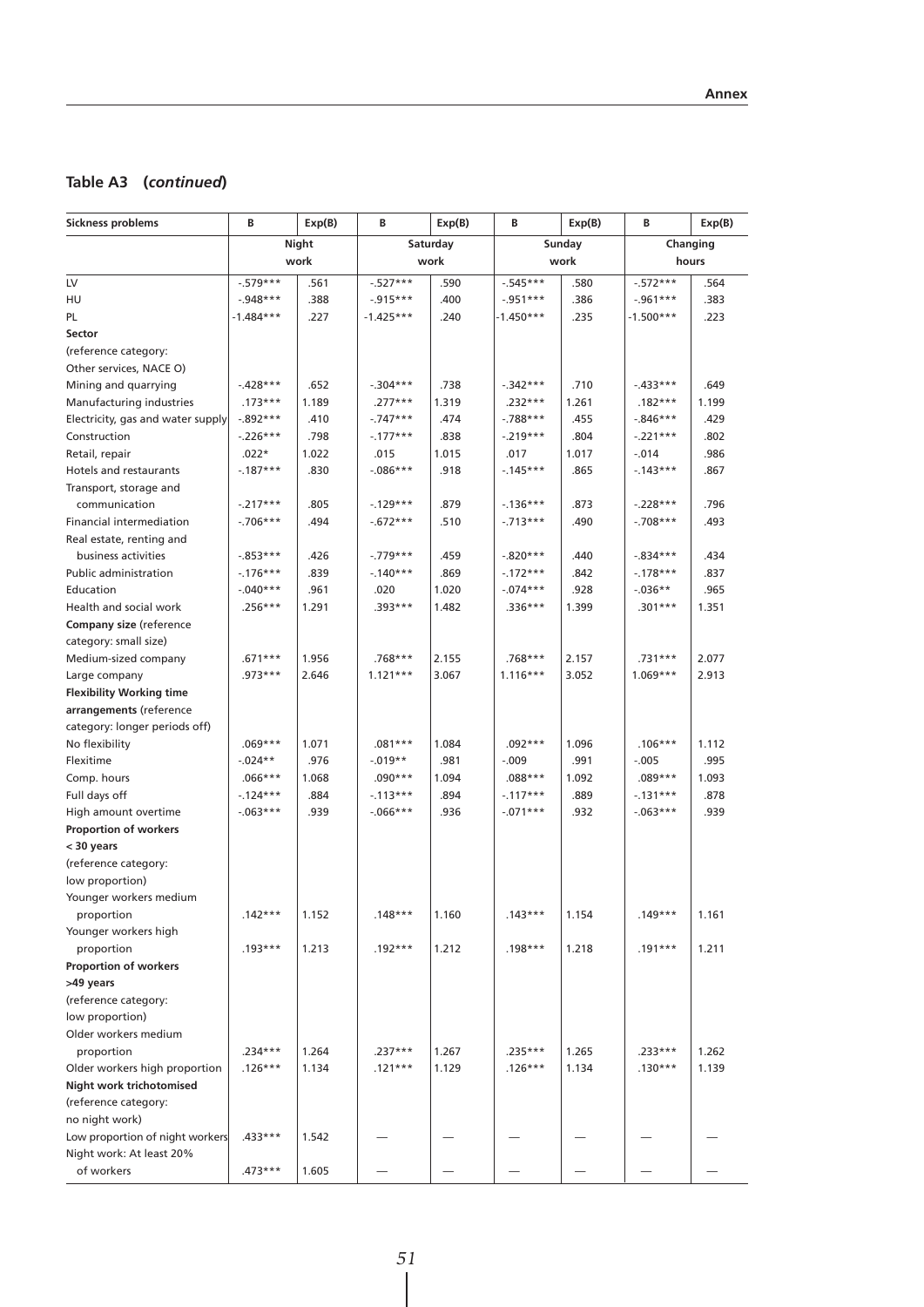## **Table A3 (***continued***)**

| <b>Sickness problems</b>          | В           | Exp(B) | В           | Exp(B)   | В           | Exp(B) | В           | Exp(B)   |  |
|-----------------------------------|-------------|--------|-------------|----------|-------------|--------|-------------|----------|--|
|                                   | Night       |        |             | Saturday |             | Sunday |             | Changing |  |
|                                   | work        |        | work        |          |             | work   |             | hours    |  |
| LV                                | $-579***$   | .561   | $-527***$   | .590     | $-545***$   | .580   | $-572***$   | .564     |  |
| HU                                | $-.948***$  | .388   | $-0.915***$ | .400     | $-0.951***$ | .386   | $-0.961***$ | .383     |  |
| PL.                               | -1.484***   | .227   | $-1.425***$ | .240     | -1.450***   | .235   | -1.500***   | .223     |  |
| Sector                            |             |        |             |          |             |        |             |          |  |
| (reference category:              |             |        |             |          |             |        |             |          |  |
| Other services, NACE O)           |             |        |             |          |             |        |             |          |  |
| Mining and quarrying              | $-.428***$  | .652   | $-.304***$  | .738     | $-.342***$  | .710   | $-433***$   | .649     |  |
| Manufacturing industries          | $.173***$   | 1.189  | $.277***$   | 1.319    | .232***     | 1.261  | $.182***$   | 1.199    |  |
| Electricity, gas and water supply | $-.892***$  | .410   | $-.747***$  | .474     | $-788***$   | .455   | $-0.846***$ | .429     |  |
| Construction                      | $-226***$   | .798   | $-.177***$  | .838     | $-.219***$  | .804   | $-.221***$  | .802     |  |
| Retail, repair                    | $.022*$     | 1.022  | .015        | 1.015    | .017        | 1.017  | $-0.14$     | .986     |  |
| Hotels and restaurants            | $-187***$   | .830   | $-0.086***$ | .918     | $-145***$   | .865   | $-143***$   | .867     |  |
| Transport, storage and            |             |        |             |          |             |        |             |          |  |
| communication                     | $-.217***$  | .805   | $-.129***$  | .879     | $-136***$   | .873   | $-.228***$  | .796     |  |
| Financial intermediation          | $-.706***$  | .494   | $-.672***$  | .510     | $-.713***$  | .490   | $-.708***$  | .493     |  |
| Real estate, renting and          |             |        |             |          |             |        |             |          |  |
| business activities               | $-0.853***$ | .426   | $-.779***$  | .459     | $-.820***$  | .440   | $-.834***$  | .434     |  |
| Public administration             | $-.176***$  | .839   | $-.140***$  | .869     | $-.172***$  | .842   | $-178***$   | .837     |  |
| Education                         | $-.040***$  | .961   | .020        | 1.020    | $-074***$   | .928   | $-.036**$   | .965     |  |
| Health and social work            | $.256***$   | 1.291  | .393***     | 1.482    | $.336***$   | 1.399  | .301***     | 1.351    |  |
| <b>Company size (reference</b>    |             |        |             |          |             |        |             |          |  |
| category: small size)             |             |        |             |          |             |        |             |          |  |
| Medium-sized company              | .671***     | 1.956  | .768***     | 2.155    | .768***     | 2.157  | .731***     | 2.077    |  |
| Large company                     | $.973***$   | 2.646  | $1.121***$  | 3.067    | $1.116***$  | 3.052  | $1.069***$  | 2.913    |  |
| <b>Flexibility Working time</b>   |             |        |             |          |             |        |             |          |  |
| arrangements (reference           |             |        |             |          |             |        |             |          |  |
| category: longer periods off)     |             |        |             |          |             |        |             |          |  |
| No flexibility                    | $.069***$   | 1.071  | $.081***$   | 1.084    | $.092***$   | 1.096  | $.106***$   | 1.112    |  |
| Flexitime                         | $-.024**$   | .976   | $-0.019**$  | .981     | $-.009$     | .991   | $-.005$     | .995     |  |
| Comp. hours                       | $.066***$   | 1.068  | .090***     | 1.094    | $.088***$   | 1.092  | .089***     | 1.093    |  |
| Full days off                     | $-.124***$  | .884   | $-.113***$  | .894     | $-.117***$  | .889   | $-.131***$  | .878     |  |
| High amount overtime              | $-063***$   | .939   | $-0.066***$ | .936     | $-.071***$  | .932   | $-063***$   | .939     |  |
| <b>Proportion of workers</b>      |             |        |             |          |             |        |             |          |  |
| < 30 years                        |             |        |             |          |             |        |             |          |  |
| (reference category:              |             |        |             |          |             |        |             |          |  |
| low proportion)                   |             |        |             |          |             |        |             |          |  |
| Younger workers medium            |             |        |             |          |             |        |             |          |  |
| proportion                        | $.142***$   | 1.152  | $.148***$   | 1.160    | $.143***$   | 1.154  | $.149***$   | 1.161    |  |
| Younger workers high              |             |        |             |          |             |        |             |          |  |
| proportion                        | $.193***$   | 1.213  | $.192***$   | 1.212    | .198***     | 1.218  | .191***     | 1.211    |  |
| Proportion of workers             |             |        |             |          |             |        |             |          |  |
| >49 years                         |             |        |             |          |             |        |             |          |  |
| (reference category:              |             |        |             |          |             |        |             |          |  |
| low proportion)                   |             |        |             |          |             |        |             |          |  |
| Older workers medium              |             |        |             |          |             |        |             |          |  |
| proportion                        | $.234***$   | 1.264  | .237***     | 1.267    | .235***     | 1.265  | .233***     | 1.262    |  |
| Older workers high proportion     | $.126***$   | 1.134  | $.121***$   | 1.129    | $.126***$   | 1.134  | $.130***$   | 1.139    |  |
| Night work trichotomised          |             |        |             |          |             |        |             |          |  |
| (reference category:              |             |        |             |          |             |        |             |          |  |
| no night work)                    |             |        |             |          |             |        |             |          |  |
| Low proportion of night workers   | .433***     | 1.542  |             |          |             |        |             |          |  |
| Night work: At least 20%          |             |        |             |          |             |        |             |          |  |
| of workers                        | $.473***$   | 1.605  |             |          |             |        |             |          |  |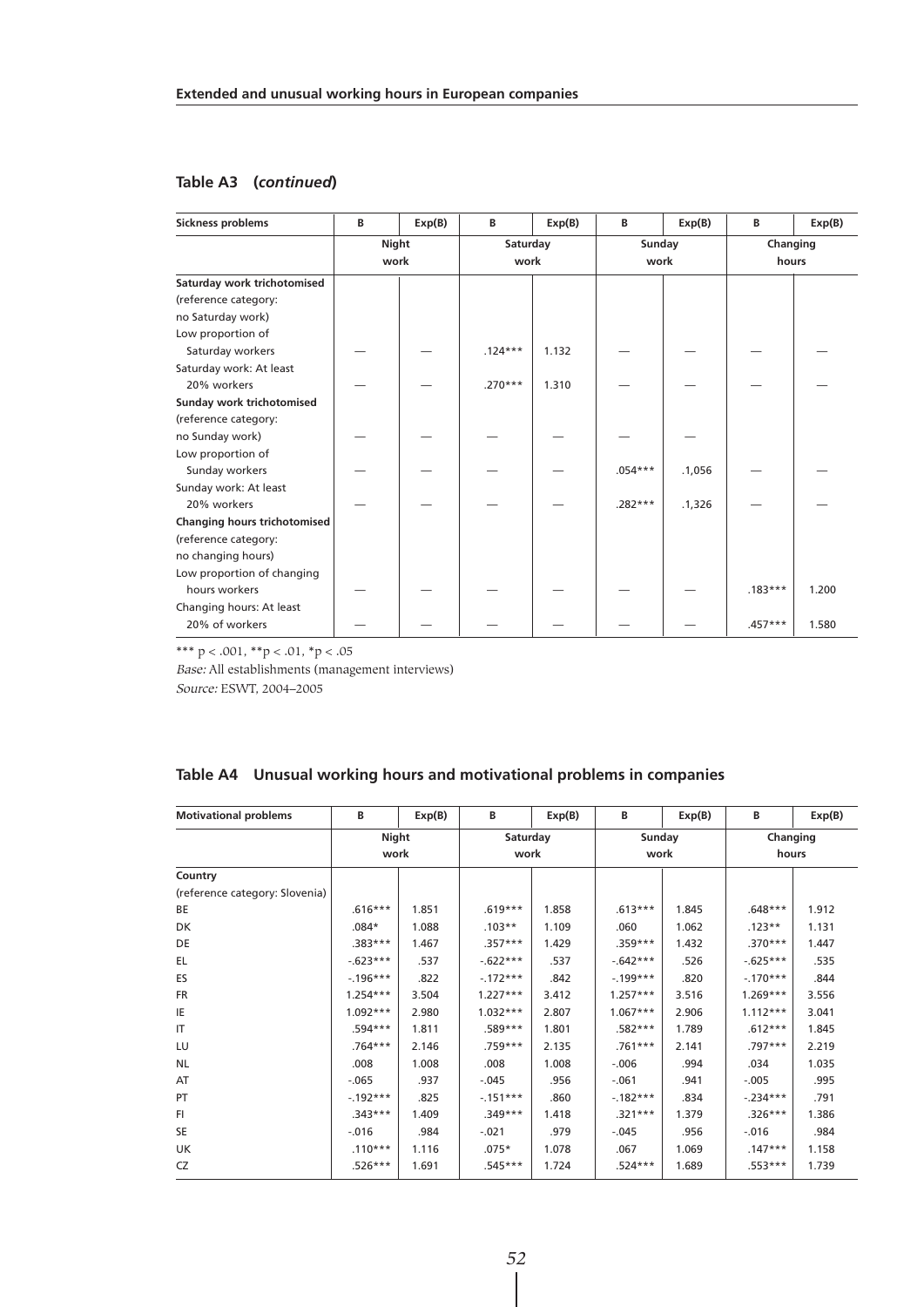#### **Table A3 (***continued***)**

| Sickness problems            | В                    | Exp(B) | В                | Exp(B) | B              | Exp(B) | В                 | Exp(B) |
|------------------------------|----------------------|--------|------------------|--------|----------------|--------|-------------------|--------|
|                              | <b>Night</b><br>work |        | Saturday<br>work |        | Sunday<br>work |        | Changing<br>hours |        |
| Saturday work trichotomised  |                      |        |                  |        |                |        |                   |        |
| (reference category:         |                      |        |                  |        |                |        |                   |        |
| no Saturday work)            |                      |        |                  |        |                |        |                   |        |
| Low proportion of            |                      |        |                  |        |                |        |                   |        |
| Saturday workers             |                      |        | $.124***$        | 1.132  |                |        |                   |        |
| Saturday work: At least      |                      |        |                  |        |                |        |                   |        |
| 20% workers                  |                      |        | $.270***$        | 1.310  |                |        |                   |        |
| Sunday work trichotomised    |                      |        |                  |        |                |        |                   |        |
| (reference category:         |                      |        |                  |        |                |        |                   |        |
| no Sunday work)              |                      |        |                  |        |                |        |                   |        |
| Low proportion of            |                      |        |                  |        |                |        |                   |        |
| Sunday workers               |                      |        |                  |        | $.054***$      | .1,056 |                   |        |
| Sunday work: At least        |                      |        |                  |        |                |        |                   |        |
| 20% workers                  |                      |        |                  |        | $.282***$      | .1,326 |                   |        |
| Changing hours trichotomised |                      |        |                  |        |                |        |                   |        |
| (reference category:         |                      |        |                  |        |                |        |                   |        |
| no changing hours)           |                      |        |                  |        |                |        |                   |        |
| Low proportion of changing   |                      |        |                  |        |                |        |                   |        |
| hours workers                |                      |        |                  |        |                |        | $.183***$         | 1.200  |
| Changing hours: At least     |                      |        |                  |        |                |        |                   |        |
| 20% of workers               |                      |        |                  |        |                |        | $.457***$         | 1.580  |

\*\*\*  $p < .001$ , \*\* $p < .01$ , \* $p < .05$ 

Base: All establishments (management interviews)

Source: ESWT, 2004–2005

#### **Table A4 Unusual working hours and motivational problems in companies**

| <b>Motivational problems</b>   | В          | Exp(B) | В          | Exp(B) | B          | Exp(B) | В           | Exp(B) |
|--------------------------------|------------|--------|------------|--------|------------|--------|-------------|--------|
|                                | Night      |        | Saturday   |        | Sunday     |        | Changing    |        |
|                                | work       |        | work       |        | work       |        | hours       |        |
| Country                        |            |        |            |        |            |        |             |        |
| (reference category: Slovenia) |            |        |            |        |            |        |             |        |
| BE                             | $.616***$  | 1.851  | $.619***$  | 1.858  | $.613***$  | 1.845  | $.648***$   | 1.912  |
| <b>DK</b>                      | $.084*$    | 1.088  | $.103**$   | 1.109  | .060       | 1.062  | $.123**$    | 1.131  |
| DE                             | $.383***$  | 1.467  | $.357***$  | 1.429  | $.359***$  | 1.432  | $.370***$   | 1.447  |
| EL                             | $-623***$  | .537   | $-622***$  | .537   | $-642***$  | .526   | $-0.625***$ | .535   |
| ES                             | $-196***$  | .822   | $-172***$  | .842   | $-199***$  | .820   | $-170***$   | .844   |
| <b>FR</b>                      | $1.254***$ | 3.504  | $1.227***$ | 3.412  | $1.257***$ | 3.516  | $1.269***$  | 3.556  |
| IE                             | $1.092***$ | 2.980  | $1.032***$ | 2.807  | $1.067***$ | 2.906  | $1.112***$  | 3.041  |
| IT                             | $.594***$  | 1.811  | $.589***$  | 1.801  | $.582***$  | 1.789  | $.612***$   | 1.845  |
| LU                             | $.764***$  | 2.146  | .759***    | 2.135  | $.761***$  | 2.141  | $.797***$   | 2.219  |
| <b>NL</b>                      | .008       | 1.008  | .008       | 1.008  | $-.006$    | .994   | .034        | 1.035  |
| AT                             | $-.065$    | .937   | $-.045$    | .956   | $-.061$    | .941   | $-.005$     | .995   |
| PT                             | $-192***$  | .825   | $-151***$  | .860   | $-182***$  | .834   | $-.234***$  | .791   |
| FI.                            | $.343***$  | 1.409  | $.349***$  | 1.418  | $.321***$  | 1.379  | $.326***$   | 1.386  |
| <b>SE</b>                      | $-.016$    | .984   | $-.021$    | .979   | $-.045$    | .956   | $-.016$     | .984   |
| <b>UK</b>                      | $.110***$  | 1.116  | $.075*$    | 1.078  | .067       | 1.069  | $.147***$   | 1.158  |
| CZ                             | $.526***$  | 1.691  | $.545***$  | 1.724  | $.524***$  | 1.689  | $.553***$   | 1.739  |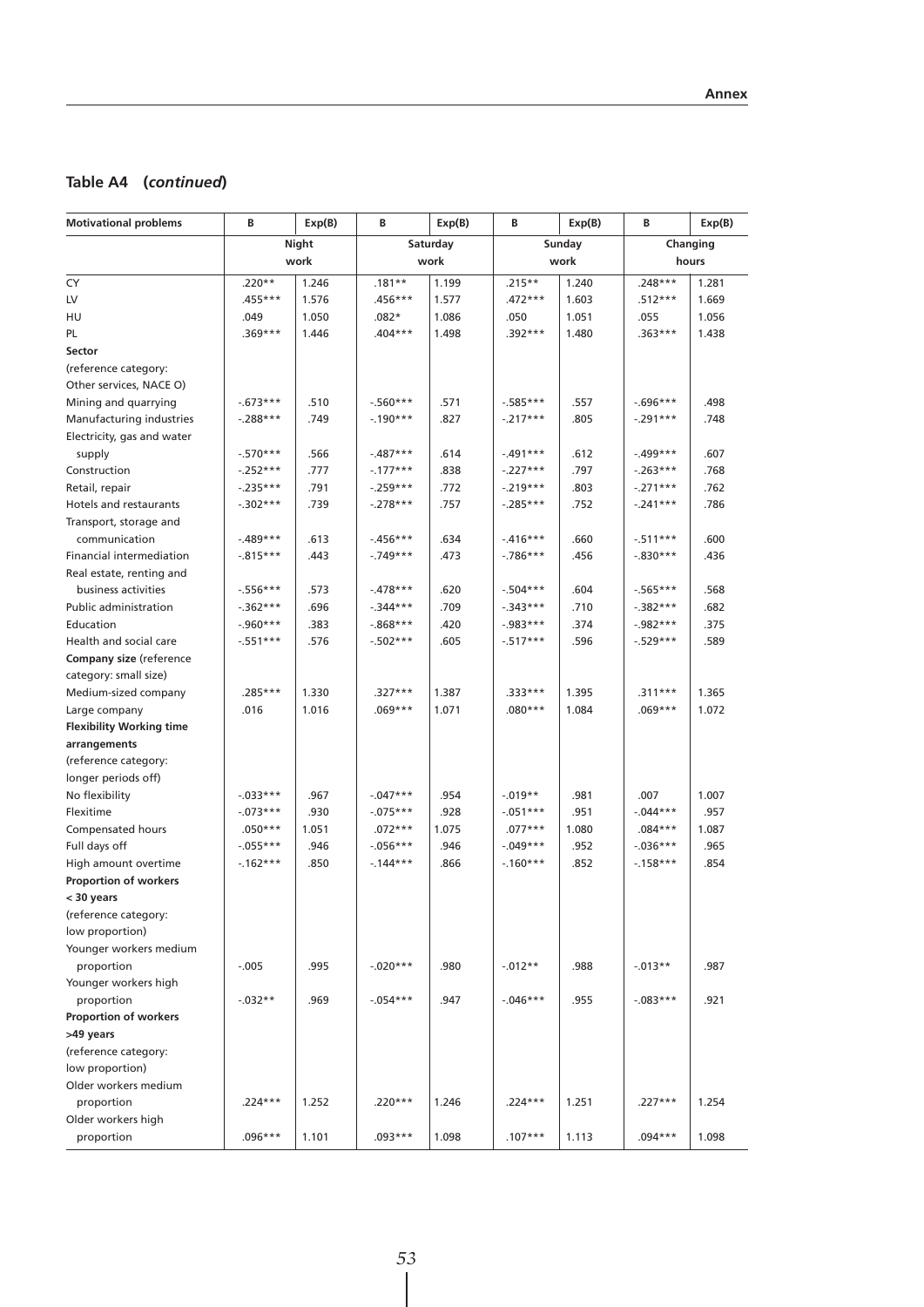## **Table A4 (***continued***)**

| Night<br>Saturday<br>Sunday<br>Changing<br>work<br>work<br>work<br>hours<br>$.248***$<br>$.220**$<br>1.246<br>$.181**$<br>$.215**$<br>1.240<br>1.281<br>1.199<br>.456***<br>.472***<br>$.512***$<br>$.455***$<br>1.576<br>1.577<br>1.603<br>1.669<br>1.050<br>1.086<br>1.051<br>1.056<br>.049<br>$.082*$<br>.050<br>.055<br>.369***<br>1.446<br>$.404***$<br>1.498<br>$.392***$<br>1.480<br>$.363***$<br>1.438<br>(reference category:<br>Other services, NACE O)<br>.571<br>$-673***$<br>.510<br>$-560***$<br>$-585***$<br>.557<br>$-0.696***$<br>.498<br>.749<br>.827<br>.805<br>.748<br>Manufacturing industries<br>$-.288***$<br>$-.190***$<br>$-.217***$<br>$-.291***$<br>Electricity, gas and water<br>.614<br>.612<br>.607<br>$-570***$<br>.566<br>$-.487***$<br>$-.491***$<br>$-.499***$<br>supply<br>.797<br>.777<br>$-.177***$<br>.838<br>$-.227***$<br>.768<br>$-252***$<br>$-263***$<br>.791<br>.772<br>$-.219***$<br>.803<br>$-.271***$<br>.762<br>Retail, repair<br>$-.235***$<br>$-.259***$<br>.739<br>.757<br>$-285***$<br>.752<br>$-.241***$<br>.786<br>$-.302***$<br>$-.278***$<br>Transport, storage and<br>.634<br>.660<br>.600<br>communication<br>$-489***$<br>.613<br>$-456***$<br>$-416***$<br>$-511***$<br>.473<br>.456<br>Financial intermediation<br>$-0.815***$<br>.443<br>$-749***$<br>$-786***$<br>$-.830***$<br>.436<br>Real estate, renting and<br>.604<br>business activities<br>$-556***$<br>.573<br>$-478***$<br>.620<br>$-504***$<br>$-565***$<br>.568<br>.696<br>.709<br>.710<br>.682<br>Public administration<br>$-362***$<br>$-344***$<br>$-343***$<br>$-0.382***$<br>$-0.960***$<br>.383<br>$-868***$<br>.420<br>$-0.983***$<br>.374<br>$-0.982***$<br>.375<br>$-0.502***$<br>$-517***$<br>.596<br>$-.529***$<br>.589<br>$-.551***$<br>.576<br>.605<br>Company size (reference<br>category: small size)<br>.333***<br>$.311***$<br>Medium-sized company<br>$.285***$<br>1.330<br>$.327***$<br>1.387<br>1.395<br>1.365<br>1.071<br>1.072<br>.016<br>1.016<br>$.069***$<br>$.080***$<br>1.084<br>$.069***$<br>Large company<br><b>Flexibility Working time</b><br>arrangements<br>(reference category:<br>longer periods off)<br>.981<br>$-0.033***$<br>.967<br>$-.047***$<br>.954<br>$-0.019**$<br>.007<br>1.007<br>.930<br>.928<br>.951<br>$-073***$<br>$-.075***$<br>$-.051***$<br>$-0.044***$<br>.957<br>1.051<br>1.075<br>1.080<br>1.087<br>Compensated hours<br>$.050***$<br>$.072***$<br>$.077***$<br>$.084***$<br>.946<br>.952<br>Full days off<br>$-055***$<br>.946<br>$-.056***$<br>$-0.049***$<br>$-0.036***$<br>.965<br>High amount overtime<br>.866<br>$-.160***$<br>.852<br>$-158***$<br>.854<br>$-162***$<br>.850<br>$-144***$<br>< 30 years<br>(reference category:<br>Younger workers medium<br>$-.005$<br>.995<br>$-.020***$<br>.980<br>$-0.012**$<br>.988<br>$-0.013**$<br>.987<br>proportion<br>Younger workers high<br>$-.054***$<br>$-0.046***$<br>.955<br>$-.083***$<br>.921<br>proportion<br>$-0.032**$<br>.969<br>.947<br>Proportion of workers<br>.227***<br>$.224***$<br>1.252<br>$.220***$<br>$.224***$<br>1.254<br>proportion<br>1.246<br>1.251<br>1.101<br>.093***<br>$.107***$<br>$.094***$<br>1.098<br>proportion<br>.096***<br>1.098<br>1.113 | <b>Motivational problems</b> | В | Exp(B) | В | Exp(B) | В | Exp(B) | В | Exp(B) |
|----------------------------------------------------------------------------------------------------------------------------------------------------------------------------------------------------------------------------------------------------------------------------------------------------------------------------------------------------------------------------------------------------------------------------------------------------------------------------------------------------------------------------------------------------------------------------------------------------------------------------------------------------------------------------------------------------------------------------------------------------------------------------------------------------------------------------------------------------------------------------------------------------------------------------------------------------------------------------------------------------------------------------------------------------------------------------------------------------------------------------------------------------------------------------------------------------------------------------------------------------------------------------------------------------------------------------------------------------------------------------------------------------------------------------------------------------------------------------------------------------------------------------------------------------------------------------------------------------------------------------------------------------------------------------------------------------------------------------------------------------------------------------------------------------------------------------------------------------------------------------------------------------------------------------------------------------------------------------------------------------------------------------------------------------------------------------------------------------------------------------------------------------------------------------------------------------------------------------------------------------------------------------------------------------------------------------------------------------------------------------------------------------------------------------------------------------------------------------------------------------------------------------------------------------------------------------------------------------------------------------------------------------------------------------------------------------------------------------------------------------------------------------------------------------------------------------------------------------------------------------------------------------------------------------------------------------------------------------------------------------------------------------------------------------------------------------------------------------------------------------------------------------------------------------------------------------------------------|------------------------------|---|--------|---|--------|---|--------|---|--------|
|                                                                                                                                                                                                                                                                                                                                                                                                                                                                                                                                                                                                                                                                                                                                                                                                                                                                                                                                                                                                                                                                                                                                                                                                                                                                                                                                                                                                                                                                                                                                                                                                                                                                                                                                                                                                                                                                                                                                                                                                                                                                                                                                                                                                                                                                                                                                                                                                                                                                                                                                                                                                                                                                                                                                                                                                                                                                                                                                                                                                                                                                                                                                                                                                                      |                              |   |        |   |        |   |        |   |        |
|                                                                                                                                                                                                                                                                                                                                                                                                                                                                                                                                                                                                                                                                                                                                                                                                                                                                                                                                                                                                                                                                                                                                                                                                                                                                                                                                                                                                                                                                                                                                                                                                                                                                                                                                                                                                                                                                                                                                                                                                                                                                                                                                                                                                                                                                                                                                                                                                                                                                                                                                                                                                                                                                                                                                                                                                                                                                                                                                                                                                                                                                                                                                                                                                                      |                              |   |        |   |        |   |        |   |        |
|                                                                                                                                                                                                                                                                                                                                                                                                                                                                                                                                                                                                                                                                                                                                                                                                                                                                                                                                                                                                                                                                                                                                                                                                                                                                                                                                                                                                                                                                                                                                                                                                                                                                                                                                                                                                                                                                                                                                                                                                                                                                                                                                                                                                                                                                                                                                                                                                                                                                                                                                                                                                                                                                                                                                                                                                                                                                                                                                                                                                                                                                                                                                                                                                                      | CY                           |   |        |   |        |   |        |   |        |
|                                                                                                                                                                                                                                                                                                                                                                                                                                                                                                                                                                                                                                                                                                                                                                                                                                                                                                                                                                                                                                                                                                                                                                                                                                                                                                                                                                                                                                                                                                                                                                                                                                                                                                                                                                                                                                                                                                                                                                                                                                                                                                                                                                                                                                                                                                                                                                                                                                                                                                                                                                                                                                                                                                                                                                                                                                                                                                                                                                                                                                                                                                                                                                                                                      | LV                           |   |        |   |        |   |        |   |        |
|                                                                                                                                                                                                                                                                                                                                                                                                                                                                                                                                                                                                                                                                                                                                                                                                                                                                                                                                                                                                                                                                                                                                                                                                                                                                                                                                                                                                                                                                                                                                                                                                                                                                                                                                                                                                                                                                                                                                                                                                                                                                                                                                                                                                                                                                                                                                                                                                                                                                                                                                                                                                                                                                                                                                                                                                                                                                                                                                                                                                                                                                                                                                                                                                                      | HU                           |   |        |   |        |   |        |   |        |
|                                                                                                                                                                                                                                                                                                                                                                                                                                                                                                                                                                                                                                                                                                                                                                                                                                                                                                                                                                                                                                                                                                                                                                                                                                                                                                                                                                                                                                                                                                                                                                                                                                                                                                                                                                                                                                                                                                                                                                                                                                                                                                                                                                                                                                                                                                                                                                                                                                                                                                                                                                                                                                                                                                                                                                                                                                                                                                                                                                                                                                                                                                                                                                                                                      | PL.                          |   |        |   |        |   |        |   |        |
|                                                                                                                                                                                                                                                                                                                                                                                                                                                                                                                                                                                                                                                                                                                                                                                                                                                                                                                                                                                                                                                                                                                                                                                                                                                                                                                                                                                                                                                                                                                                                                                                                                                                                                                                                                                                                                                                                                                                                                                                                                                                                                                                                                                                                                                                                                                                                                                                                                                                                                                                                                                                                                                                                                                                                                                                                                                                                                                                                                                                                                                                                                                                                                                                                      | Sector                       |   |        |   |        |   |        |   |        |
|                                                                                                                                                                                                                                                                                                                                                                                                                                                                                                                                                                                                                                                                                                                                                                                                                                                                                                                                                                                                                                                                                                                                                                                                                                                                                                                                                                                                                                                                                                                                                                                                                                                                                                                                                                                                                                                                                                                                                                                                                                                                                                                                                                                                                                                                                                                                                                                                                                                                                                                                                                                                                                                                                                                                                                                                                                                                                                                                                                                                                                                                                                                                                                                                                      |                              |   |        |   |        |   |        |   |        |
|                                                                                                                                                                                                                                                                                                                                                                                                                                                                                                                                                                                                                                                                                                                                                                                                                                                                                                                                                                                                                                                                                                                                                                                                                                                                                                                                                                                                                                                                                                                                                                                                                                                                                                                                                                                                                                                                                                                                                                                                                                                                                                                                                                                                                                                                                                                                                                                                                                                                                                                                                                                                                                                                                                                                                                                                                                                                                                                                                                                                                                                                                                                                                                                                                      |                              |   |        |   |        |   |        |   |        |
|                                                                                                                                                                                                                                                                                                                                                                                                                                                                                                                                                                                                                                                                                                                                                                                                                                                                                                                                                                                                                                                                                                                                                                                                                                                                                                                                                                                                                                                                                                                                                                                                                                                                                                                                                                                                                                                                                                                                                                                                                                                                                                                                                                                                                                                                                                                                                                                                                                                                                                                                                                                                                                                                                                                                                                                                                                                                                                                                                                                                                                                                                                                                                                                                                      | Mining and quarrying         |   |        |   |        |   |        |   |        |
|                                                                                                                                                                                                                                                                                                                                                                                                                                                                                                                                                                                                                                                                                                                                                                                                                                                                                                                                                                                                                                                                                                                                                                                                                                                                                                                                                                                                                                                                                                                                                                                                                                                                                                                                                                                                                                                                                                                                                                                                                                                                                                                                                                                                                                                                                                                                                                                                                                                                                                                                                                                                                                                                                                                                                                                                                                                                                                                                                                                                                                                                                                                                                                                                                      |                              |   |        |   |        |   |        |   |        |
|                                                                                                                                                                                                                                                                                                                                                                                                                                                                                                                                                                                                                                                                                                                                                                                                                                                                                                                                                                                                                                                                                                                                                                                                                                                                                                                                                                                                                                                                                                                                                                                                                                                                                                                                                                                                                                                                                                                                                                                                                                                                                                                                                                                                                                                                                                                                                                                                                                                                                                                                                                                                                                                                                                                                                                                                                                                                                                                                                                                                                                                                                                                                                                                                                      |                              |   |        |   |        |   |        |   |        |
|                                                                                                                                                                                                                                                                                                                                                                                                                                                                                                                                                                                                                                                                                                                                                                                                                                                                                                                                                                                                                                                                                                                                                                                                                                                                                                                                                                                                                                                                                                                                                                                                                                                                                                                                                                                                                                                                                                                                                                                                                                                                                                                                                                                                                                                                                                                                                                                                                                                                                                                                                                                                                                                                                                                                                                                                                                                                                                                                                                                                                                                                                                                                                                                                                      |                              |   |        |   |        |   |        |   |        |
|                                                                                                                                                                                                                                                                                                                                                                                                                                                                                                                                                                                                                                                                                                                                                                                                                                                                                                                                                                                                                                                                                                                                                                                                                                                                                                                                                                                                                                                                                                                                                                                                                                                                                                                                                                                                                                                                                                                                                                                                                                                                                                                                                                                                                                                                                                                                                                                                                                                                                                                                                                                                                                                                                                                                                                                                                                                                                                                                                                                                                                                                                                                                                                                                                      | Construction                 |   |        |   |        |   |        |   |        |
|                                                                                                                                                                                                                                                                                                                                                                                                                                                                                                                                                                                                                                                                                                                                                                                                                                                                                                                                                                                                                                                                                                                                                                                                                                                                                                                                                                                                                                                                                                                                                                                                                                                                                                                                                                                                                                                                                                                                                                                                                                                                                                                                                                                                                                                                                                                                                                                                                                                                                                                                                                                                                                                                                                                                                                                                                                                                                                                                                                                                                                                                                                                                                                                                                      |                              |   |        |   |        |   |        |   |        |
|                                                                                                                                                                                                                                                                                                                                                                                                                                                                                                                                                                                                                                                                                                                                                                                                                                                                                                                                                                                                                                                                                                                                                                                                                                                                                                                                                                                                                                                                                                                                                                                                                                                                                                                                                                                                                                                                                                                                                                                                                                                                                                                                                                                                                                                                                                                                                                                                                                                                                                                                                                                                                                                                                                                                                                                                                                                                                                                                                                                                                                                                                                                                                                                                                      | Hotels and restaurants       |   |        |   |        |   |        |   |        |
|                                                                                                                                                                                                                                                                                                                                                                                                                                                                                                                                                                                                                                                                                                                                                                                                                                                                                                                                                                                                                                                                                                                                                                                                                                                                                                                                                                                                                                                                                                                                                                                                                                                                                                                                                                                                                                                                                                                                                                                                                                                                                                                                                                                                                                                                                                                                                                                                                                                                                                                                                                                                                                                                                                                                                                                                                                                                                                                                                                                                                                                                                                                                                                                                                      |                              |   |        |   |        |   |        |   |        |
|                                                                                                                                                                                                                                                                                                                                                                                                                                                                                                                                                                                                                                                                                                                                                                                                                                                                                                                                                                                                                                                                                                                                                                                                                                                                                                                                                                                                                                                                                                                                                                                                                                                                                                                                                                                                                                                                                                                                                                                                                                                                                                                                                                                                                                                                                                                                                                                                                                                                                                                                                                                                                                                                                                                                                                                                                                                                                                                                                                                                                                                                                                                                                                                                                      |                              |   |        |   |        |   |        |   |        |
|                                                                                                                                                                                                                                                                                                                                                                                                                                                                                                                                                                                                                                                                                                                                                                                                                                                                                                                                                                                                                                                                                                                                                                                                                                                                                                                                                                                                                                                                                                                                                                                                                                                                                                                                                                                                                                                                                                                                                                                                                                                                                                                                                                                                                                                                                                                                                                                                                                                                                                                                                                                                                                                                                                                                                                                                                                                                                                                                                                                                                                                                                                                                                                                                                      |                              |   |        |   |        |   |        |   |        |
|                                                                                                                                                                                                                                                                                                                                                                                                                                                                                                                                                                                                                                                                                                                                                                                                                                                                                                                                                                                                                                                                                                                                                                                                                                                                                                                                                                                                                                                                                                                                                                                                                                                                                                                                                                                                                                                                                                                                                                                                                                                                                                                                                                                                                                                                                                                                                                                                                                                                                                                                                                                                                                                                                                                                                                                                                                                                                                                                                                                                                                                                                                                                                                                                                      |                              |   |        |   |        |   |        |   |        |
|                                                                                                                                                                                                                                                                                                                                                                                                                                                                                                                                                                                                                                                                                                                                                                                                                                                                                                                                                                                                                                                                                                                                                                                                                                                                                                                                                                                                                                                                                                                                                                                                                                                                                                                                                                                                                                                                                                                                                                                                                                                                                                                                                                                                                                                                                                                                                                                                                                                                                                                                                                                                                                                                                                                                                                                                                                                                                                                                                                                                                                                                                                                                                                                                                      |                              |   |        |   |        |   |        |   |        |
|                                                                                                                                                                                                                                                                                                                                                                                                                                                                                                                                                                                                                                                                                                                                                                                                                                                                                                                                                                                                                                                                                                                                                                                                                                                                                                                                                                                                                                                                                                                                                                                                                                                                                                                                                                                                                                                                                                                                                                                                                                                                                                                                                                                                                                                                                                                                                                                                                                                                                                                                                                                                                                                                                                                                                                                                                                                                                                                                                                                                                                                                                                                                                                                                                      |                              |   |        |   |        |   |        |   |        |
|                                                                                                                                                                                                                                                                                                                                                                                                                                                                                                                                                                                                                                                                                                                                                                                                                                                                                                                                                                                                                                                                                                                                                                                                                                                                                                                                                                                                                                                                                                                                                                                                                                                                                                                                                                                                                                                                                                                                                                                                                                                                                                                                                                                                                                                                                                                                                                                                                                                                                                                                                                                                                                                                                                                                                                                                                                                                                                                                                                                                                                                                                                                                                                                                                      | Education                    |   |        |   |        |   |        |   |        |
|                                                                                                                                                                                                                                                                                                                                                                                                                                                                                                                                                                                                                                                                                                                                                                                                                                                                                                                                                                                                                                                                                                                                                                                                                                                                                                                                                                                                                                                                                                                                                                                                                                                                                                                                                                                                                                                                                                                                                                                                                                                                                                                                                                                                                                                                                                                                                                                                                                                                                                                                                                                                                                                                                                                                                                                                                                                                                                                                                                                                                                                                                                                                                                                                                      | Health and social care       |   |        |   |        |   |        |   |        |
|                                                                                                                                                                                                                                                                                                                                                                                                                                                                                                                                                                                                                                                                                                                                                                                                                                                                                                                                                                                                                                                                                                                                                                                                                                                                                                                                                                                                                                                                                                                                                                                                                                                                                                                                                                                                                                                                                                                                                                                                                                                                                                                                                                                                                                                                                                                                                                                                                                                                                                                                                                                                                                                                                                                                                                                                                                                                                                                                                                                                                                                                                                                                                                                                                      |                              |   |        |   |        |   |        |   |        |
|                                                                                                                                                                                                                                                                                                                                                                                                                                                                                                                                                                                                                                                                                                                                                                                                                                                                                                                                                                                                                                                                                                                                                                                                                                                                                                                                                                                                                                                                                                                                                                                                                                                                                                                                                                                                                                                                                                                                                                                                                                                                                                                                                                                                                                                                                                                                                                                                                                                                                                                                                                                                                                                                                                                                                                                                                                                                                                                                                                                                                                                                                                                                                                                                                      |                              |   |        |   |        |   |        |   |        |
|                                                                                                                                                                                                                                                                                                                                                                                                                                                                                                                                                                                                                                                                                                                                                                                                                                                                                                                                                                                                                                                                                                                                                                                                                                                                                                                                                                                                                                                                                                                                                                                                                                                                                                                                                                                                                                                                                                                                                                                                                                                                                                                                                                                                                                                                                                                                                                                                                                                                                                                                                                                                                                                                                                                                                                                                                                                                                                                                                                                                                                                                                                                                                                                                                      |                              |   |        |   |        |   |        |   |        |
|                                                                                                                                                                                                                                                                                                                                                                                                                                                                                                                                                                                                                                                                                                                                                                                                                                                                                                                                                                                                                                                                                                                                                                                                                                                                                                                                                                                                                                                                                                                                                                                                                                                                                                                                                                                                                                                                                                                                                                                                                                                                                                                                                                                                                                                                                                                                                                                                                                                                                                                                                                                                                                                                                                                                                                                                                                                                                                                                                                                                                                                                                                                                                                                                                      |                              |   |        |   |        |   |        |   |        |
|                                                                                                                                                                                                                                                                                                                                                                                                                                                                                                                                                                                                                                                                                                                                                                                                                                                                                                                                                                                                                                                                                                                                                                                                                                                                                                                                                                                                                                                                                                                                                                                                                                                                                                                                                                                                                                                                                                                                                                                                                                                                                                                                                                                                                                                                                                                                                                                                                                                                                                                                                                                                                                                                                                                                                                                                                                                                                                                                                                                                                                                                                                                                                                                                                      |                              |   |        |   |        |   |        |   |        |
|                                                                                                                                                                                                                                                                                                                                                                                                                                                                                                                                                                                                                                                                                                                                                                                                                                                                                                                                                                                                                                                                                                                                                                                                                                                                                                                                                                                                                                                                                                                                                                                                                                                                                                                                                                                                                                                                                                                                                                                                                                                                                                                                                                                                                                                                                                                                                                                                                                                                                                                                                                                                                                                                                                                                                                                                                                                                                                                                                                                                                                                                                                                                                                                                                      |                              |   |        |   |        |   |        |   |        |
|                                                                                                                                                                                                                                                                                                                                                                                                                                                                                                                                                                                                                                                                                                                                                                                                                                                                                                                                                                                                                                                                                                                                                                                                                                                                                                                                                                                                                                                                                                                                                                                                                                                                                                                                                                                                                                                                                                                                                                                                                                                                                                                                                                                                                                                                                                                                                                                                                                                                                                                                                                                                                                                                                                                                                                                                                                                                                                                                                                                                                                                                                                                                                                                                                      |                              |   |        |   |        |   |        |   |        |
|                                                                                                                                                                                                                                                                                                                                                                                                                                                                                                                                                                                                                                                                                                                                                                                                                                                                                                                                                                                                                                                                                                                                                                                                                                                                                                                                                                                                                                                                                                                                                                                                                                                                                                                                                                                                                                                                                                                                                                                                                                                                                                                                                                                                                                                                                                                                                                                                                                                                                                                                                                                                                                                                                                                                                                                                                                                                                                                                                                                                                                                                                                                                                                                                                      |                              |   |        |   |        |   |        |   |        |
|                                                                                                                                                                                                                                                                                                                                                                                                                                                                                                                                                                                                                                                                                                                                                                                                                                                                                                                                                                                                                                                                                                                                                                                                                                                                                                                                                                                                                                                                                                                                                                                                                                                                                                                                                                                                                                                                                                                                                                                                                                                                                                                                                                                                                                                                                                                                                                                                                                                                                                                                                                                                                                                                                                                                                                                                                                                                                                                                                                                                                                                                                                                                                                                                                      | No flexibility               |   |        |   |        |   |        |   |        |
|                                                                                                                                                                                                                                                                                                                                                                                                                                                                                                                                                                                                                                                                                                                                                                                                                                                                                                                                                                                                                                                                                                                                                                                                                                                                                                                                                                                                                                                                                                                                                                                                                                                                                                                                                                                                                                                                                                                                                                                                                                                                                                                                                                                                                                                                                                                                                                                                                                                                                                                                                                                                                                                                                                                                                                                                                                                                                                                                                                                                                                                                                                                                                                                                                      | Flexitime                    |   |        |   |        |   |        |   |        |
|                                                                                                                                                                                                                                                                                                                                                                                                                                                                                                                                                                                                                                                                                                                                                                                                                                                                                                                                                                                                                                                                                                                                                                                                                                                                                                                                                                                                                                                                                                                                                                                                                                                                                                                                                                                                                                                                                                                                                                                                                                                                                                                                                                                                                                                                                                                                                                                                                                                                                                                                                                                                                                                                                                                                                                                                                                                                                                                                                                                                                                                                                                                                                                                                                      |                              |   |        |   |        |   |        |   |        |
|                                                                                                                                                                                                                                                                                                                                                                                                                                                                                                                                                                                                                                                                                                                                                                                                                                                                                                                                                                                                                                                                                                                                                                                                                                                                                                                                                                                                                                                                                                                                                                                                                                                                                                                                                                                                                                                                                                                                                                                                                                                                                                                                                                                                                                                                                                                                                                                                                                                                                                                                                                                                                                                                                                                                                                                                                                                                                                                                                                                                                                                                                                                                                                                                                      |                              |   |        |   |        |   |        |   |        |
|                                                                                                                                                                                                                                                                                                                                                                                                                                                                                                                                                                                                                                                                                                                                                                                                                                                                                                                                                                                                                                                                                                                                                                                                                                                                                                                                                                                                                                                                                                                                                                                                                                                                                                                                                                                                                                                                                                                                                                                                                                                                                                                                                                                                                                                                                                                                                                                                                                                                                                                                                                                                                                                                                                                                                                                                                                                                                                                                                                                                                                                                                                                                                                                                                      |                              |   |        |   |        |   |        |   |        |
|                                                                                                                                                                                                                                                                                                                                                                                                                                                                                                                                                                                                                                                                                                                                                                                                                                                                                                                                                                                                                                                                                                                                                                                                                                                                                                                                                                                                                                                                                                                                                                                                                                                                                                                                                                                                                                                                                                                                                                                                                                                                                                                                                                                                                                                                                                                                                                                                                                                                                                                                                                                                                                                                                                                                                                                                                                                                                                                                                                                                                                                                                                                                                                                                                      | Proportion of workers        |   |        |   |        |   |        |   |        |
|                                                                                                                                                                                                                                                                                                                                                                                                                                                                                                                                                                                                                                                                                                                                                                                                                                                                                                                                                                                                                                                                                                                                                                                                                                                                                                                                                                                                                                                                                                                                                                                                                                                                                                                                                                                                                                                                                                                                                                                                                                                                                                                                                                                                                                                                                                                                                                                                                                                                                                                                                                                                                                                                                                                                                                                                                                                                                                                                                                                                                                                                                                                                                                                                                      |                              |   |        |   |        |   |        |   |        |
|                                                                                                                                                                                                                                                                                                                                                                                                                                                                                                                                                                                                                                                                                                                                                                                                                                                                                                                                                                                                                                                                                                                                                                                                                                                                                                                                                                                                                                                                                                                                                                                                                                                                                                                                                                                                                                                                                                                                                                                                                                                                                                                                                                                                                                                                                                                                                                                                                                                                                                                                                                                                                                                                                                                                                                                                                                                                                                                                                                                                                                                                                                                                                                                                                      |                              |   |        |   |        |   |        |   |        |
|                                                                                                                                                                                                                                                                                                                                                                                                                                                                                                                                                                                                                                                                                                                                                                                                                                                                                                                                                                                                                                                                                                                                                                                                                                                                                                                                                                                                                                                                                                                                                                                                                                                                                                                                                                                                                                                                                                                                                                                                                                                                                                                                                                                                                                                                                                                                                                                                                                                                                                                                                                                                                                                                                                                                                                                                                                                                                                                                                                                                                                                                                                                                                                                                                      | low proportion)              |   |        |   |        |   |        |   |        |
|                                                                                                                                                                                                                                                                                                                                                                                                                                                                                                                                                                                                                                                                                                                                                                                                                                                                                                                                                                                                                                                                                                                                                                                                                                                                                                                                                                                                                                                                                                                                                                                                                                                                                                                                                                                                                                                                                                                                                                                                                                                                                                                                                                                                                                                                                                                                                                                                                                                                                                                                                                                                                                                                                                                                                                                                                                                                                                                                                                                                                                                                                                                                                                                                                      |                              |   |        |   |        |   |        |   |        |
|                                                                                                                                                                                                                                                                                                                                                                                                                                                                                                                                                                                                                                                                                                                                                                                                                                                                                                                                                                                                                                                                                                                                                                                                                                                                                                                                                                                                                                                                                                                                                                                                                                                                                                                                                                                                                                                                                                                                                                                                                                                                                                                                                                                                                                                                                                                                                                                                                                                                                                                                                                                                                                                                                                                                                                                                                                                                                                                                                                                                                                                                                                                                                                                                                      |                              |   |        |   |        |   |        |   |        |
|                                                                                                                                                                                                                                                                                                                                                                                                                                                                                                                                                                                                                                                                                                                                                                                                                                                                                                                                                                                                                                                                                                                                                                                                                                                                                                                                                                                                                                                                                                                                                                                                                                                                                                                                                                                                                                                                                                                                                                                                                                                                                                                                                                                                                                                                                                                                                                                                                                                                                                                                                                                                                                                                                                                                                                                                                                                                                                                                                                                                                                                                                                                                                                                                                      |                              |   |        |   |        |   |        |   |        |
|                                                                                                                                                                                                                                                                                                                                                                                                                                                                                                                                                                                                                                                                                                                                                                                                                                                                                                                                                                                                                                                                                                                                                                                                                                                                                                                                                                                                                                                                                                                                                                                                                                                                                                                                                                                                                                                                                                                                                                                                                                                                                                                                                                                                                                                                                                                                                                                                                                                                                                                                                                                                                                                                                                                                                                                                                                                                                                                                                                                                                                                                                                                                                                                                                      |                              |   |        |   |        |   |        |   |        |
|                                                                                                                                                                                                                                                                                                                                                                                                                                                                                                                                                                                                                                                                                                                                                                                                                                                                                                                                                                                                                                                                                                                                                                                                                                                                                                                                                                                                                                                                                                                                                                                                                                                                                                                                                                                                                                                                                                                                                                                                                                                                                                                                                                                                                                                                                                                                                                                                                                                                                                                                                                                                                                                                                                                                                                                                                                                                                                                                                                                                                                                                                                                                                                                                                      |                              |   |        |   |        |   |        |   |        |
|                                                                                                                                                                                                                                                                                                                                                                                                                                                                                                                                                                                                                                                                                                                                                                                                                                                                                                                                                                                                                                                                                                                                                                                                                                                                                                                                                                                                                                                                                                                                                                                                                                                                                                                                                                                                                                                                                                                                                                                                                                                                                                                                                                                                                                                                                                                                                                                                                                                                                                                                                                                                                                                                                                                                                                                                                                                                                                                                                                                                                                                                                                                                                                                                                      | >49 years                    |   |        |   |        |   |        |   |        |
|                                                                                                                                                                                                                                                                                                                                                                                                                                                                                                                                                                                                                                                                                                                                                                                                                                                                                                                                                                                                                                                                                                                                                                                                                                                                                                                                                                                                                                                                                                                                                                                                                                                                                                                                                                                                                                                                                                                                                                                                                                                                                                                                                                                                                                                                                                                                                                                                                                                                                                                                                                                                                                                                                                                                                                                                                                                                                                                                                                                                                                                                                                                                                                                                                      | (reference category:         |   |        |   |        |   |        |   |        |
|                                                                                                                                                                                                                                                                                                                                                                                                                                                                                                                                                                                                                                                                                                                                                                                                                                                                                                                                                                                                                                                                                                                                                                                                                                                                                                                                                                                                                                                                                                                                                                                                                                                                                                                                                                                                                                                                                                                                                                                                                                                                                                                                                                                                                                                                                                                                                                                                                                                                                                                                                                                                                                                                                                                                                                                                                                                                                                                                                                                                                                                                                                                                                                                                                      | low proportion)              |   |        |   |        |   |        |   |        |
|                                                                                                                                                                                                                                                                                                                                                                                                                                                                                                                                                                                                                                                                                                                                                                                                                                                                                                                                                                                                                                                                                                                                                                                                                                                                                                                                                                                                                                                                                                                                                                                                                                                                                                                                                                                                                                                                                                                                                                                                                                                                                                                                                                                                                                                                                                                                                                                                                                                                                                                                                                                                                                                                                                                                                                                                                                                                                                                                                                                                                                                                                                                                                                                                                      | Older workers medium         |   |        |   |        |   |        |   |        |
|                                                                                                                                                                                                                                                                                                                                                                                                                                                                                                                                                                                                                                                                                                                                                                                                                                                                                                                                                                                                                                                                                                                                                                                                                                                                                                                                                                                                                                                                                                                                                                                                                                                                                                                                                                                                                                                                                                                                                                                                                                                                                                                                                                                                                                                                                                                                                                                                                                                                                                                                                                                                                                                                                                                                                                                                                                                                                                                                                                                                                                                                                                                                                                                                                      |                              |   |        |   |        |   |        |   |        |
|                                                                                                                                                                                                                                                                                                                                                                                                                                                                                                                                                                                                                                                                                                                                                                                                                                                                                                                                                                                                                                                                                                                                                                                                                                                                                                                                                                                                                                                                                                                                                                                                                                                                                                                                                                                                                                                                                                                                                                                                                                                                                                                                                                                                                                                                                                                                                                                                                                                                                                                                                                                                                                                                                                                                                                                                                                                                                                                                                                                                                                                                                                                                                                                                                      | Older workers high           |   |        |   |        |   |        |   |        |
|                                                                                                                                                                                                                                                                                                                                                                                                                                                                                                                                                                                                                                                                                                                                                                                                                                                                                                                                                                                                                                                                                                                                                                                                                                                                                                                                                                                                                                                                                                                                                                                                                                                                                                                                                                                                                                                                                                                                                                                                                                                                                                                                                                                                                                                                                                                                                                                                                                                                                                                                                                                                                                                                                                                                                                                                                                                                                                                                                                                                                                                                                                                                                                                                                      |                              |   |        |   |        |   |        |   |        |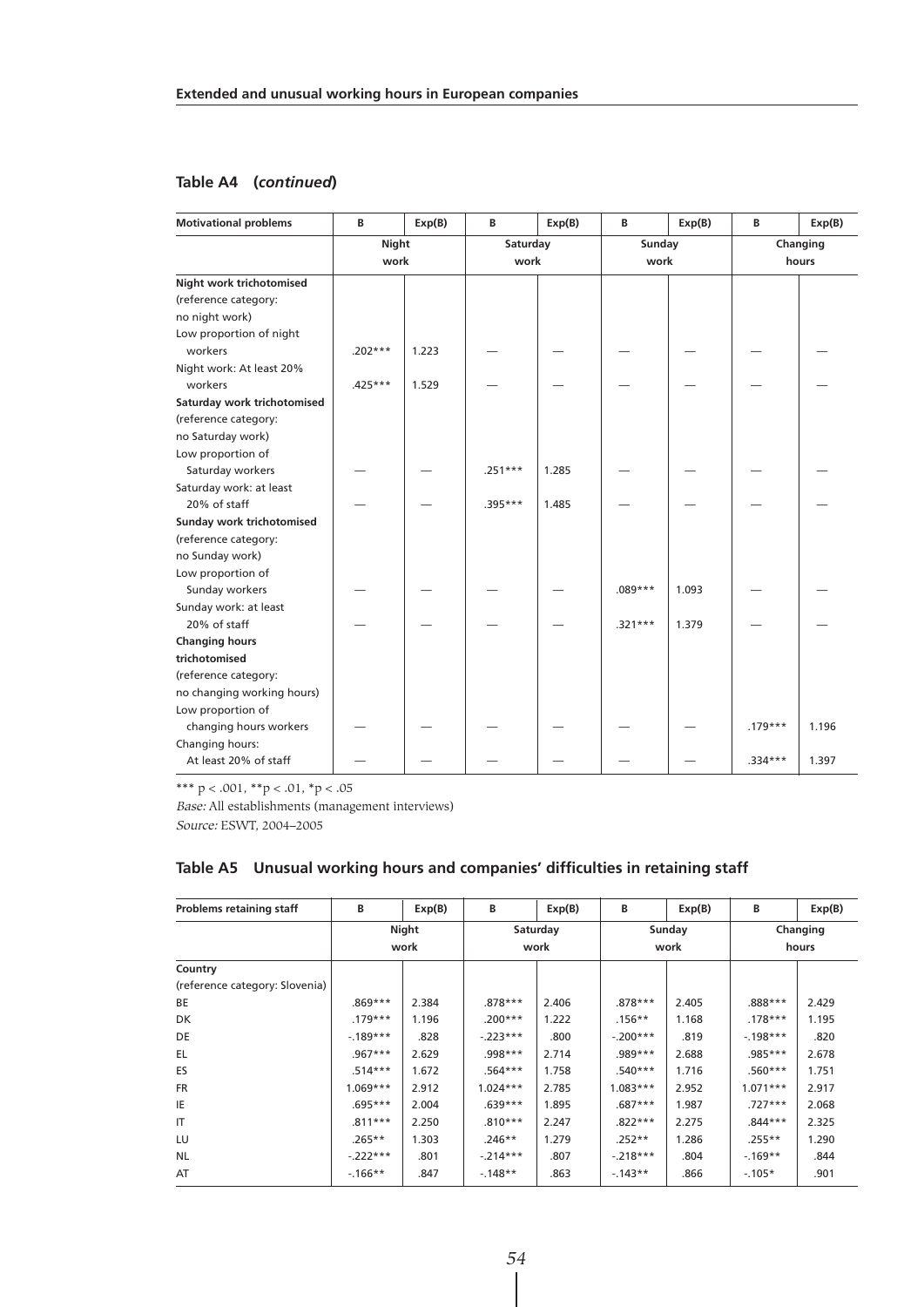#### **Table A4 (***continued***)**

| <b>Motivational problems</b> | B            | Exp(B) | B         | Exp(B) | В         | Exp(B) | В         | Exp(B)   |
|------------------------------|--------------|--------|-----------|--------|-----------|--------|-----------|----------|
|                              | <b>Night</b> |        | Saturday  |        | Sunday    |        |           | Changing |
|                              | work         |        | work      |        | work      |        |           | hours    |
| Night work trichotomised     |              |        |           |        |           |        |           |          |
| (reference category:         |              |        |           |        |           |        |           |          |
| no night work)               |              |        |           |        |           |        |           |          |
| Low proportion of night      |              |        |           |        |           |        |           |          |
| workers                      | $.202***$    | 1.223  |           |        |           |        |           |          |
| Night work: At least 20%     |              |        |           |        |           |        |           |          |
| workers                      | $.425***$    | 1.529  |           |        |           |        |           |          |
| Saturday work trichotomised  |              |        |           |        |           |        |           |          |
| (reference category:         |              |        |           |        |           |        |           |          |
| no Saturday work)            |              |        |           |        |           |        |           |          |
| Low proportion of            |              |        |           |        |           |        |           |          |
| Saturday workers             |              |        | $.251***$ | 1.285  |           |        |           |          |
| Saturday work: at least      |              |        |           |        |           |        |           |          |
| 20% of staff                 |              |        | .395***   | 1.485  |           |        |           |          |
| Sunday work trichotomised    |              |        |           |        |           |        |           |          |
| (reference category:         |              |        |           |        |           |        |           |          |
| no Sunday work)              |              |        |           |        |           |        |           |          |
| Low proportion of            |              |        |           |        |           |        |           |          |
| Sunday workers               |              |        |           |        | $.089***$ | 1.093  |           |          |
| Sunday work: at least        |              |        |           |        |           |        |           |          |
| 20% of staff                 |              |        |           |        | $.321***$ | 1.379  |           |          |
| <b>Changing hours</b>        |              |        |           |        |           |        |           |          |
| trichotomised                |              |        |           |        |           |        |           |          |
| (reference category:         |              |        |           |        |           |        |           |          |
| no changing working hours)   |              |        |           |        |           |        |           |          |
| Low proportion of            |              |        |           |        |           |        |           |          |
| changing hours workers       |              |        |           |        |           |        | $.179***$ | 1.196    |
| Changing hours:              |              |        |           |        |           |        |           |          |
| At least 20% of staff        |              |        |           |        |           |        | $.334***$ | 1.397    |

\*\*\*  $p < .001,$  \*\* $p < .01,$  \* $p < .05$ 

Base: All establishments (management interviews)

Source: ESWT, 2004–2005

| <b>Problems retaining staff</b> | В          | Exp(B) | В          | Exp(B)   | В          | Exp(B) | В          | Exp(B)   |
|---------------------------------|------------|--------|------------|----------|------------|--------|------------|----------|
|                                 |            | Night  |            | Saturday |            | Sunday |            | Changing |
|                                 |            | work   |            | work     |            | work   |            | hours    |
| Country                         |            |        |            |          |            |        |            |          |
| (reference category: Slovenia)  |            |        |            |          |            |        |            |          |
| BE                              | $.869***$  | 2.384  | $.878***$  | 2.406    | $.878***$  | 2.405  | .888***    | 2.429    |
| DK.                             | $.179***$  | 1.196  | $.200***$  | 1.222    | $.156**$   | 1.168  | $.178***$  | 1.195    |
| DE                              | $-189***$  | .828   | $-223***$  | .800     | $-.200***$ | .819   | $-198***$  | .820     |
| EL.                             | $.967***$  | 2.629  | $.998***$  | 2.714    | $.989***$  | 2.688  | $.985***$  | 2.678    |
| ES                              | $.514***$  | 1.672  | $.564***$  | 1.758    | $.540***$  | 1.716  | $.560***$  | 1.751    |
| <b>FR</b>                       | $1.069***$ | 2.912  | $1.024***$ | 2.785    | $1.083***$ | 2.952  | $1.071***$ | 2.917    |
| IE                              | $.695***$  | 2.004  | $.639***$  | 1.895    | $.687***$  | 1.987  | $.727***$  | 2.068    |
| IT                              | $.811***$  | 2.250  | $.810***$  | 2.247    | $.822***$  | 2.275  | $.844***$  | 2.325    |
| LU                              | $.265**$   | 1.303  | $.246**$   | 1.279    | $.252**$   | 1.286  | $.255**$   | 1.290    |
| <b>NL</b>                       | $-.222***$ | .801   | $-214***$  | .807     | $-218***$  | .804   | $-169**$   | .844     |
| AT                              | $-166**$   | .847   | $-148**$   | .863     | $-143**$   | .866   | $-105*$    | .901     |

#### **Table A5 Unusual working hours and companies' difficulties in retaining staff**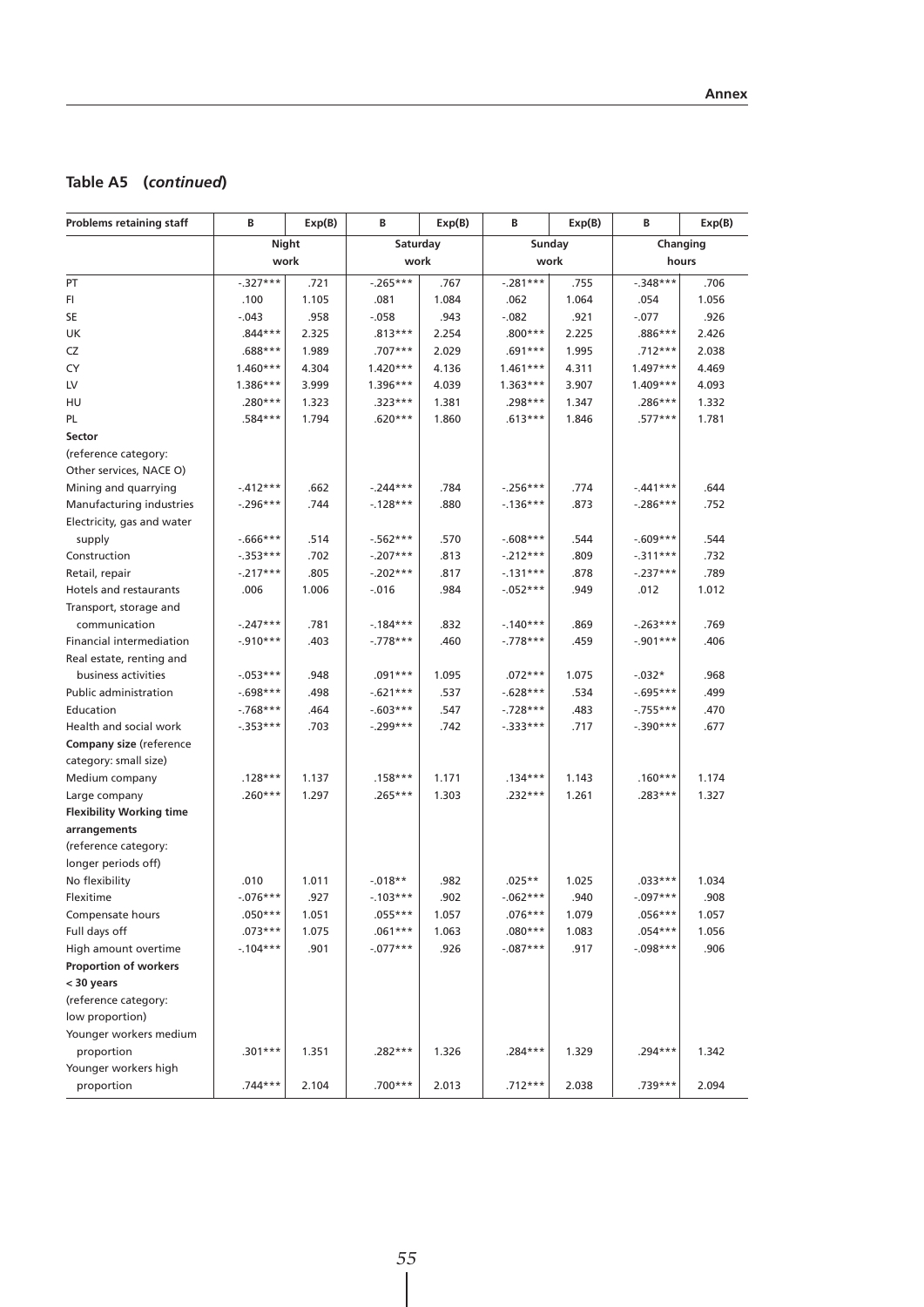## **Table A5 (***continued***)**

| <b>Problems retaining staff</b> | В           | Exp(B) | В           | Exp(B) | в           | Exp(B) | В           | Exp(B)   |
|---------------------------------|-------------|--------|-------------|--------|-------------|--------|-------------|----------|
|                                 | Night       |        | Saturday    |        |             | Sunday |             | Changing |
|                                 | work        |        | work        |        | work        |        |             | hours    |
| PT                              | $-.327***$  | .721   | $-0.265***$ | .767   | $-.281***$  | .755   | $-348***$   | .706     |
| FI.                             | .100        | 1.105  | .081        | 1.084  | .062        | 1.064  | .054        | 1.056    |
| SE                              | $-.043$     | .958   | $-0.058$    | .943   | $-.082$     | .921   | $-.077$     | .926     |
| UK                              | $.844***$   | 2.325  | $.813***$   | 2.254  | $.800***$   | 2.225  | .886***     | 2.426    |
| CZ                              | $.688***$   | 1.989  | .707***     | 2.029  | $.691***$   | 1.995  | .712***     | 2.038    |
| CY                              | $1.460***$  | 4.304  | $1.420***$  | 4.136  | $1.461***$  | 4.311  | $1.497***$  | 4.469    |
| LV                              | $1.386***$  | 3.999  | $1.396***$  | 4.039  | $1.363***$  | 3.907  | $1.409***$  | 4.093    |
| HU                              | .280***     | 1.323  | .323***     | 1.381  | .298***     | 1.347  | .286***     | 1.332    |
| PL.                             | $.584***$   | 1.794  | $.620***$   | 1.860  | $.613***$   | 1.846  | $.577***$   | 1.781    |
| Sector                          |             |        |             |        |             |        |             |          |
| (reference category:            |             |        |             |        |             |        |             |          |
| Other services, NACE O)         |             |        |             |        |             |        |             |          |
| Mining and quarrying            | $-.412***$  | .662   | $-244***$   | .784   | $-.256***$  | .774   | $-441***$   | .644     |
| Manufacturing industries        | $-.296***$  | .744   | $-128***$   | .880   | $-136***$   | .873   | $-.286***$  | .752     |
| Electricity, gas and water      |             |        |             |        |             |        |             |          |
| supply                          | $-666***$   | .514   | $-562***$   | .570   | $-0.608***$ | .544   | $-.609***$  | .544     |
| Construction                    | $-.353***$  | .702   | $-.207***$  | .813   | $-.212***$  | .809   | $-.311***$  | .732     |
| Retail, repair                  | $-.217***$  | .805   | $-202***$   | .817   | $-131***$   | .878   | $-.237***$  | .789     |
| Hotels and restaurants          | .006        | 1.006  | $-0.016$    | .984   | $-052***$   | .949   | .012        | 1.012    |
| Transport, storage and          |             |        |             |        |             |        |             |          |
| communication                   | $-.247***$  | .781   | $-184***$   | .832   | $-140***$   | .869   | $-263***$   | .769     |
| Financial intermediation        | $-.910***$  | .403   | $-.778***$  | .460   | $-.778***$  | .459   | $-.901***$  | .406     |
| Real estate, renting and        |             |        |             |        |             |        |             |          |
| business activities             | $-053***$   | .948   | $.091***$   | 1.095  | $.072***$   | 1.075  | $-0.032*$   | .968     |
| Public administration           | $-.698***$  | .498   | $-621***$   | .537   | $-628***$   | .534   | $-0.695***$ | .499     |
| Education                       | $-768***$   | .464   | $-603***$   | .547   | $-728***$   | .483   | $-0.755***$ | .470     |
| Health and social work          | $-0.353***$ | .703   | $-.299***$  | .742   | $-333***$   | .717   | $-.390***$  | .677     |
| Company size (reference         |             |        |             |        |             |        |             |          |
| category: small size)           |             |        |             |        |             |        |             |          |
| Medium company                  | $.128***$   | 1.137  | $.158***$   | 1.171  | $.134***$   | 1.143  | $.160***$   | 1.174    |
| Large company                   | $.260***$   | 1.297  | $.265***$   | 1.303  | .232***     | 1.261  | .283***     | 1.327    |
| <b>Flexibility Working time</b> |             |        |             |        |             |        |             |          |
| arrangements                    |             |        |             |        |             |        |             |          |
| (reference category:            |             |        |             |        |             |        |             |          |
| longer periods off)             |             |        |             |        |             |        |             |          |
| No flexibility                  | .010        | 1.011  | $-0.018**$  | .982   | $.025**$    | 1.025  | $.033***$   | 1.034    |
| Flexitime                       | $-.076***$  | .927   | $-103***$   | .902   | $-062***$   | .940   | $-.097***$  | .908     |
| Compensate hours                | $.050***$   | 1.051  | .055***     | 1.057  | $.076***$   | 1.079  | $.056***$   | 1.057    |
| Full days off                   | $.073***$   | 1.075  | $.061***$   | 1.063  | $.080***$   | 1.083  | $.054***$   | 1.056    |
| High amount overtime            | $-104***$   | .901   | $-077***$   | .926   | $-087***$   | .917   | $-.098***$  | .906     |
| Proportion of workers           |             |        |             |        |             |        |             |          |
| < 30 years                      |             |        |             |        |             |        |             |          |
| (reference category:            |             |        |             |        |             |        |             |          |
| low proportion)                 |             |        |             |        |             |        |             |          |
| Younger workers medium          |             |        |             |        |             |        |             |          |
| proportion                      | $.301***$   | 1.351  | .282***     | 1.326  | $.284***$   | 1.329  | .294***     | 1.342    |
| Younger workers high            |             |        |             |        |             |        |             |          |
| proportion                      | .744***     | 2.104  | $.700***$   | 2.013  | $.712***$   | 2.038  | .739***     | 2.094    |
|                                 |             |        |             |        |             |        |             |          |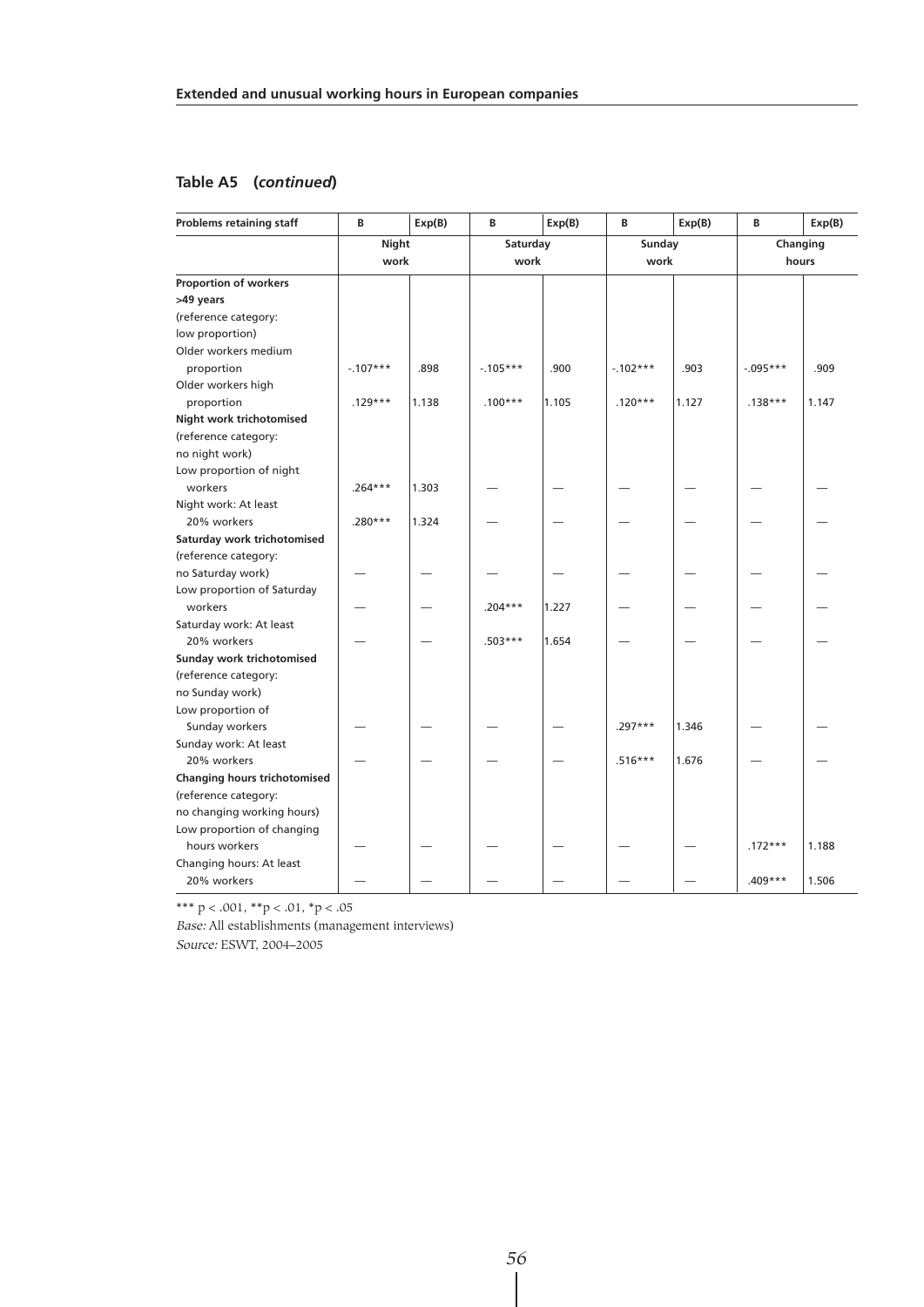## **Table A5 (***continued***)**

| <b>Problems retaining staff</b> | В          | Exp(B) | В         | Exp(B) | в          | Exp(B) | B           | Exp(B) |
|---------------------------------|------------|--------|-----------|--------|------------|--------|-------------|--------|
|                                 | Night      |        | Saturday  |        | Sunday     |        | Changing    |        |
|                                 | work       |        | work      |        | work       |        | hours       |        |
| Proportion of workers           |            |        |           |        |            |        |             |        |
| >49 years                       |            |        |           |        |            |        |             |        |
| (reference category:            |            |        |           |        |            |        |             |        |
| low proportion)                 |            |        |           |        |            |        |             |        |
| Older workers medium            |            |        |           |        |            |        |             |        |
| proportion                      | $-.107***$ | .898   | $-105***$ | .900   | $-.102***$ | .903   | $-0.095***$ | .909   |
| Older workers high              |            |        |           |        |            |        |             |        |
| proportion                      | $.129***$  | 1.138  | $.100***$ | 1.105  | $.120***$  | 1.127  | $.138***$   | 1.147  |
| Night work trichotomised        |            |        |           |        |            |        |             |        |
| (reference category:            |            |        |           |        |            |        |             |        |
| no night work)                  |            |        |           |        |            |        |             |        |
| Low proportion of night         |            |        |           |        |            |        |             |        |
| workers                         | $.264***$  | 1.303  |           |        |            |        |             |        |
| Night work: At least            |            |        |           |        |            |        |             |        |
| 20% workers                     | $.280***$  | 1.324  |           |        |            |        |             |        |
| Saturday work trichotomised     |            |        |           |        |            |        |             |        |
| (reference category:            |            |        |           |        |            |        |             |        |
| no Saturday work)               |            |        |           |        |            |        |             |        |
| Low proportion of Saturday      |            |        |           |        |            |        |             |        |
| workers                         |            |        | $.204***$ | 1.227  |            |        |             |        |
| Saturday work: At least         |            |        |           |        |            |        |             |        |
| 20% workers                     |            |        | $.503***$ | 1.654  |            |        |             |        |
| Sunday work trichotomised       |            |        |           |        |            |        |             |        |
| (reference category:            |            |        |           |        |            |        |             |        |
| no Sunday work)                 |            |        |           |        |            |        |             |        |
| Low proportion of               |            |        |           |        |            |        |             |        |
| Sunday workers                  |            |        |           |        | $.297***$  | 1.346  |             |        |
| Sunday work: At least           |            |        |           |        |            |        |             |        |
| 20% workers                     |            |        |           |        | $.516***$  | 1.676  |             |        |
| Changing hours trichotomised    |            |        |           |        |            |        |             |        |
| (reference category:            |            |        |           |        |            |        |             |        |
| no changing working hours)      |            |        |           |        |            |        |             |        |
| Low proportion of changing      |            |        |           |        |            |        |             |        |
| hours workers                   |            |        |           |        |            |        | $.172***$   | 1.188  |
| Changing hours: At least        |            |        |           |        |            |        |             |        |
| 20% workers                     |            |        |           |        |            |        | .409***     | 1.506  |

\*\*\*  $p < .001$ , \*\* $p < .01$ , \* $p < .05$ 

Base: All establishments (management interviews)

Source: ESWT, 2004–2005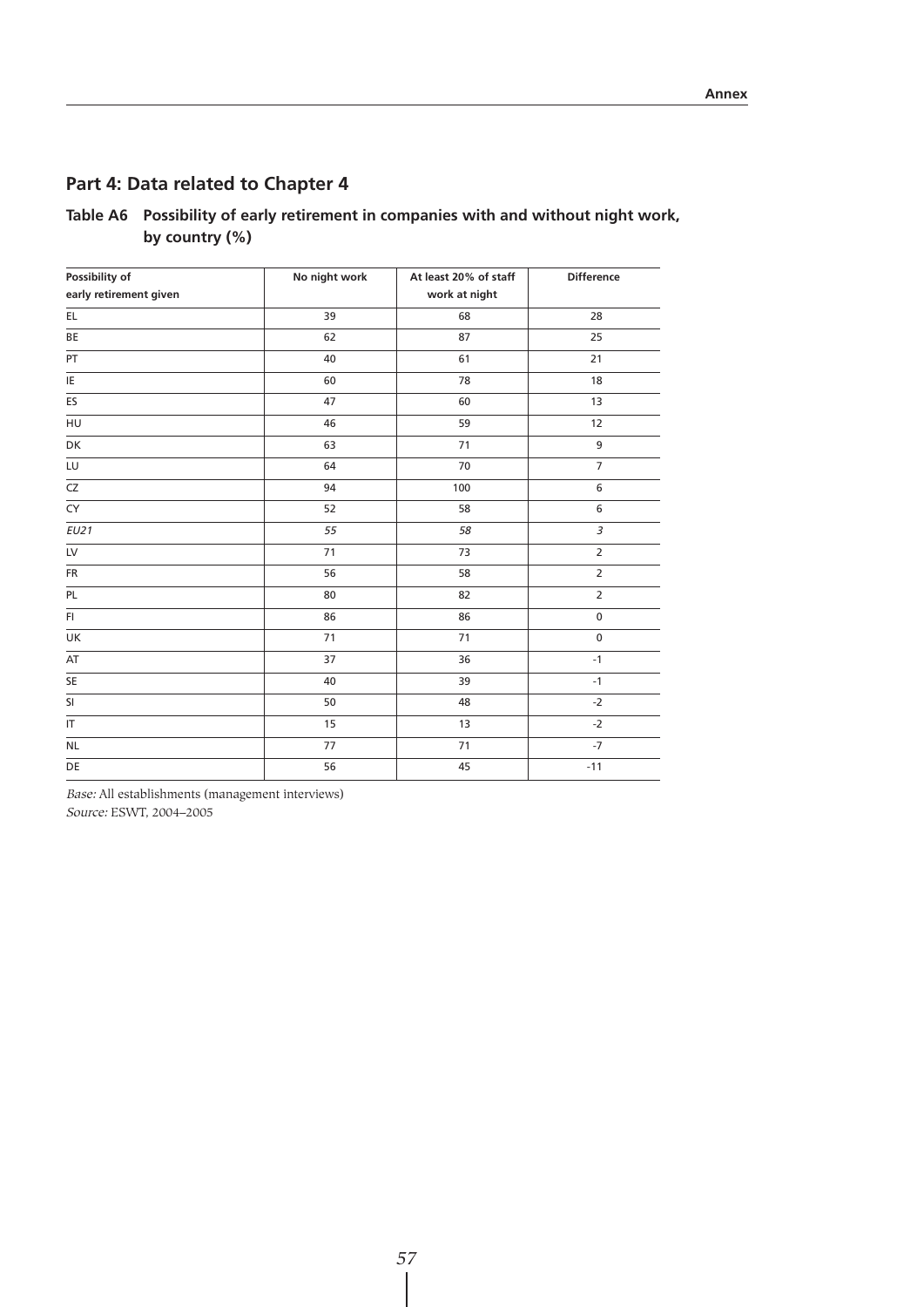## **Part 4: Data related to Chapter 4**

| Table A6 Possibility of early retirement in companies with and without night work, |
|------------------------------------------------------------------------------------|
| by country $(\%)$                                                                  |

| Possibility of         | No night work | At least 20% of staff | Difference     |
|------------------------|---------------|-----------------------|----------------|
| early retirement given |               | work at night         |                |
| EL                     | 39            | 68                    | 28             |
| BE                     | 62            | 87                    | 25             |
| PT                     | 40            | 61                    | 21             |
| IE                     | 60            | 78                    | 18             |
| ES                     | 47            | 60                    | 13             |
| HU                     | 46            | 59                    | 12             |
| DK                     | 63            | 71                    | 9              |
| LU                     | 64            | 70                    | $\overline{7}$ |
| $\overline{\text{CZ}}$ | 94            | 100                   | 6              |
| CY                     | 52            | 58                    | 6              |
| EU21                   | 55            | 58                    | $\overline{3}$ |
| LV                     | 71            | 73                    | $\overline{2}$ |
| <b>FR</b>              | 56            | 58                    | $\overline{2}$ |
| PL                     | 80            | 82                    | $\overline{2}$ |
| FI.                    | 86            | 86                    | $\pmb{0}$      |
| UK                     | 71            | 71                    | $\pmb{0}$      |
| AT                     | 37            | 36                    | $-1$           |
| SE                     | 40            | 39                    | $-1$           |
| SI                     | 50            | 48                    | $-2$           |
| $\sf IT$               | 15            | 13                    | $-2$           |
| <b>NL</b>              | 77            | 71                    | $-7$           |
| DE                     | 56            | 45                    | $-11$          |

Base: All establishments (management interviews)

Source: ESWT, 2004–2005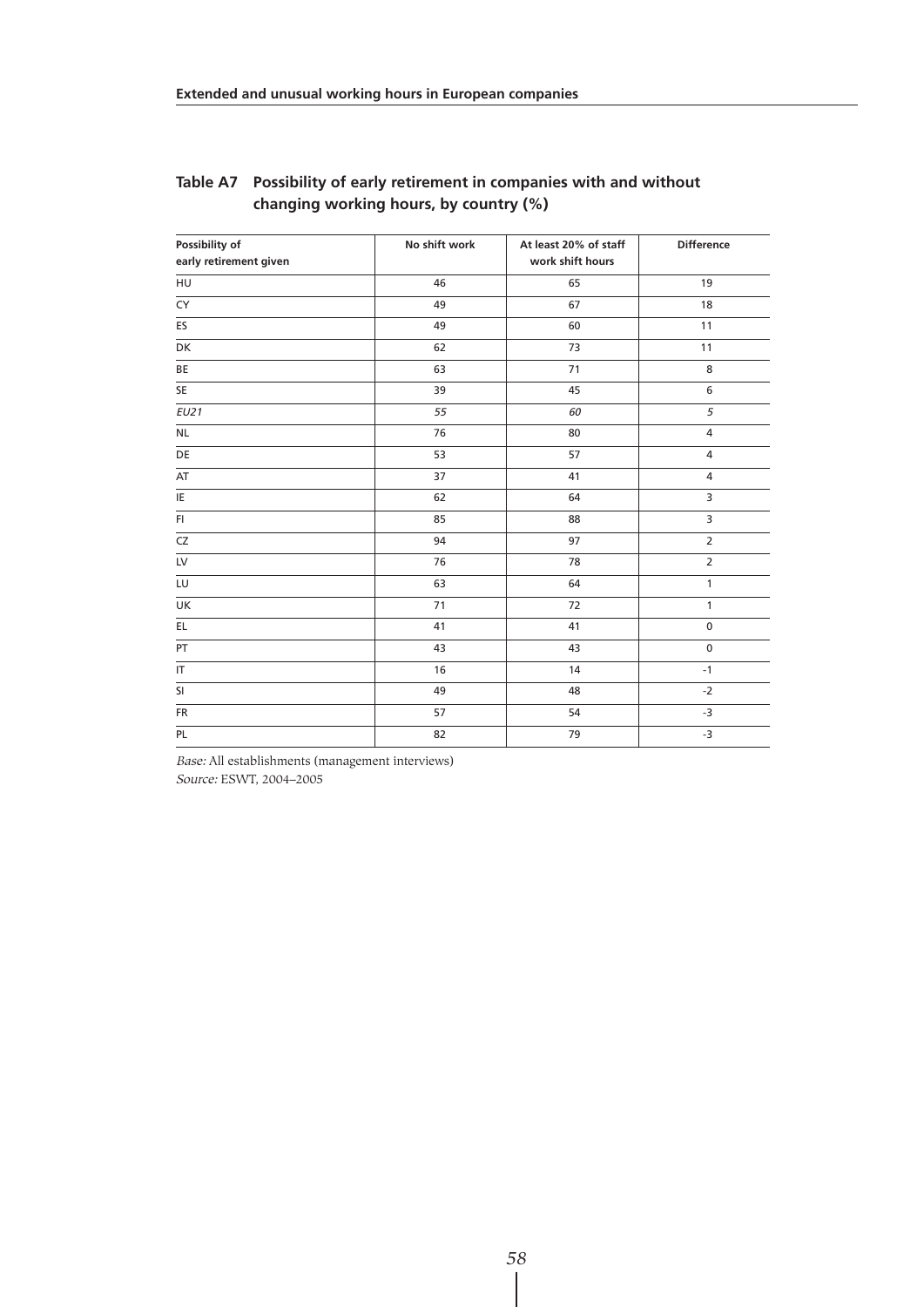| Possibility of         | No shift work | At least 20% of staff | <b>Difference</b> |
|------------------------|---------------|-----------------------|-------------------|
| early retirement given |               | work shift hours      |                   |
| HU                     | 46            | 65                    | 19                |
| CY                     | 49            | 67                    | 18                |
| ES                     | 49            | 60                    | 11                |
| DK                     | 62            | 73                    | 11                |
| BE                     | 63            | 71                    | 8                 |
| SE                     | 39            | 45                    | 6                 |
| EU21                   | 55            | 60                    | 5                 |
| <b>NL</b>              | 76            | 80                    | $\overline{4}$    |
| DE                     | 53            | 57                    | $\overline{4}$    |
| AT                     | 37            | 41                    | $\overline{4}$    |
| IE                     | 62            | 64                    | 3                 |
| F1                     | 85            | 88                    | 3                 |
| CZ                     | 94            | 97                    | $\overline{2}$    |
| LV                     | 76            | 78                    | $\overline{2}$    |
| LU                     | 63            | 64                    | $\mathbf{1}$      |
| UK                     | 71            | 72                    | $\mathbf{1}$      |
| EL                     | 41            | 41                    | $\pmb{0}$         |
| PT                     | 43            | 43                    | $\pmb{0}$         |
| IT                     | 16            | 14                    | $-1$              |
| SI                     | 49            | 48                    | $-2$              |
| FR                     | 57            | 54                    | $-3$              |
| PL                     | 82            | 79                    | $-3$              |

### **Table A7 Possibility of early retirement in companies with and without changing working hours, by country (%)**

Base: All establishments (management interviews) Source: ESWT, 2004–2005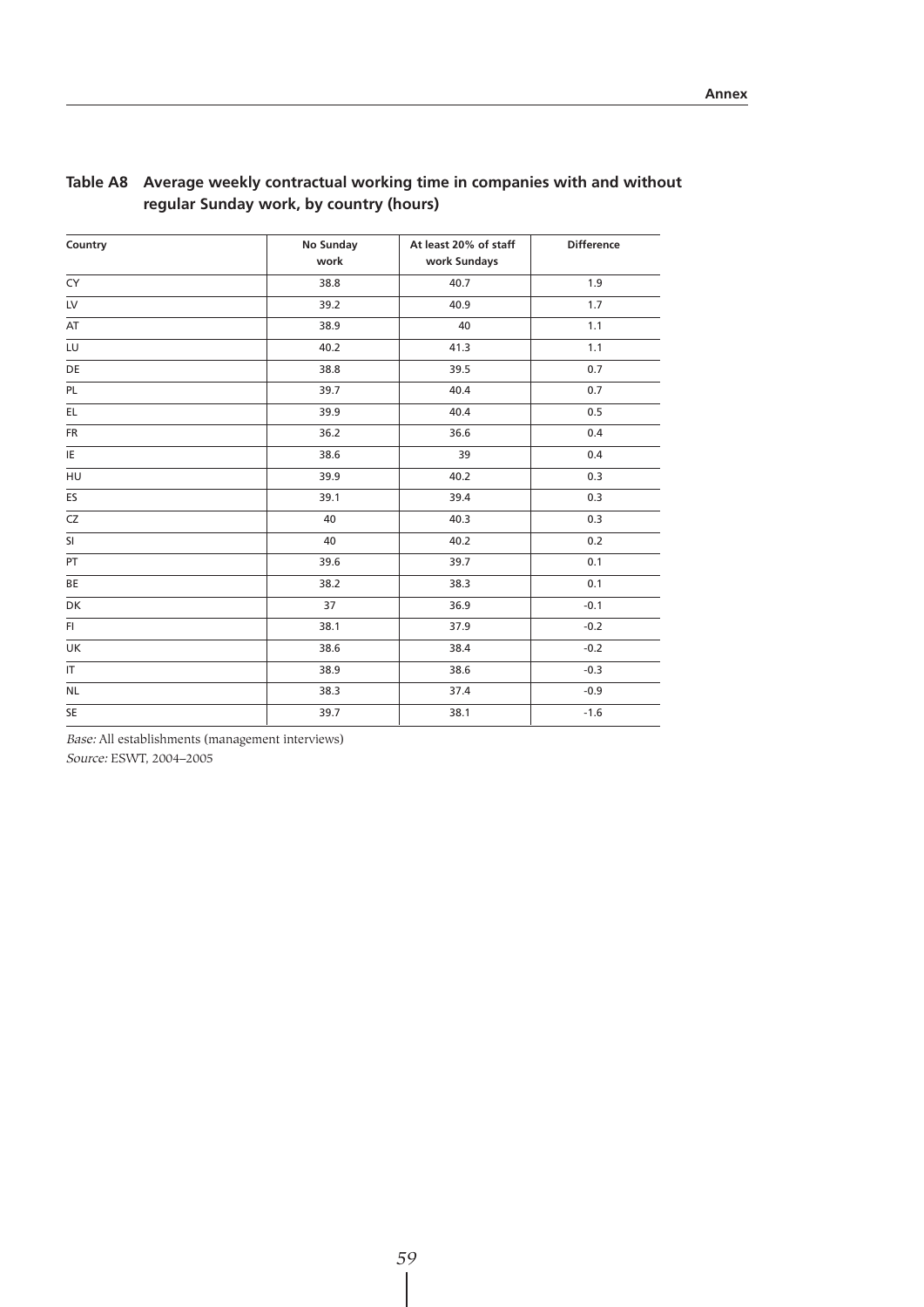| Country                           | No Sunday<br>work | At least 20% of staff<br>work Sundays | <b>Difference</b> |
|-----------------------------------|-------------------|---------------------------------------|-------------------|
| CY                                | 38.8              | 40.7                                  | 1.9               |
| LV                                | 39.2              | 40.9                                  | 1.7               |
| AT                                | 38.9              | 40                                    | 1.1               |
| LU                                | 40.2              | 41.3                                  | 1.1               |
| DE                                | 38.8              | 39.5                                  | 0.7               |
| PL                                | 39.7              | 40.4                                  | 0.7               |
| EL.                               | 39.9              | 40.4                                  | 0.5               |
| FR                                | 36.2              | 36.6                                  | 0.4               |
| $\overline{\mathsf{IE}}$          | 38.6              | 39                                    | 0.4               |
| HU                                | 39.9              | 40.2                                  | 0.3               |
| ES                                | 39.1              | 39.4                                  | 0.3               |
| CZ                                | 40                | 40.3                                  | 0.3               |
| <b>SI</b>                         | 40                | 40.2                                  | 0.2               |
| PT                                | 39.6              | 39.7                                  | 0.1               |
| <b>BE</b>                         | 38.2              | 38.3                                  | 0.1               |
| DK                                | 37                | 36.9                                  | $-0.1$            |
| FI.                               | 38.1              | 37.9                                  | $-0.2$            |
| UK                                | 38.6              | 38.4                                  | $-0.2$            |
| $\ensuremath{\mathsf{IT}}\xspace$ | 38.9              | 38.6                                  | $-0.3$            |
| <b>NL</b>                         | 38.3              | 37.4                                  | $-0.9$            |
| <b>SE</b>                         | 39.7              | 38.1                                  | $-1.6$            |

## **Table A8 Average weekly contractual working time in companies with and without regular Sunday work, by country (hours)**

Base: All establishments (management interviews)

Source: ESWT, 2004–2005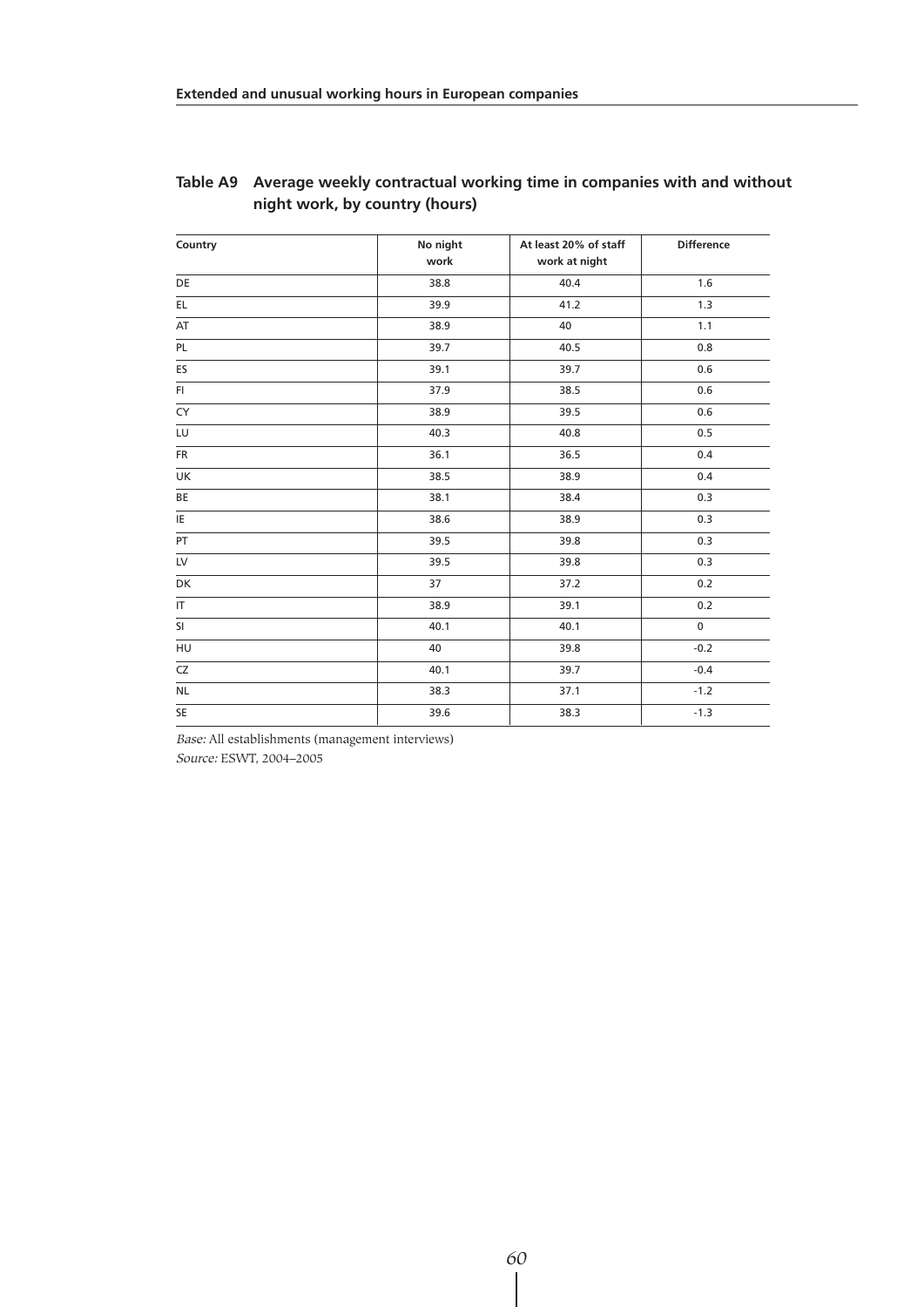| Country   | No night | At least 20% of staff | <b>Difference</b> |
|-----------|----------|-----------------------|-------------------|
|           | work     | work at night         |                   |
| DE        | 38.8     | 40.4                  | 1.6               |
| EL        | 39.9     | 41.2                  | 1.3               |
| AT        | 38.9     | 40                    | 1.1               |
| PL        | 39.7     | 40.5                  | 0.8               |
| ES        | 39.1     | 39.7                  | 0.6               |
| FI.       | 37.9     | 38.5                  | 0.6               |
| CY        | 38.9     | 39.5                  | 0.6               |
| LU        | 40.3     | 40.8                  | 0.5               |
| <b>FR</b> | 36.1     | 36.5                  | 0.4               |
| UK        | 38.5     | 38.9                  | 0.4               |
| BE        | 38.1     | 38.4                  | 0.3               |
| IE        | 38.6     | 38.9                  | 0.3               |
| PT        | 39.5     | 39.8                  | 0.3               |
| LV        | 39.5     | 39.8                  | 0.3               |
| DK        | 37       | 37.2                  | 0.2               |
| IT.       | 38.9     | 39.1                  | 0.2               |
| SI        | 40.1     | 40.1                  | $\mathbf 0$       |
| HU        | 40       | 39.8                  | $-0.2$            |
| CZ        | 40.1     | 39.7                  | $-0.4$            |
| NL        | 38.3     | 37.1                  | $-1.2$            |
| SE        | 39.6     | 38.3                  | $-1.3$            |

### **Table A9 Average weekly contractual working time in companies with and without night work, by country (hours)**

Base: All establishments (management interviews) Source: ESWT, 2004–2005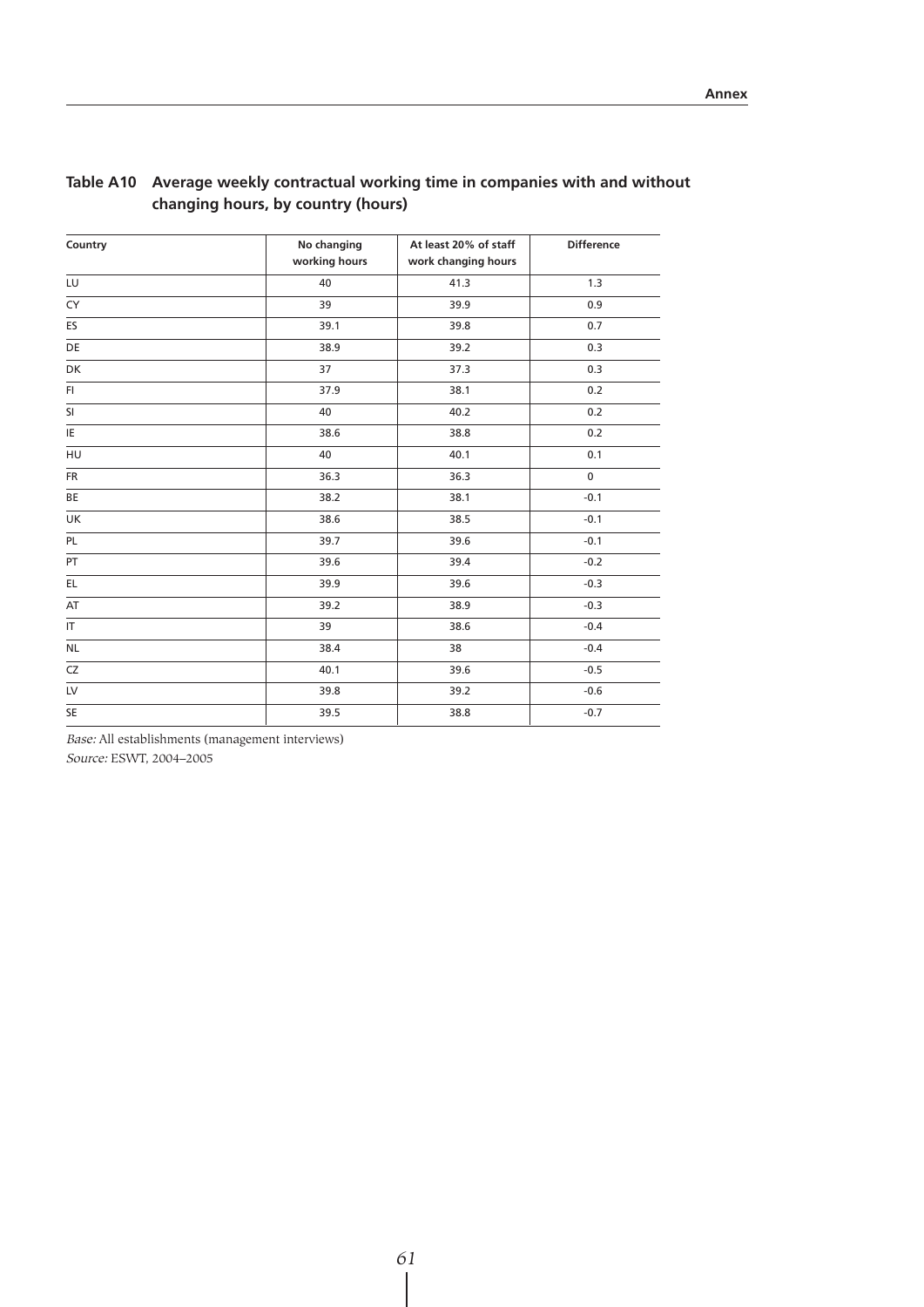| Country                 | No changing   | At least 20% of staff | <b>Difference</b> |
|-------------------------|---------------|-----------------------|-------------------|
|                         | working hours | work changing hours   |                   |
| LU                      | 40            | 41.3                  | 1.3               |
| <b>CY</b>               | 39            | 39.9                  | 0.9               |
| ES                      | 39.1          | 39.8                  | 0.7               |
| DE                      | 38.9          | 39.2                  | 0.3               |
| DK                      | 37            | 37.3                  | 0.3               |
| FI.                     | 37.9          | 38.1                  | 0.2               |
| <b>SI</b>               | 40            | 40.2                  | 0.2               |
| IE                      | 38.6          | 38.8                  | 0.2               |
| HU                      | 40            | 40.1                  | 0.1               |
| <b>FR</b>               | 36.3          | 36.3                  | $\mathbf 0$       |
| BE                      | 38.2          | 38.1                  | $-0.1$            |
| UK                      | 38.6          | 38.5                  | $-0.1$            |
| PL                      | 39.7          | 39.6                  | $-0.1$            |
| PT                      | 39.6          | 39.4                  | $-0.2$            |
| EL.                     | 39.9          | 39.6                  | $-0.3$            |
| AT                      | 39.2          | 38.9                  | $-0.3$            |
| $\overline{\mathbb{F}}$ | 39            | 38.6                  | $-0.4$            |
| <b>NL</b>               | 38.4          | 38                    | $-0.4$            |
| CZ                      | 40.1          | 39.6                  | $-0.5$            |
| LV                      | 39.8          | 39.2                  | $-0.6$            |
| SE                      | 39.5          | 38.8                  | $-0.7$            |

## **Table A10 Average weekly contractual working time in companies with and without changing hours, by country (hours)**

Base: All establishments (management interviews)

Source: ESWT, 2004–2005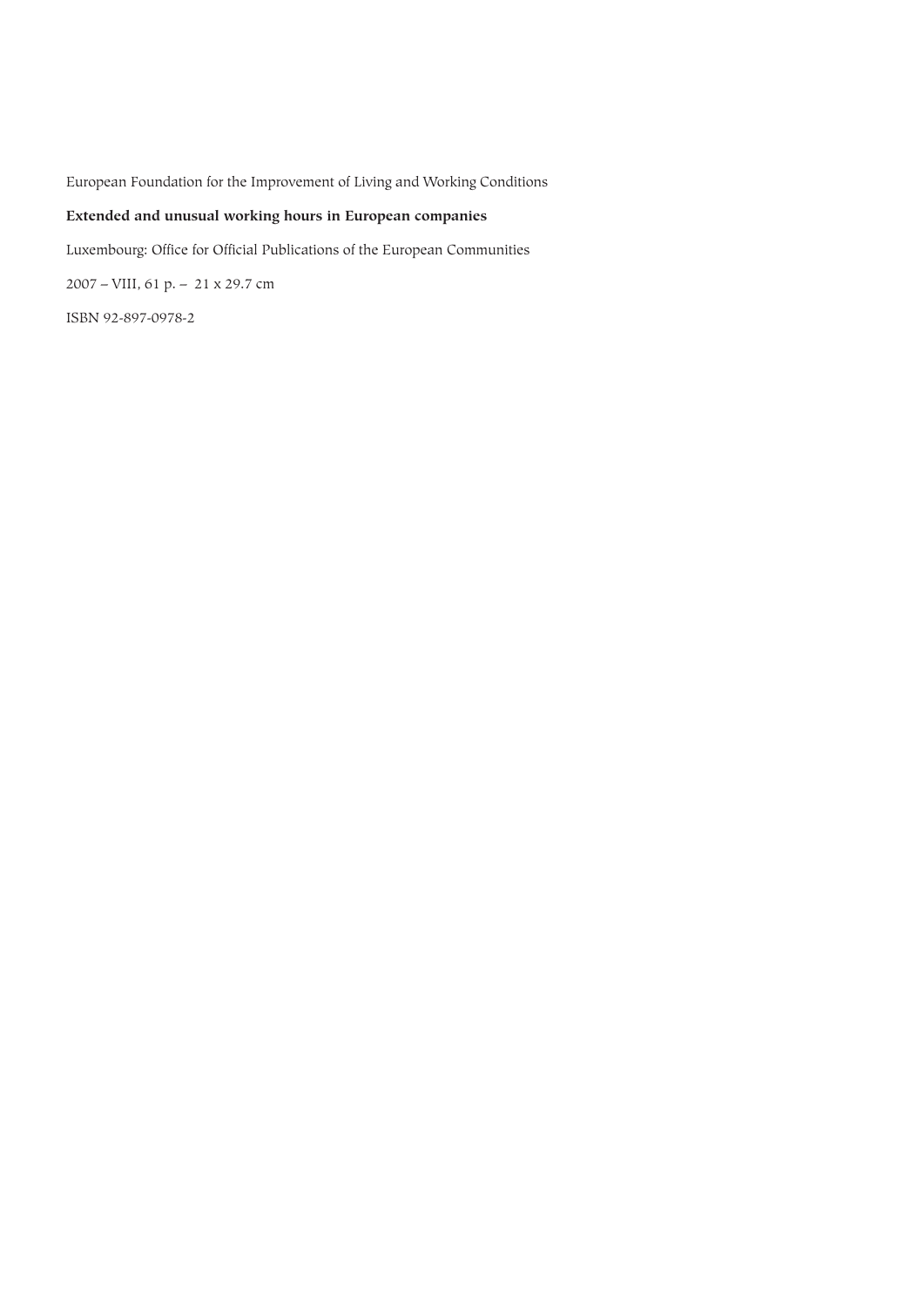European Foundation for the Improvement of Living and Working Conditions

## **Extended and unusual working hours in European companies**

Luxembourg: Office for Official Publications of the European Communities

2007 – VIII, 61 p. – 21 x 29.7 cm

ISBN 92-897-0978-2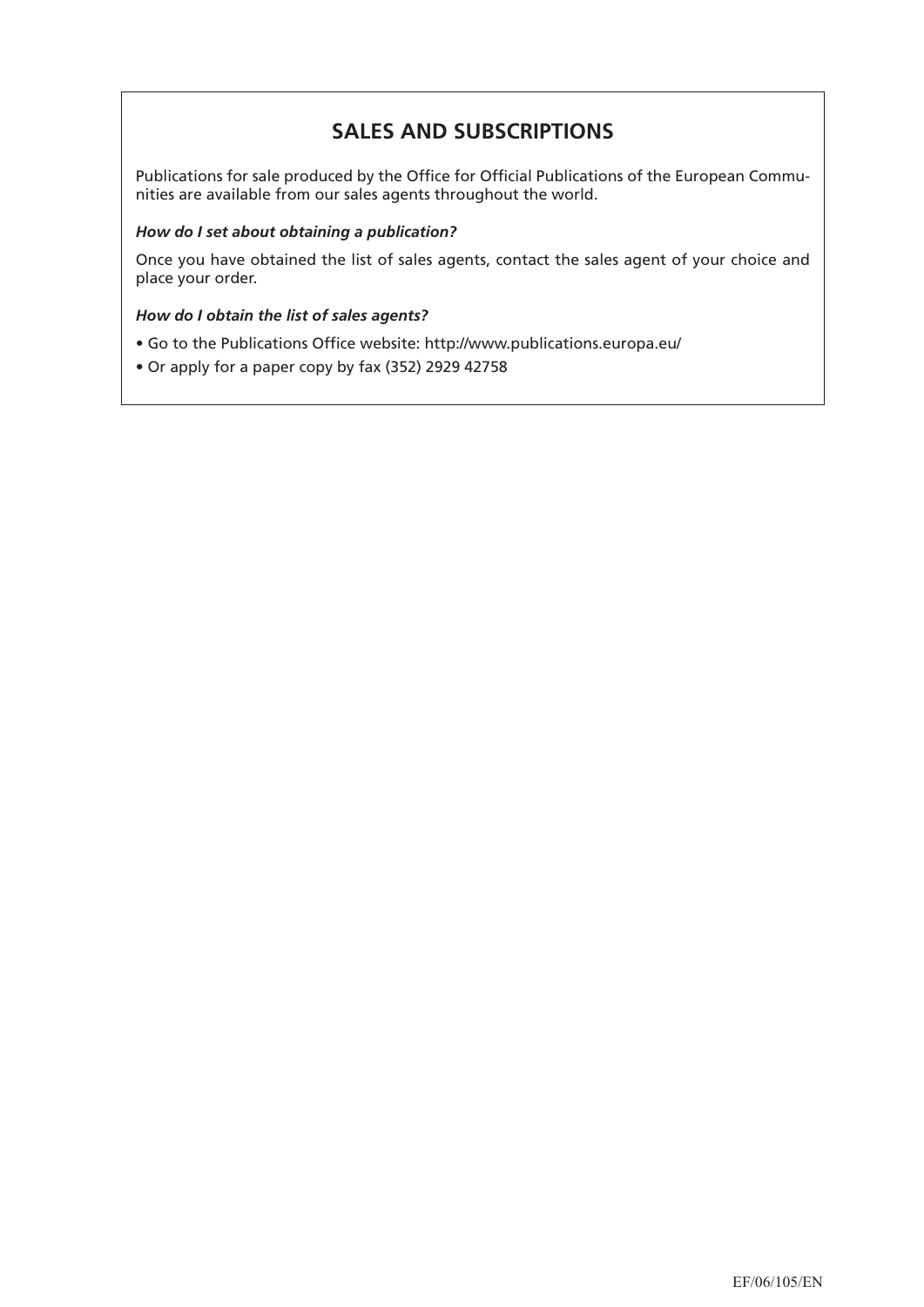## **SALES AND SUBSCRIPTIONS**

Publications for sale produced by the Office for Official Publications of the European Communities are available from our sales agents throughout the world.

## *How do I set about obtaining a publication?*

Once you have obtained the list of sales agents, contact the sales agent of your choice and place your order.

## *How do I obtain the list of sales agents?*

- Go to the Publications Office website: http://www.publications.europa.eu/
- Or apply for a paper copy by fax (352) 2929 42758